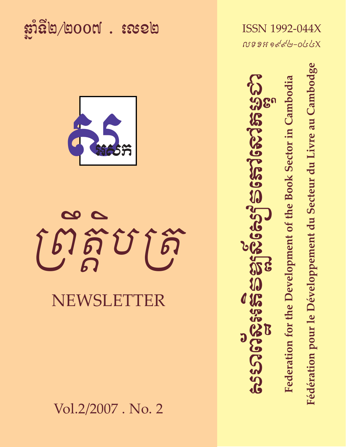<u> ដាំនិ២/២០០៧ . សេខ២</u>



# NEWSLETTER

Vol.2/2007. No. 2

**ISSN 1992-044X** NS9Hoddb-occk

Federation for the Development of the Book Sector in Cambodia

Fédération pour le Développement du Secteur du Livre au Cambodge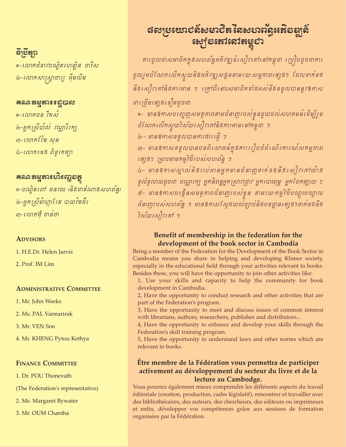# និទ្រើត្សា

๑−លោកដំទាវបណ្ឌិតលោទ្យិន ចាវឹស '৬-លោកសាស្ត្រាចារ្យ អ៊ីមលីម

## **គណៈតម្មតារ ន**ដ្ឋបាល

២-អ្នកស្រីបាល់ វណ្ណវិរក្ស ៣−លោកវែង សុន ៤-លោកទេន ពិទូតេត្យា

## ឝណៈតម្មុគារសិរញ្ញុខក្តុ

๑–បណ្ឌិតពៅ ធនវឍ (និងជាតំណាងសហព័ន្ធ) ២-អ្នកស្រ្តីម៉ាហ្គាវែត បាយវ៉តធឺរ ៣−លោកអ៊ុំ ចាន់ថា

## **ADVISORS**

1. H.E.Dr. Helen Jarvis

2. Prof. IM Lim

## **ADMINISTRATIVE COMMITTEE**

1. Mr. John Weeks

2. Ms. PAL Vannarirak

3. Mr. VEN Son

4. Mr. KHENG Pytou Kethya

## **FINANCE COMMITTEE**

1. Dr. POU Thonevath

(The Federation's representative)

2. Ms. Margaret Bywater

3. Mr. OUM Chantha

# **នេះ**ខ្មែនៅលើកម្ពុជា

ការចូលដាសមាជិកក្នុងសហព័ន្ធអភិវឌ្ឍន៍សៀវគៅនៅកម្ពុជា របៀបដូចជាការ ចូលរួមចំណែកលើកស្ទួយនិងអភិវឌ្ឍសង្គមតាមរយ:សម្មុភាពផ្សេង១ ដែលទាក់ទង នឹងសៀវកៅនិងការអាន ។ ក្រៅពីនោះសមាជិកទាំងអស់នឹងទទួលបាននូវឱកាស ជាច្រើនផ្សេងទៀតដូចជា

๑– មានឱកាសបញ្ចេញសមត្ថភាពតាមជំនាញរបស់ខ្វួនជួយដល់សហគមន៍ដើម្បីរួម 

២- មានឱកាសទទួលបានការសារ ឆ្នាំ ។

៣– មានឱកាសទទួលបានបទពិសោធន៍ក្នុងការរៀបចំដំណើរការណ៍សកម្មភាព *ផ្សេ*ង១ *ស្រុបតាមកម្មវិធីរបស់សហព័ន្ធ ។* 

៤- មានឱកាសស្គាល់និងពប់អានអ្នកមានដំនាញទាក់ទងនឹងសៀវកៅយ៉ាង ទូលំទូលាយដូចជា បណ្ណារក្ស អ្នកនិពន្ធអ្នកស្រាវជ្រាវ អ្នករបាះពុម្ព អ្នកបែកផ្សាយ ។ ៥– មានឱកាសបង្កើនសមត្ថភាពដំនាញរបស់ខ្វន តាមរយ:កម្មវិធីបណ្តុះបណ្តាល ដនាញរបស់សហពន្ឋ ។ មានឱកាសស្តែងយល់ច្បាប់និងបទដ្ឋាន ផ្សេង១ទាក់ទងនឹង ริសัយសៀវគៅ ฯ

## Benefit of membership in the federation for the development of the book sector in Cambodia

Being a member of the Federation for the Development of the Book Sector in Cambodia means you share in helping and developing Khmer society, especially in the educational field through your activities relevant to books. Besides these, you will have the opportunity to join other activities like:

1, Use your skills and capacity to help the community for book development in Cambodia.

2, Have the opportunity to conduct research and other activities that are part of the Federation's program.

3, Have the opportunity to meet and discuss issues of common interest with librarians, authors, researchers, publisher and distributors...

4, Have the opportunity to enhance and develop your skills through the Federation's skill training program.

5, Have the opportunity to understand laws and other norms which are relevant to books.

## Être membre de la Fédération vous permettra de participer activement au développement du secteur du livre et de la lecture au Cambodge.

Vous pourrez également mieux comprendre les différents aspects du travail éditoriale (creation, production, cadre législatif), rencontrer et travailler avec des bibliothécaires, des auteurs, des chercheurs, des éditeurs ou imprimeurs et enfin, développer vos compétences grâce aux sessions de formation organisées par la Fédération.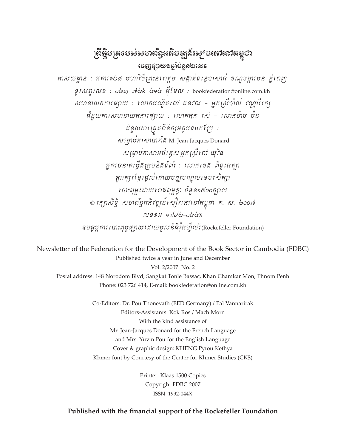## ព្រឹត្តិបត្រទបស់សហព័ន្ធអតិ**ខ**ឌ្ឍស៍ស្យៀនតៅសៅតម្លេ**ិ**រ <u> ಚಾಚ್ಚುದೇಜಿಂಜಾಧ್ಯೆ (ಬಿಲ್</u>

អាសយដ្ឋាន : អគារ១៤៨ មហាវិថីព្រះនរពត្តម សគ្គាត់ទន្ទេបាសាក់ ១ណ្ឌចម្ការមន ភ្នំពេញ  $\mathfrak{gr}\kappa\mathfrak{g}\mathfrak{l}\kappa\mathfrak{g}\mathfrak{l}\kappa\mathfrak{g}$  :  $\mathfrak{g}\mathfrak{g}\kappa\mathfrak{g}\kappa\mathfrak{g}$  : bookfederation@online.com.kh សហនាយកការផ្ទុកយ : លោកបណ្ឌិតពៅ ធនវឍ – អ្នកស្រីបាល់ វណ្ណវីរក្ស ដន្ទិយការសហនាយកការផ្ទាយ : លោកកុក រស់ - លោកម៉ាច ម៉ន ដំនួយការត្រគពិនិត្យអត្ថបទបកប្រែ:  $\overline{\mathcal{M}}$ ម្រាប់ភាសាបារាំឆី M. Jean-Jacques Donard សម្រាប់កាសាអធិរត្តស អ្នកស្រីពៅ យុវិន អ្នករចនាតម្កើតក្រុមនិគទំព័រ : លោកទេគ ពិទូរកត្បា ត្តអក្សរខ្មែរផ្តល់ដោយមជ្ឈមណ្ឌលខេមរសិក្សា របាះពុម្ពសេលោភិពុម្ពខ្យា ចំនួន១៥០០ក្បាល © ក្រេកសិទ្ធិ សហព័ន្ធអភិវឌ្ឍន៍សៀវកៅនៅកម្ពុជា គ. ស. ๒๐๐៧  $N39H$   $8d/d$ - $0d$ ខ្លបតម្លការ បោះពុម្ពផ្ទាយ ដោយមូលនិងវ៉ិតហ៊ឺលវ័(Rockefeller Foundation)

Newsletter of the Federation for the Development of the Book Sector in Cambodia (FDBC) Published twice a year in June and December Vol. 2/2007 No. 2 Postal address: 148 Norodom Blvd, Sangkat Tonle Bassac, Khan Chamkar Mon, Phnom Penh Phone: 023 726 414, E-mail: bookfederation@online.com.kh

> Co-Editors: Dr. Pou Thonevath (EED Germany) / Pal Vannarirak Editors-Assistants: Kok Ros / Mach Morn With the kind assistance of Mr. Jean-Jacques Donard for the French Language and Mrs. Yuvin Pou for the English Language Cover & graphic design: KHENG Pytou Kethya Khmer font by Courtesy of the Center for Khmer Studies (CKS)

> > Printer: Klaas 1500 Copies Copyright FDBC 2007 ISSN 1992-044X

## Published with the financial support of the Rockefeller Foundation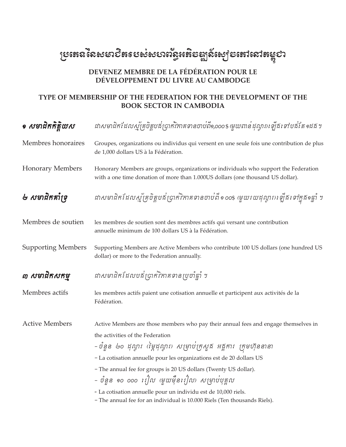# <sub>ស្រែតេន</sub>នៃសមា**បិត**របស់សហព័ន្ធអតិមឌ្ឍន៍ស្បេមតោលោតម្លូ**ខា**

## DEVENEZ MEMBRE DE LA FÉDÉRATION POUR LE DÉVELOPPEMENT DU LIVRE AU CAMBODGE

## TYPE OF MEMBERSHIP OF THE FEDERATION FOR THE DEVELOPMENT OF THE **BOOK SECTOR IN CAMBODIA**

| <i>• ស</i> មាជិកកិត្តិយស  | ដាសមាជិកដែលស្ម័គ្រូចិត្តបនី់ប្រាក់វិកាគទានចាប់ពី១,០០០\$ (មួយពាន់ដុល្លារ) ឡើងទៅបន័តែ១ដង ៗ                                                                                |  |  |  |
|---------------------------|-------------------------------------------------------------------------------------------------------------------------------------------------------------------------|--|--|--|
| Membres honoraires        | Groupes, organizations ou individus qui versent en une seule fois une contribution de plus<br>de 1,000 dollars US à la Fédération.                                      |  |  |  |
| <b>Honorary Members</b>   | Honorary Members are groups, organizations or individuals who support the Federation<br>with a one time donation of more than 1.000US dollars (one thousand US dollar). |  |  |  |
| ២ សមាជិកគាំទ្រុ           | ដាសមាជិកដែលស្ម័គ្រចិត្តបផ័ប្រាក់វិកាគទានចាប់ពី ១ ០០\$ (មួយរយដុល្ងារ) ឡើងទៅក្នុង១ឆ្នាំ ។                                                                                 |  |  |  |
| Membres de soutien        | les membres de soutien sont des membres actifs qui versant une contribution<br>annuelle minimum de 100 dollars US à la Fédération.                                      |  |  |  |
| <b>Supporting Members</b> | Supporting Members are Active Members who contribute 100 US dollars (one hundred US<br>dollar) or more to the Federation annually.                                      |  |  |  |
| ៣ សមាជិកសកម្ម             | ដាសមាជិកដែលបន័ស្រុកវិភាគទានប្រចាំឆ្នាំ ។                                                                                                                                |  |  |  |
| Membres actifs            | les membres actifs paient une cotisation annuelle et participent aux activités de la<br>Fédération.                                                                     |  |  |  |
| <b>Active Members</b>     | Active Members are those members who pay their annual fees and engage themselves in                                                                                     |  |  |  |
|                           | the activities of the Federation                                                                                                                                        |  |  |  |
|                           | – ចំនួន  ២០ ដុល្ងារ  (ថ្កៃដុល្ងារ)  សម្រាប់ក្រសួង  អគ្គការ  ក្រុមហ៊ុននានា                                                                                               |  |  |  |
|                           | - La cotisation annuelle pour les organizations est de 20 dollars US                                                                                                    |  |  |  |
|                           | - The annual fee for groups is 20 US dollars (Twenty US dollar).                                                                                                        |  |  |  |
|                           | – ចំនួន ๑๐ ๐๐๐ ៖ឿល (មួយម៉ឺន៖រឿល) សម្រាប់បុគ្គល                                                                                                                          |  |  |  |
|                           | - La cotisation annuelle pour un individu est de 10,000 riels.<br>- The annual fee for an individual is 10.000 Riels (Ten thousands Riels).                             |  |  |  |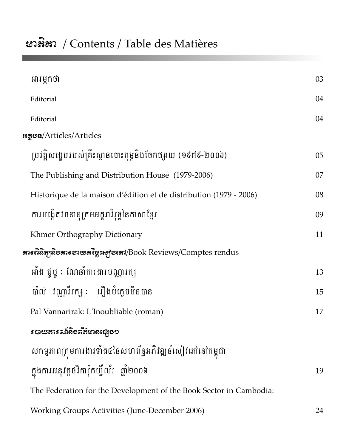# ะวลิสา / Contents / Table des Matières

| អារម្ភកថា                                                          | 03 |  |  |  |
|--------------------------------------------------------------------|----|--|--|--|
| Editorial                                                          | 04 |  |  |  |
| Editorial                                                          | 04 |  |  |  |
| หลุยล/Articles/Articles                                            |    |  |  |  |
| ប្រវត្តិសង្ខេបរបស់គ្រឹះស្ថានបោះពុម្ពនិងចែកផ្សាយ (១៩៧៩-២០០៦)        | 05 |  |  |  |
| The Publishing and Distribution House (1979-2006)                  | 07 |  |  |  |
| Historique de la maison d'édition et de distribution (1979 - 2006) | 08 |  |  |  |
| ការបង្កើតវចនានុក្រមអក្ខរាវិរុទ្ធនៃភាសាខ្មែរ                        | 09 |  |  |  |
| Khmer Orthography Dictionary                                       | 11 |  |  |  |
|                                                                    |    |  |  |  |
| អាំង ជូបូ : ណែនាំការងារបណ្ណរក <sub>ាំ</sub>                        | 13 |  |  |  |
| បាល់ វណ្ណាវីរក្ស: រឿងបំភ្លេចមិនបាន                                 | 15 |  |  |  |
| Pal Vannarirak: L'Inoubliable (roman)                              | 17 |  |  |  |
| <i>ร</i> បាយតារទណ័តិខពរ័ត៌មានផ្សេះុខៗ                              |    |  |  |  |
| សកម្មភាពក្រុមការងារទាំង៤នៃសហព័ន្ធអភិវឌ្ឍន៍សៀវភៅនៅកម្ពុជា           |    |  |  |  |
| ក្នុងការអនុវត្តថវិការ៉ុកហ្វីល័រ  ឆ្នាំ២០០៦                         | 19 |  |  |  |
| The Federation for the Development of the Book Sector in Cambodia: |    |  |  |  |
| Working Groups Activities (June-December 2006)                     | 24 |  |  |  |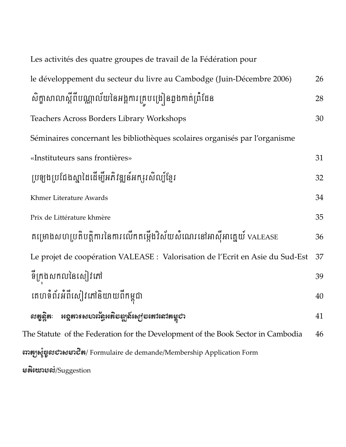| Les activités des quatre groupes de travail de la Fédération pour                |    |  |  |
|----------------------------------------------------------------------------------|----|--|--|
| le développement du secteur du livre au Cambodge (Juin-Décembre 2006)            | 26 |  |  |
| សិក្ខាសាលាស្តីពីបណ្ណាល័យនៃអង្គការគ្រូបង្រៀនឆ្លងកាត់ព្រំដែន                       | 28 |  |  |
| <b>Teachers Across Borders Library Workshops</b>                                 | 30 |  |  |
| Séminaires concernant les bibliothèques scolaires organisés par l'organisme      |    |  |  |
| «Instituteurs sans frontières»                                                   | 31 |  |  |
| ប្រឡងប្រជែងស្នាដៃដើម្បីអភិវឌ្ឍន៍អក្សរ សិល្ប៍ខ្មែរ                                | 32 |  |  |
| Khmer Literature Awards                                                          | 34 |  |  |
| Prix de Littérature khmère                                                       | 35 |  |  |
| គម្រោងសហប្រតិបត្តិការនៃការលើកតម្កើងវិស័យសំណេរនៅអាស៊ីអាគ្នេយ៍ valease             | 36 |  |  |
| Le projet de coopération VALEASE : Valorisation de l'Ecrit en Asie du Sud-Est    | 37 |  |  |
| ទីក្រុងសកលនៃសៀវភៅ                                                                | 39 |  |  |
| គេហទំព័រអំពីសៀវភៅនិយាយពីកម្ពុជា                                                  | 40 |  |  |
| <b>អ</b> ខ្ពតារទស <b>ហល័ន្ធអតិ</b> ទឌ្ឍន៍ស្យេទតេាសៅតម្លូបា                       | 41 |  |  |
| The Statute of the Federation for the Development of the Book Sector in Cambodia | 46 |  |  |
| အာနှေးနှံ့ဗွှေလဘေးမအေတီနာ/ Formulaire de demande/Membership Application Form     |    |  |  |
|                                                                                  |    |  |  |

 $s$ န်းဇားာလံ/Suggestion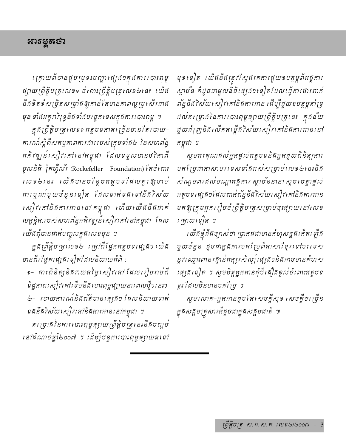# អាទម្ពតថា

*ត្រោយពីបានជួបប្រទះបញ្ហាផ្សេ*ង១ក្នុងការ បោះពុម្ព ផ្សាយព្រឹត្តិបត្រលេខ១ ចំពោះព្រឹត្តិបត្រលេខ២នេះ ឈើដ នឹងទិតទំសម្រិតសម្រាំងឲ្យកាន់តែមានភាពល្អប្រសើរជាង មុន ទាំងអក្ខរាវិរុទ្ធនិងទាំងបញ្ចេកទេសក្នុងការ បោះពុម្ព ។

ក្នុងព្រឹត្តិបត្រលេខ១ អត្ថបទភាគរ ច្រ័នមាន តែរបាយ-ការណ៍ស្តីពីសកម្មភាពការផាររបស់ក្រុមទាំផ៤ នៃសហព័ន្ធ អភិវឌ្ឍន៍ សៀវ កៅ នៅកម្ពុជា ដែលទទួលបានថវិកាពី មូលនិធិ រ៉ុកហ្វឺល័រ (Rockefeller Foundation) តែចំពោះ លេខ២នេះ យើងបានបន្ថែមអត្ថបទដែលគួរឲ្យចាប់ អារម្មណ៍មួយចំនួន ទៀត ដែលទាក់ទគរទៅនឹគ7ិស័យ សៀវកៅនិងការអាននៅកម្ពុជា ហើយ យើងនឹងដាក់ លត្ខន្តិក:របស់សហព័ន្ធអភិវឌ្ឍន៍សៀវគៅនៅកម្ពុជា ដែល *បើងពុំបានដាក់បញ្ចូល*ក្នុង*លេ*ខមុន ។

ក្នុងត្រឹត្តិបត្រលេខ៤ ត្រៅពីផ្នែកអត្ថបទផ្សេង១ យើង មានពីរ ផ្នែកផ្សេងទៀតដែលនិយាយអំពី :

๑- ការពិនិត្យនិងវាយតម្លៃសៀវកៅ ដែលរៀបរាប់ពី ទិដ្ឋភាពសៀវកៅទើបនឹងបោះពុម្ពផ្សាយនាពេលថ្មី១នេះ។ u - បោយការណ៍និងព័ត៌មាន ផ្សេងៗ ដែលនិយាយទាក់ ទននឹនិកស័យសៀវគៅនិងការអាននៅកម្ពុជា ។

គរ ម្រាង នៃការ បោះពុម្ពផ្សាយ ព្រឹត្តិបត្រ នេះនឹងបញ្ចប់ នៅដំណាច់ផ្ទាំ២០០៧ ។ ដើម្បីបន្តការបាះពុម្ពផ្សាយតទៅ

មុខទៀត រយីគនីគត្រូវស្វែគកការដួយឧបត្ថម្ភពីអគ្គការ ស្តាបន កំដូចជាមូលនិធិផេ្ស្រនាទៀតដែលធ្វើការសារពាក់ ពន្ធនីនីវិស័យសៀវកៅនិងការអាន ដើម្បីជួយឧបត្ថម្ភគាំទ្រ ដល់គម្រោងនៃការបោះពុម្ពផ្សាយព្រឹត្តិបត្រនេះ ក្នុងន័យ ដួយជំរុញនិ*ផលើកតម្កើ*ធរិ*ស័យសៀវភៅនិ*ផការអាននៅ កម្ពុជា ។

សូមអរគុណដល់អ្នកផ្តល់អត្ថបទនិងអ្នកជួយពិនិត្យការ បកប្រែជាភាសាបរទេសទាំងអស់សម្រាប់លេខ២នេះនិង សំណូមពរដល់បណ្តាអគ្គការ ស្តាបនៃនានា សូមមេត្តាផ្តល់ អត្ថបទរផ្សន៍ៗដែលពាក់ព័ន្ធនីងrិស័យសៀវកៅនិងការអាន មកឲ្យក្រមអ្នករៀបចំព្រឹត្តិបត្រសម្រាប់ចុះផ្សាយនៅលេខ ក្រោយទៀត ។

*បើងខ្ញុំដឹងច្បាស់ថា ច្រាតដជាមានតំហុស*គ្គង*តើតឡើង* មួយចំនួន ដូចជាក្នុងការបកប្រែពីភាសាខ្មែរទៅបរទេស នូវ ឈ្មោះពានរដ្ធានអក្សរសិល្ប៍ ផ្សេង១និងអាចមានកំហុស រផ្ស្រីទៀត ។ សូមមិត្តអ្នកអានកុំបីស្រ៊ីស្រឆ្លាប់បំពោះអត្ថបទ ខ្ទះ ដែលមិនបានបកស្រែ ។

សូមលោក-អ្នកអានដួបតែសេចក្តីសុទ សេចក្តីចក្រើុន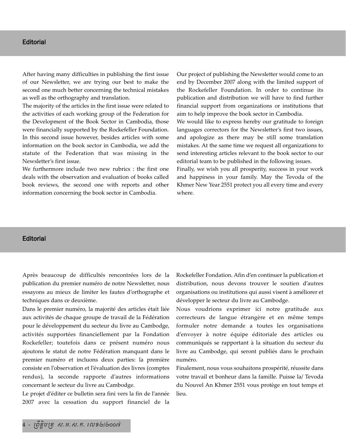### **Editorial**

After having many difficulties in publishing the first issue of our Newsletter, we are trying our best to make the second one much better concerning the technical mistakes as well as the orthography and translation.

The majority of the articles in the first issue were related to the activities of each working group of the Federation for the Development of the Book Sector in Cambodia, those were financially supported by the Rockefeller Foundation. In this second issue however, besides articles with some information on the book sector in Cambodia, we add the statute of the Federation that was missing in the Newsletter's first issue.

We furthermore include two new rubrics : the first one deals with the observation and evaluation of books called book reviews, the second one with reports and other information concerning the book sector in Cambodia.

Our project of publishing the Newsletter would come to an end by December 2007 along with the limited support of the Rockefeller Foundation. In order to continue its publication and distribution we will have to find further financial support from organizations or institutions that aim to help improve the book sector in Cambodia.

We would like to express hereby our gratitude to foreign languages correctors for the Newsletter's first two issues, and apologize as there may be still some translation mistakes. At the same time we request all organizations to send interesting articles relevant to the book sector to our editorial team to be published in the following issues.

Finally, we wish you all prosperity, success in your work and happiness in your family. May the Tevoda of the Khmer New Year 2551 protect you all every time and every where.

#### **Editorial**

Après beaucoup de difficultés rencontrées lors de la publication du premier numéro de notre Newsletter, nous essayons au mieux de limiter les fautes d'orthographe et techniques dans ce deuxième.

Dans le premier numéro, la majorité des articles était liée aux activités de chaque groupe de travail de la Fédération pour le développement du secteur du livre au Cambodge, activités supportées financiellement par la Fondation Rockefeller; toutefois dans ce présent numéro nous ajoutons le statut de notre Fédération manquant dans le premier numéro et incluons deux parties: la première consiste en l'observation et l'évaluation des livres (comptes rendus), la seconde rapporte d'autres informations concernant le secteur du livre au Cambodge.

Le projet d'éditer ce bulletin sera fini vers la fin de l'année 2007 avec la cessation du support financiel de la Rockefeller Fondation. Afin d'en continuer la publication et distribution, nous devons trouver le soutien d'autres organisations ou institutions qui aussi visent à améliorer et développer le secteur du livre au Cambodge.

Nous voudrions exprimer ici notre gratitude aux correcteurs de langue étrangère et en même temps formuler notre demande a toutes les organisations d'envoyer à notre équipe éditoriale des articles ou communiqués se rapportant à la situation du secteur du livre au Cambodge, qui seront publiés dans le prochain numéro.

Finalement, nous vous souhaitons prospérité, réussite dans votre travail et bonheur dans la famille. Puisse la/ Tevoda du Nouvel An Khmer 2551 vous protège en tout temps et lieu.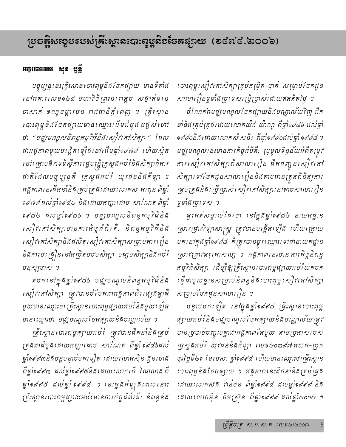# <sub>ໂ</sub>ၓႄႜဒ္မွဳနၖးတ္ឧၓၥအေႏၵ်မ္အားစေးၿပီးအေးအေနအေျပော (စက္လံေတြေ၀)

## អក្ថបចដោយ សុខ ប្ញន្តិ

បច្ចុប្បន្ននេះគ្រឹះស្ថានរបាះពុម្ពនិធ័បែកផ្យាយ មានទីតាំឆ នៅអគារលេខ១៤៨ មហាវិថីព្រះនពេត្តម សង្កាត់ទន្ទេ បាសាក់ ខណ្ឌចម្ការមន រាជជានីភ្នំពេញ ។ គ្រឹះស្ថាន េបាះពុម្ពនិធ័បែកផ្សាយមានឈ្មោះដើមដំបូផ បន្ទស់ ហៅ ថា "មជ្ឈមណ្ឌលនិពន្ធកម្ម7ិធីនិងសៀវ គៅសិក្សា " ដែល ដាអគ្គកាពមួយបង្កើត ឡើគរ នៅដើមផ្នាំ១៩៧៩ ហើយស្ថិត នៅរ គ្រាមឱកាទទីស្តីការរដ្ឋមន្ត្រីក្រសួងអប់រំនិងសិក្សាធិការ ដាតិដែលបច្ចុប្បន្នគឺ ក្រសួងអប់រំ យុវជននិងកីឡា ។ អគ្គភាពនេះដឹកនាំនិងគ្រប់គ្រងដោយលោកស កាពុន ពីឆ្នាំ ១៩៧៩ ដល់ផ្ទាំ១៩៨៤ និង ដោយកញ្ញា ដោម សាណែត ពីផ្ទាំ ១៩៨៤ ដល់ឆ្នាំ១៩៨៦ ។ មជ្ឈមណ្ឌលនិពន្ធកម្មវិធីនិគ សៀវ គៅសិក្សាមានគារកិច្ចជំពីរគឺ: និពន្ធកម្មវិជីនិង សៀវកៅសិក្សានិងផលិតសៀវកៅសិក្សាសម្រាប់ការរៀន និងការបង្រៀននៅកម្រិតបឋមសិក្សា មធ្យមសិក្សានិងអប់រំ មនុស្សចាស់ ។

តមក នៅក្នុងផ្នាំ១៩៨៦ មជ្ឈមណ្ឌលនិពន្ធកម្ម7ិជីនិង សៀវកៅសិក្សា ត្រូវបានបំបែកជាអគ្គភាពពីរស្សេគគ្នាគឺ មួយមានស្មោះថា គ្រឹះស្ថាន បាះពុម្ពផ្សាយអប់រំនិតមួយ ទៀត មានឈ្មោះថា មជ្ឈមណ្ឌលថែកផ្សាយនិងបណ្ណាលយ ។

គ្រឹះស្ថានរបាះពុម្ពផ្សាយអប់រំ ត្រូវបានដឹកនាំនិងគ្រប់ គ្រងដាដំបូងដោយកញ្ញាដោម សាណែត ពីឆ្នាំ១៩៨៦ដល់ ផ្នាំ១៩៩៣និងបន្តបន្ទាប់មកទៀត ដោយលោកស៊ុន ឆ្លួនហេង ពីផ្នាំ១៩៩៣ ដល់ផ្នាំ១៩៩៥និងដោយលោកកើ ណៃលាង ពី ធ្នាំ១៩៩៥ ដល់ធ្នាំ១៩៩៨ ។ នៅក្នុងអំឡុងពេលនោះ គ្រឹះស្ថាន បាះពុម្ពផ្សាយអប់រំមានការកិច្ចជំពីរគឺ: និពន្ធនិង របាះពុម្ពសៀវកៅសិក្សាគ្រប់កម្រិត-ថ្នាក់ សម្រាប់បែកជួន សាលារៀនទួទាំងប្រទេសប្រើប្រាស់ដោយឥតគិតថ្ងៃ ។ ចំណែកឯមដ្ឋទ្រណ្ឌលចែកផ្សាយនិគមណ្ណាលយកិញ ដឹក នាំនិងគ្រប់គ្រងដោយលោកយ៉ង់ យ៉ាណូ ពីផ្នាំ១៩៨៦ ដល់ផ្នាំ จ๙๙๐ธิธาฬาพาเกาหญิ ฬธิ์า ถี่ตั้งจ<๙๐ฬญ์จุ๊งจะ๙๔ ฯ មជ្ឈមណ្ឌលនេះមានភារកិច្ចជំបីគឺ: ប្រមូលទិន្នន័យអំពីតម្រវ ការសៀវកៅសិក្សាពីសាលារៀន ដឹកដញ្ចូនសៀវកៅ សិក្សាទៅបែកដូនសាលារៀននិងតាមដានត្រុតពិនិត្យការ គ្រប់គ្រងនិងប្រើប្រាស់សៀវកៅសិក្សានៅតាមសាលារៀន ទូទាំងប្រទេស ។

គួរកត់សម្គាល់ដែរថា នៅក្នុងឆ្នាំ១៩៨៤ នាយកដ្ឋាន ស្រាវជ្រាវវិទ្យាសាស្ត្រ ត្រូវបានបង្កើតទ្បើផ ហើយក្រោយ មក នៅក្នុងឆ្នាំ១៩៩៨ កំំត្រូវបានប្តូរ ឈ្មោះ ទៅជានាយកដ្ឋាន ស្រាវជ្រាវគរុកោសល្យ ។ អគ្គកាពនេះមានការកិច្ចនិពន្ធ កម្ម7ិធីសិក្សា ដើម្បីឲ្យគ្រឹះស្ថាន បោះពុម្ពផ្សាយអប់រំយកមក រឆ្ទឺដាមូលដ្ឋានសម្រាប់និពន្ធនិធរបាះពុម្ពសៀវកៅសិក្សា សម្រាប់បែកជូនសាលារៀន ។

បន្ទាប់មកទៀត នៅក្នុងផ្នាំ១៩៩៨ គ្រឹះស្ថាន បាះពុម្ព ផ្សាយអប់រំនិងមជ្ឈមណ្ឌលថែកផ្សាយនិងបណ្ណាលយត្រូវ បានច្របាច់បញ្ចូលគ្នាជាអគ្គកាពតែមួយ តាមប្រកាសរបស់ ក្រសួងអប់រំ យុវជននិងកីឡា លេខ២០៣៩៧ អយក-ប្រក ចុះថ្ងៃទី២១ ទែរមេសា ផ្នាំ១៩៩៨ ហើយមានឈ្មោះថាគ្រឹះស្ថាន របាះពុម្ពនិធិបែកផ្សាយ ។ អគ្គកាពនេះដឹកនាំនិគគ្រប់គ្រគ ដោយលោកស៊ុគ វ៉ាន់ថន ពីឆ្នាំ១៩៩៨ ដល់ឆ្នាំ១៩៩៩ និគ ដោយលោកអ៊ិន គឹមស្រ៊ុន ពីផ្ទាំ១៩៩៩ ដល់ផ្ទាំ២០០២ ។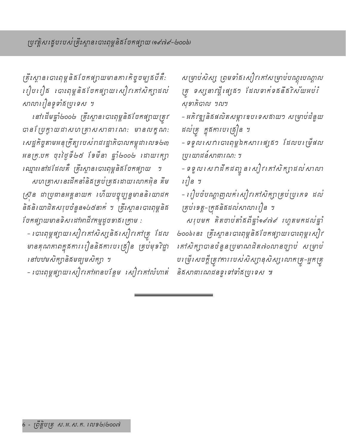គ្រឹះស្ថាន បោះពុម្ពនិធ1័ចកផ្ទាយមានភារកិច្ចចម្បូងបីគឺ: ្រៀបរៀត របាះពុម្ពនិគចែកផ្សាយសៀវកៅសិក្សាដល់ សាលារៀនទូទាំងប្រទេស ។

នៅដើមធ្នាំ២០០២ គ្រឹះស្ថានរបាះពុម្ពនិធ័បែកផ្សាយត្រូវ បានប្រែក្វាយដាសហគ្រាសសាធារណ: មានលក្ខណ: សេដ្ឋកិច្ចតាមអនុក្រឹត្យរបស់ពជវដ្ឋាភិបាលកម្ពុជាលេខ២៣ អនក្រ.បក ចុះថ្ងៃទី៤៥ ខែមីនា ឆ្នាំ៤០០៤ ដោយរក្បា ឈ្មោះនៅដដែលគឺ គ្រឹះស្ថានបោះពុម្ពនិធិបែកផ្សាយ ។

សហគ្រាសនេះដឹកនាំនិងគ្រប់គ្រងដោយលោកអ៊ិន គឹម ស្រ៊ន ជាប្រធានអគ្គនាយក ហើយបច្ចុប្បន្នមាននិយោជក និងនិយោជិតសរុបចំនួន១៤៥នាក់ ។ គ្រឹះស្ថានរបាះពុម្ពនិង ថែកផ្ទុកយមានទិសដៅអាជីវកម្មដូចទាធរត្រាម :

- របាះពុម្ពផ្សាយសៀវកៅសិស្សនិងសៀវកៅគ្រូ ដែល មានគុណភាពក្នុងការរៀននិងការបង្រៀន គ្រប់មុខវិជ្ជា នៅបឋមសិក្សានិងមធ្យមសិក្សា ។

- បោះពុម្ពផ្សាយសៀវកៅអានបន្ថែម សៀវកៅលំហាត់

សម្រាប់សិស្ស ព្រមទាំងសៀវកៅសម្រាប់បណ្តុះបណ្តាល គ្រុ ទស្សនាវដ្ដី ផ្សេង១ ដែលទាក់ទងនឹងវិស័យអប់រំ សុខាភិបាល ។ល។

– អភិវឌ្ឍនិងផលិតសម្ភារឧបទេសដាយៗ សម្រាប់ដំនួយ ដល់គ្រ ក្នុងការបង្រៀន ។

– ទទួលសេវាបោះពុម្ពឯកសារ ផ្សេង១ ដែលបម្រើផល ប្រយោជន៍សាធារណ: ។

- ទទួល សេវាដឹកដញ្ចូន សៀវ គៅសិក្សាដល់សាលា  $\sqrt{15}$  9

– ពៀបចំបណ្តាញលក់សៀវកៅសិក្សាគ្រប់ប្រភេទ ដល់ គ្រប់ខេត្ត-ក្រគនិគដល់សាលារៀន ។

សរុបមក គិតចាប់តាំងពីឆ្នាំ១៩៧៩ រហូតមកដល់ឆ្នាំ ២០០៦៖នះ គ្រឹះស្ថានរបាះពុម្ពនិធិបែកផ្សាយបោះពុម្ពសៀវ *គៅសិត្បាបានចំនួនប្រមាណជិត៧០លានច្បាប់ សម្រាប់* បច្រើសេចក្តីត្រូវការរបស់សិស្សានុសិស្សលោកគ្រូ-អ្នកគ្រូ និងសាធារណជនទូទៅទាំងប្រទេស ៕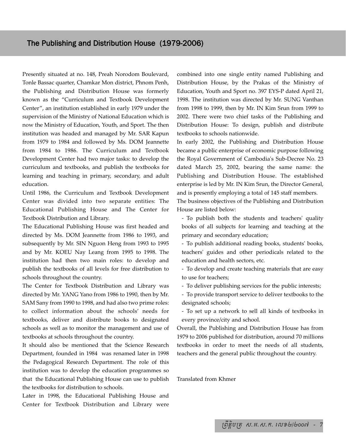Presently situated at no. 148, Preah Norodom Boulevard, Tonle Bassac quarter, Chamkar Mon district, Phnom Penh, the Publishing and Distribution House was formerly known as the "Curriculum and Textbook Development Center", an institution established in early 1979 under the supervision of the Ministry of National Education which is now the Ministry of Education, Youth, and Sport. The then institution was headed and managed by Mr. SAR Kapun from 1979 to 1984 and followed by Ms. DOM Jeannette from 1984 to 1986. The Curriculum and Textbook Development Center had two major tasks: to develop the curriculum and textbooks, and publish the textbooks for learning and teaching in primary, secondary, and adult education.

Until 1986, the Curriculum and Textbook Development Center was divided into two separate entities: The Educational Publishing House and The Center for Textbook Distribution and Library.

The Educational Publishing House was first headed and directed by Ms. DOM Jeannette from 1986 to 1993, and subsequently by Mr. SIN Nguon Heng from 1993 to 1995 and by Mr. KOEU Nay Leang from 1995 to 1998. The institution had then two main roles: to develop and publish the textbooks of all levels for free distribution to schools throughout the country.

The Center for Textbook Distribution and Library was directed by Mr. YANG Yano from 1986 to 1990, then by Mr. SAM Sany from 1990 to 1998, and had also two prime roles: to collect information about the schools' needs for textbooks, deliver and distribute books to designated schools as well as to monitor the management and use of textbooks at schools throughout the country.

It should also be mentioned that the Science Research Department, founded in 1984 was renamed later in 1998 the Pedagogical Research Department. The role of this institution was to develop the education programmes so that the Educational Publishing House can use to publish the textbooks for distribution to schools.

Later in 1998, the Educational Publishing House and Center for Textbook Distribution and Library were combined into one single entity named Publishing and Distribution House, by the Prakas of the Ministry of Education, Youth and Sport no. 397 EYS-P dated April 21, 1998. The institution was directed by Mr. SUNG Vanthan from 1998 to 1999, then by Mr. IN Kim Srun from 1999 to 2002. There were two chief tasks of the Publishing and Distribution House: To design, publish and distribute textbooks to schools nationwide.

In early 2002, the Publishing and Distribution House became a public enterprise of economic purpose following the Royal Government of Cambodia's Sub-Decree No. 23 dated March 25, 2002, bearing the same name: the Publishing and Distribution House. The established enterprise is led by Mr. IN Kim Srun, the Director General, and is presently employing a total of 145 staff members.

The business objectives of the Publishing and Distribution House are listed below:

- To publish both the students and teachers' quality books of all subjects for learning and teaching at the primary and secondary education;

- To publish additional reading books, students' books, teachers' guides and other periodicals related to the education and health sectors, etc.

- To develop and create teaching materials that are easy to use for teachers;

- To deliver publishing services for the public interests;

- To provide transport service to deliver textbooks to the designated schools;

- To set up a network to sell all kinds of textbooks in every province/city and school.

Overall, the Publishing and Distribution House has from 1979 to 2006 published for distribution, around 70 millions textbooks in order to meet the needs of all students, teachers and the general public throughout the country.

Translated from Khmer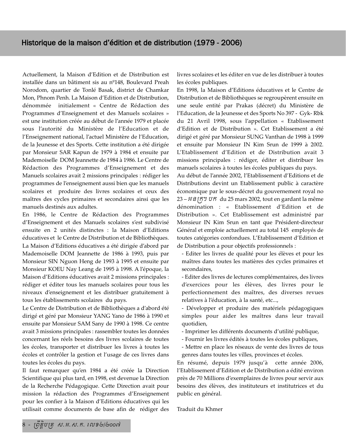Actuellement, la Maison d'Edition et de Distribution est installée dans un bâtiment sis au nº148, Boulevard Preah Norodom, quartier de Tonlé Basak, district de Chamkar Mon, Phnom Penh. La Maison d'Edition et de Distribution, dénommée initialement « Centre de Rédaction des Programmes d'Enseignement et des Manuels scolaires » est une institution créée au début de l'année 1979 et placée sous l'autorité du Ministère de l'Education et de l'Enseignement national, l'actuel Ministère de l'Education, de la Jeunesse et des Sports. Cette institution a été dirigée par Monsieur SAR Kapun de 1979 à 1984 et ensuite par Mademoiselle DOM Jeannette de 1984 à 1986. Le Centre de Rédaction des Programmes d'Enseignement et des Manuels scolaires avait 2 missions principales : rédiger les programmes de l'enseignement aussi bien que les manuels scolaires et produire des livres scolaires et ceux des maîtres des cycles primaires et secondaires ainsi que les manuels destinés aux adultes.

En 1986, le Centre de Rédaction des Programmes d'Enseignement et des Manuels scolaires s'est subdivisé ensuite en 2 unités distinctes : la Maison d'Editions éducatives et le Centre de Distribution et de Bibliothèques. La Maison d'Editions éducatives a été dirigée d'abord par Mademoiselle DOM Jeannette de 1986 à 1993, puis par Monsieur SIN Nguon Heng de 1993 à 1995 et ensuite par Monsieur KOEU Nay Leang de 1995 à 1998. A l'époque, la Maison d'Editions éducatives avait 2 missions principales : rédiger et éditer tous les manuels scolaires pour tous les niveaux d'enseignement et les distribuer gratuitement à tous les établissements scolaires du pays.

Le Centre de Distribution et de Bibliothèques a d'abord été dirigé et géré par Monsieur YANG Yano de 1986 à 1990 et ensuite par Monsieur SAM Sany de 1990 à 1998. Ce centre avait 3 missions principales : rassembler toutes les données concernant les réels besoins des livres scolaires de toutes les écoles, transporter et distribuer les livres à toutes les écoles et contrôler la gestion et l'usage de ces livres dans toutes les écoles du pays.

Il faut remarquer qu'en 1984 a été créée la Direction Scientifique qui plus tard, en 1998, est devenue la Direction de la Recherche Pédagogique. Cette Direction avait pour mission la rédaction des Programmes d'Enseignement pour les confier à la Maison d'Editions éducatives qui les utilisait comme documents de base afin de rédiger des livres scolaires et les éditer en vue de les distribuer à toutes les écoles publiques.

En 1998, la Maison d'Editions éducatives et le Centre de Distribution et de Bibliothèques se regroupèrent ensuite en une seule entité par Prakas (décret) du Ministère de l'Education, de la Jeunesse et des Sports No 397 - Gyk- Rbk du 21 Avril 1998, sous l'appellation « Etablissement d'Edition et de Distribution ». Cet Etablissement a été dirigé et géré par Monsieur SUNG Vanthan de 1998 à 1999 et ensuite par Monsieur IN Kim Srun de 1999 à 2002. L'Etablissement d'Edition et de Distribution avait 3 missions principales : rédiger, éditer et distribuer les manuels scolaires à toutes les écoles publiques du pays.

Au début de l'année 2002, l'Etablissement d'Editions et de Distributions devint un Etablissement public à caractère économique par le sous-décret du gouvernement royal no 23 – GnRk> bk du 25 mars 2002, tout en gardant la même dénomination : « Etablissement d'Edition et de Distribution ». Cet Etablissement est administré par Monsieur IN Kim Srun en tant que Président-directeur Général et emploie actuellement au total 145 employés de toutes catégories confondues. L'Etablissement d'Edition et de Distribution a pour objectifs professionnels :

- Editer les livres de qualité pour les élèves et pour les maîtres dans toutes les matières des cycles primaires et secondaires,

- Editer des livres de lectures complémentaires, des livres d'exercices pour les élèves, des livres pour le perfectionnement des maîtres, des diverses revues relatives à l'éducation, à la santé, etc...,

- Développer et produire des matériels pédagogiques simples pour aider les maîtres dans leur travail quotidien,

- Imprimer les différents documents d'utilité publique,
- Fournir les livres édités à toutes les écoles publiques,
- Mettre en place les réseaux de vente des livres de tous genres dans toutes les villes, provinces et écoles.

En résumé, depuis 1979 jusqu'à cette année 2006, l'Etablissement d'Edition et de Distribution a édité environ près de 70 Millions d'exemplaires de livres pour servir aux besoins des élèves, des instituteurs et institutrices et du public en général.

Traduit du Khmer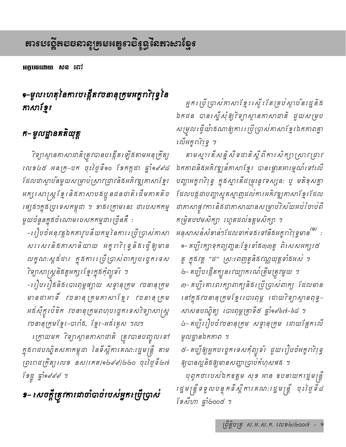អក្កបចដោយ សុន សេវ

# ๑–ម្ជុលហេតុនៃការបង្កើត*វច*នានុក្រុមអក្ខរាវិរុទ្ធនៃ កាសាខ្មែរ

# ក– មូលដ្ឋានគតិយុត្ត

*រិទ្យាស្ថានកាសាជាតិត្រូវបានបង្កើតឡើ*ងតាមអនុក្រឹត្យ เលอ៤៥ អនក្រ-បក ចុះថ្ងៃទី๑๐ ទែកក្កដា ឆ្នាំ๑๙๙๘ ដែលជាស្តាបនៃមួយសម្រាប់ស្រាវជ្រាវនិងអភិវឌ្ឍភាសាខ្មែរ អក្សរសាស្ត្រខ្មែរនិងកាសាបងប្អូនដនដាតិដើមកាគតិច រផ្សនី១ក្នុងប្រទេសកម្ពុជា ។ ខាងក្រោមនេះ ជាបេសកកម្ម មួយចំនួនក្នុងចំណោមបេសកកម្មជារច្រើនគឺ :

-តៀបចំអនុវត្តឯកការូបន័យកម្មនៃការស្រីប្រាស់កាសា សរសេរនិគភាសានិយាយ អក្ខរាវិរុទ្ធនិគរភ្វឺឲ្យមាន លក្ខណៈស្គង់ដារ ក្នុងការប្រើប្រាស់ពាក្យបច្ចេកទេស វិទ្យាសាស្ត្រនិងតួអក្សរខ្មែរក្នុងកុំព្យូទរ ។

-តៀបសៀននិងសោះពុម្ពផ្សាយ សទ្ទានុត្រម រចនានុត្រម អដ់ស៊ីក្វូ ប៉េឌិក វចនានុក្រមពហុប ច្ចេក ទេសវិទ្យាសាស្ត្រ †ចនានុក្រមខ្មែរ-បារាំង, ខ្មែរ-អង់គ្លេស ។ល។

ក្រោយមក *នៃព្រស្តានគាសាជាតិ ត្រូវបានបញ្ចូលទៅ* ក្នុងរាជបណ្ឌិតសភាកម្ពុជា នៃទីស្តីការគណ:រដ្ឋមន្ត្រី តាម ព្រះពដក្រឹត្យលេខ នស/រកត/១២៩៩/២២០ ចុះថ្ងៃទី២៧ เอนี นิ่งอะเย่ะ ม

១– សេចក្តីត្រូវការជាចាំបាច់របស់អ្នកប្រើប្រាស់

អ្នកប្រើប្រាស់កាសាខ្មែរស្ទើរតែគ្រប់ស្តាប់នរដ្ឋនិង ឯកជន បានស្នើសុំឲ្យ7ិទ្យាស្ថានភាសាជាតិ ដួយសម្រប សម្រលត្វើយ៉ាគណាឲ្យការស្រីប្រាស់កាសាខ្មែរឯកកាពគ្នា សើអត្តរាវិទ្រូ ។

តាមស្មារតីសន្និសីទដាតិស្តីពីការសិក្សាស្រាវជ្រាវ ឯកភាពនិងអភិវឌ្ឍន៍ភាសាខ្មែរ បានផ្តោតអារម្មណ៍ទៅលើ បញ្ហាអត្ខរា7ិវុទ្ធ ក្នុងស្មារតីដម្រុះនូវទស្សនៈ ឬ មតិខុសគ្នា ដែលបង្កដាបញ្ហាស្មុគស្មាញដល់ការអភិវឌ្ឍកាសាខ្មែរដែល ដាគាសាផ្ទុវការនិងដាគាសាយានសម្រាប់វិស័យអប់រំចាប់ពី កម្រិតបឋមសិក្សា រហូតដល់ឧត្តមសិក្សា ។ អនុសាសន៍សំខាន់់១ដែលទាក់ទងទៅនឹងអក្ខរា?ស្ទ្រមាន<sup>(®)</sup> : ๑– គប្បីក្រេក្រទុកព្យញ្ជន:ខ្មែរទាំង៣៣ត្ឆូ ពិសេសអក្សរ៥ ត្ត ក្នុងវគ្គ "ដ" ស្រះពេញតួនិងវណ្ណយុត្តទាំងអស់ ។ ៣- គប្បី គោរពរក្សាពាក្យនិងប្រើប្រាស់ពាក្យ ដែលមាន នៅក្នុងវចនានុត្រមខ្មែរ បោះពុម្ព ដោយវិទ្យាស្ថានពុទ្ធ-សាសនឋណ្ឌិត្យ បោះពុម្ពគ្រាទី៥ ឆ្នាំ១៩៦៧-៦៨ ។ ៤- គប្បី រៀបចំរចនានុក្រម សទ្ទានុក្រម ដោយផ្អែកលើ មូលដ្ឋានឯកភាព ។

៥– គប្បីឲ្យអ្នកបច្ចេកទេសកុំព្យូទ័រ ជួយរៀបចំអត្ខរា?រុទ្ធ ឲ្យបានល្អនិងឲ្យមានសញ្ញាច្រាប់កំហុសផង ។

បុព្វកថារបស់ឯកឧត្តម សុខ អាន ឧបនាយករដ្ឋមន្ត្រី រដ្ឋមន្ត្រីទទួលបន្ទុកទីស្តីការគណ:រដ្ឋមន្ត្រី ចុះថ្ងៃទី៨ เองนุก นิเจออล ม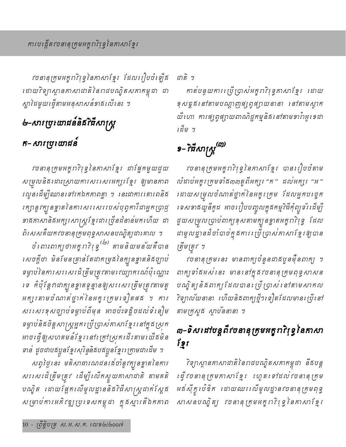វចនានុក្រុមអក្ខរាវិទ្រុវិនៃភាសាខ្មែរ ដែលរៀបចំឡើង ដោយវិទ្យាស្ថានកាសាដាតិនៃពដបណ្ឌិតសកាកម្ពុជា ជា ស្នាដៃមួយធ្វើតាមអនុសាសន៍ទាគលើនេះ ។

# ৬-សារប្រយោជន៍និធីវិធីសាស្ត្រ

# ក- សារប្រយោជនំ

វចនានុក្រុមអក្ខរាវិទ្រុនៃភាសាខ្មែរ ជាផ្នែកមួយជួយ សម្រុលនិងដោះស្រាយការសរសេរអក្សរខ្មែរ ឲ្យមានភាព រលូនដើម្បីឈានទៅរកឯកភាពគ្នា ។ នេះជាការគោរពនិត រត្បានូវត្បួនខ្នាតនៃការសរសេររបស់បុព្វការីជាអ្នកច្រាជ្ញ ខាងកាសានិងអក្សរសាស្ត្រខ្មែរជាច្រើនដំនាន់មកហើយ ជា ពិសេសគឺយកវចនានុក្រុមពុទ្ធសាសនបណ្ឌិត្យជាគោល ។

ចំពោះពាក្យបាអក្ខរា?ស្ទ្ទ<sup>(២)</sup> តាមនិយមន័យគឺបាន *សេច*ក្តីថា មិនមែនគ្រាន់តែជាកម្រគងនក្បួនខ្នាតនិគច្បាប់ ទម្ងាប់នៃការសរសេរដ៏ត្រឹមត្រូវតាមរេយ្យាករណ៍ប៉ុណ្ណោះ ទេ កំប៉ុន្តែកដាក្យនខ្នាតទូន្មានឲ្យសរសេរត្រឹមត្រូវតាមតួ អក្សរតាមចំណាត់ថ្នាក់ នៃអក្ខរក្រម ទៀតផង ។ ការ សរសេរខុសច្បាប់ទម្លាប់ពីមុន អាចប៉ះទន្តិចដល់ទំនៀម ទម្ងាប់និងចិត្តសាស្ត្រអ្នកប្រើប្រាស់កាសាខ្មែរ នៅក្នុងស្រុក អាចរេឆ្នឺឲ្យសហគមន៍ខ្មែរ នៅរ ក្រាស្រក ដើរតាមរ យឺឆមិន ទាន ដូចជាបងប្អូនខ្មែរសុរិន្ទនិងបងប្អូនខ្មែរក្រោមជាដើម ។

សព្វថ្ងៃនេះ មតិសាធារណជនរដ់ចាំនូវក្បួនខ្នាតនៃការ សរ សេរដ៏ត្រឹមត្រូវ ដើម្បីឈើកស្ទួយកាសាជាតិ តាមគតិ បណ្ឌិត ដោយផ្អែកលើមូលដ្ឋាននិង7ិធីសាស្ត្រដាក់ស្តែង សម្រាប់ការអភិវឌ្ឍប្រទេសកម្ពុជា ក្នុងស្មារតងឯកភាព ជាតិ ។

កាត់បន្ថយការប្រើប្រាស់អក្ខរាវិរុទ្ធភាសាខ្មែរ ដោយ ខុសគ្គូដ៏ នៅតាមបណ្តាញផ្សព្វផ្សាយនានា នៅតាមស្ទាត យី ហោ ការផ្សព្វផ្សាយពាណិដ្ឋកម្មនិង នៅតាមទារ៉ាអូទេដា ដើម ។

# $\pmb{3}$ – វិធីសាស្ត្រ $\pmb{\beta}^{(\pmb{\eta})}$

វចនានុក្រមអក្ខរាវិរុទ្ធនៃកាសាខ្មែរ បានរៀបចំតាម លំដាប់អក្ខរក្រុមទាំង៣៣តួពីអក្សរ "ក" ដល់អក្សរ "អ" ដោយសម្រលចំណាត់ថ្នាក់នៃអគ្ខក្រេម ដែលអ្នកបច្ចេក ទេសទាគយូនីកូដ អាចរៀបបញ្ចូលក្នុងកម្មវិធីកុំព្យូទ័រដើម្បី ដួយសម្រុលប្រាប់ពាក្យខុសតាមក្យួនខ្ទាតអត្ធរា7ិវុទ្ធ ដែល ដាមូលដ្ឋានដ៏ចាំបាច់ក្នុងការ ប្រើប្រាស់កាសាខ្មែរឲ្យបាន ត្រឹមត្រូវ ។

វចនានុក្រុមនេះ មានពាក្យចំនួនជាគបួនមុឺនពាក្យ ។ ពាក្យទាំងអស់នេះ មាននៅក្នុងវចនានុក្រមពុទ្ធសាសន បណ្ឌិត្យ និងពាក្យ ដែលបាន ប្រើប្រាស់ នៅតាមសាកល វិទ្យាល័យនានា ហើយនិងពាក្យថ្មី១ទៀតដែលមានច្រើនៅ តាមក្រសួត ស្ថាបននានា ។

# ៣−ទិស៖ដ1់បន្តពីវចនានុក្រុមអក្ខរា?ិរុទ្ធនៃភាសា ទ្រូវ

7ិទ្យាស្ថានភាសាជាតិនៃរាជបណ្ឌិតសភាកម្ពុជា នឹងបន្ត ផ្ទើរចនានុ ត្រមកាសាខ្មែរ រហូត ទៅដល់រចនានុ ត្រម អន័ស៊ីកូ ប៉េឌិក ដោយឈរ លើមូលដ្ឋានវចនានុក្រមពុទ្ធ សាសនបណ្ឌិត្យ វចនានុ ត្រមអក្ខរា?ិរុទ្ធ នៃភាសាខ្មែរ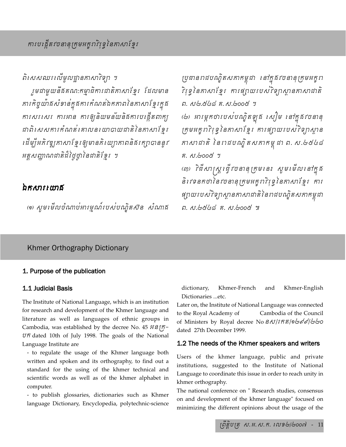ពិសេសឈរលើមូលដ្ឋានគាសាវិទ្យា ។

ុមជាមួយនឹងគណ:កម្មាធិការជាតិកាសាខ្មែរ ដែលមាន ការកិច្ចយ៉ាងសំខាន់ក្នុងការកំណត់ឯកភាពនៃភាសាខ្មែរក្នុង ការសរសេរ ការអាន ការឲ្យនិយមន័យនិងការបង្កើតពាក្យ ដាពិសេសការកំណត់គោលនយោបាយដាតិនៃភាសាខ្មែរ ដើម្បីអភិវឌ្ឍកាសាទែរឲ្យមានភិយោ្រកាពនិធិរក្សាបាននូវ អត្តសញ្ញាណជាតិដ៏ថ្ងៃថ្នា នៃជាតិខែ្មរ...។

## ឯកសារយោង

(๑) សូមមើលចំណាប់អារម្មណ៍របស់បណ្ឌិតសិន សំណាគ

ប្រជានពដបណ្ឌិតសភាកម្ពុជា នៅក្នុងវចនានុក្រុមអក្ខព 7ំទ្វៀនកាសាខ្មែរ ការផ្សាយរបស់?ទ្យាស្ថានកាសាជាតិ ค. ญ<sub>ั</sub>ษ. 26 ต. ณ. 2008 ฯ (២). អារម្ភកថារបស់បណ្ឌិតឡូគ សៀម នៅក្នុងវចនានុ ក្រុមអក្ខរា?ថ្ងៃនៃកាសាខ្មែរ ការផ្សាយរបស់?ទ្យាស្ថាន កាសាជាតិ នៃរាជបណ្ឌិតសកាកម្ពុជា ព. ស.៤៥៤៨ ติ. ญ. ๒๐๐๕ ฯ (៣) វិជីសាស្ត្រធ្វើវចនានុក្រមនេះ សូមមើលនៅក្នុង nievTnkfaénvcnanuRkmGkçraviruT§énPasaExμr...kar

ផ្សាយបេសវិទ្យាស្ថានកាសាជាតិនៃរាជបណ្ឌិតសភាកម្ពុជា

ต. ญ.๒๕๔๘ ค. ญ.๒๐๐๕ ๚

## Khmer Orthography Dictionary

## 1. Purpose of the publication

## 1.1 Judicial Basis

The Institute of National Language, which is an institution for research and development of the Khmer language and literature as well as languages of ethnic groups in literature as well as languages of ethnic groups in<br>Cambodia, was established by the decree No. 45 ff $\mathcal{S}\tilde{\mathsf{f}}$ Cambodia, was established by the decree No. 45 អ៊ន*ក្រិ-*<br>ប៊ភ៌ dated 10th of July 1998. The goals of the National Language Institute are

- to regulate the usage of the Khmer language both written and spoken and its orthography, to find out a standard for the using of the khmer technical and scientific words as well as of the khmer alphabet in computer.

- to publish glossaries, dictionaries such as Khmer language Dictionary, Encyclopedia, polytechnic-science

dictionary, Khmer-French and Khmer-English Dictionaries ...etc.

Later on, the Institute of National Language was connected to the Royal Academy of Cambodia of the Council of Ministers by Royal decree No Soliffino bods of 1990 dated 27th December 1999.

## 1.2 The needs of the Khmer speakers and writers

Users of the khmer language, public and private institutions, suggested to the Institute of National Language to coordinate this issue in order to reach unity in khmer orthography.

The national conference on " Research studies, consensus on and development of the khmer language" focused on minimizing the different opinions about the usage of the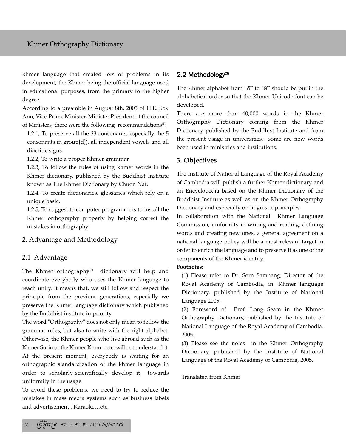khmer language that created lots of problems in its development, the Khmer being the official language used in educational purposes, from the primary to the higher degree.

According to a preamble in August 8th, 2005 of H.E. Sok Ann, Vice-Prime Minister, Minister President of the council of Ministers, there were the following recommendations $(1)$ :

1.2.1, To preserve all the 33 consonants, especially the 5 consonants in group{d}), all independent vowels and all diacritic signs.

1.2.2, To write a proper Khmer grammar.

1.2.3, To follow the rules of using khmer words in the Khmer dictionary, published by the Buddhist Institute known as The Khmer Dictionary by Chuon Nat.

1.2.4, To create dictionaries, glossaries which rely on a unique basic.

1.2.5, To suggest to computer programmers to install the Khmer orthography properly by helping correct the mistakes in orthography.

## 2. Advantage and Methodology

## 2.1 Advantage

The Khmer orthography<sup>(2)</sup> dictionary will help and coordinate everybody who uses the Khmer language to reach unity. It means that, we still follow and respect the principle from the previous generations, especially we preserve the Khmer language dictionary which published by the Buddhist institute in priority.

The word "Orthography" does not only mean to follow the grammar rules, but also to write with the right alphabet. Otherwise, the Khmer people who live abroad such as the Khmer Surin or the Khmer Krom…etc. will not understand it. At the present moment, everybody is waiting for an orthographic standardization of the khmer language in order to scholarly-scientifically develop it towards uniformity in the usage.

To avoid these problems, we need to try to reduce the mistakes in mass media systems such as business labels and advertisement , Karaoke…etc.

## $2.2$  Methodology<sup>(3)</sup>

The Khmer alphabet from " $\tilde{n}$ " to " $\tilde{n}$ " should be put in the alphabetical order so that the Khmer Unicode font can be developed.

There are more than 40,000 words in the Khmer Orthography Dictionary coming from the Khmer Dictionary published by the Buddhist Institute and from the present usage in universities, some are new words been used in ministries and institutions.

### **3. Objectives**

The Institute of National Language of the Royal Academy of Cambodia will publish a further Khmer dictionary and an Encyclopedia based on the Khmer Dictionary of the Buddhist Institute as well as on the Khmer Orthography Dictionary and especially on linguistic principles.

In collaboration with the National Khmer Language Commission, uniformity in writing and reading, defining words and creating new ones, a general agreement on a national language policy will be a most relevant target in order to enrich the language and to preserve it as one of the components of the Khmer identity.

#### **Footnotes:**

(1) Please refer to Dr. Sorn Samnang, Director of the Royal Academy of Cambodia, in: Khmer language Dictionary, published by the Institute of National Language 2005.

(2) Foreword of Prof. Long Seam in the Khmer Orthography Dictionary, published by the Institute of National Language of the Royal Academy of Cambodia, 2005.

(3) Please see the notes in the Khmer Orthography Dictionary, published by the Institute of National Language of the Royal Academy of Cambodia, 2005.

#### Translated from Khmer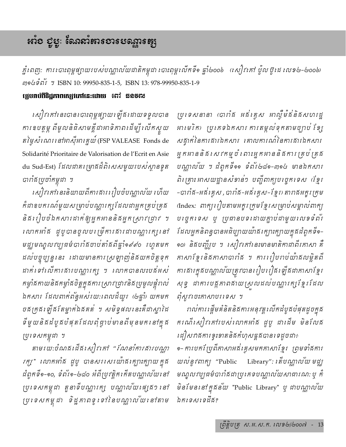# ងរួច សិកៈ សោយនេះ សេច សេច នេះ

ភ្នំពេញ: ការសោះពុម្ពផ្សាយរបស់បណ្ណាលយដាតិកម្ពុដា បោះពុម្ពលើកទី១ ឆ្នាំ២០០៦ (សៀវគៅ ប៉ូល ប៊ូដេ លេខ២–២០០៦) mocsทั้ง 1 ISBN 10: 99950-835-1-5, ISBN 13: 978-99950-835-1-9

### ព្យេហាប់ពីទិដ្ឋភាពស្បេវភៅនេះដោយ ទោះ ឌុនទុល

សៀវកៅនេះបានបោះពុម្ពផ្សាយឡើងដោយទទួលបាន ការឧបត្តម្ភ ពីមូលនិធិសាមគ្គីដាអាទិកាពដើម្បី លើកស្ទួយ តថ្ងៃសំណេរទៅអាស៊ីអារគ្នយ៍ (FSP VALEASE Fonds de Solidarité Prioritaire de Valorisation de l'Ecrit en Asie du Sud-Est) ដែលជាគម្រោងដ៏ពិសេសមួយរបស់ស្ថានទូត បារាំងប្រចាំកម្ពុជា ។

សៀវកៅរនះនិយាយពីការគាររៀបចំបណ្ណាល័យ ហើយ កំដាឧបករណ៍មួយសម្រាប់បណ្តារក្សដែលជាអ្នកគ្រប់គ្រូង និង រៀបចំឯកសារដាក់ឲ្យអ្នកអាននិងអ្នកស្រាវជ្រាវ ។ លោកអាំគ ដូបូបានចូលបច្រើការគារដាបណ្តារក្សទៅ មជ្ឈមណ្ឌលវប្បធម៌បារាំងចាប់តាំងពីឆ្នាំ១៩៩០ រហូតមក ដល់បច្ចុប្បន្ននេះ ដោយមានការស្រឡាញ់និងយកចិត្តទុក ដាក់ ទៅលើការផារបណ្តារក្ស ។ លោកបានលះបផ័អស់ *កម្វាំងកាយនិងកម្វាំងចិត្តក្នុងការ ស្រាវ ជ្រាវនិងប្រមូលផ្តុំពល់* ឯកសារ ដែលពាក់ព័ន្ធអស់រយ:ពេលដ៏យូរ (៤ឆ្នាំ) យកមក ចដក្រុង ឡើង តែម្នាក់ឯដគត់ ។ សមិទ្ធផល នេះគឺជាស្នាដៃ ទីមួយនិគដំបូគបំផុតដែលពុំផ្ទាប់មានពីមុនមក នៅក្នុង ប្រទេសកម្ពុជា ។

តាមរយ:ចំណតដើតសៀវគៅ "*ណែនាំការគារបណ្តា* រក្ស"ាលោកអាំង ដូបូ បានសរសេរយ៉ាងក្បោះក្បាយក្នុង ដំពូកទី๑-๑๐, ទំព័រ๑-๒๘๐ អំពីប្រវត្តិករកីតបណ្ណាល័យរនៅ ប្រទេសកម្ពុជា តួនាទីបណ្ណារក្ស បណ្ណាល័យ ផ្សេង១ នៅ ប្រទេសកម្ពុជា ទិដ្ឋភាពទូទៅនៃបណ្ណាល័យនៅតាម

ប្រទេសនានា (បាពំផ អធ័រគ្លស អាល្លឺម៉ង់និងសហរដ្ឋ អាមេរិក) ប្រភេទឯកសារ ការតម្កល់ទុកតាមច្បាប់ ខ្សែ សគ្នាក់នៃការគារឯកសារ គោលការណ៍នៃការគារឯកសារ អ្នកអាននិគ្គសេវកម្មចំពោះអ្នកអាននិគ្គការគ្រប់គ្រូគ្គ បណ្តាល័យ ។ ដំពូកទី១១ ទំព័រ២៨១-៣១៤ មានឯកសារ ពិត្រោះ អាសយដ្ឋានសំខាន់ៗ បញ្ជីពាក្យបច្ចេកទេស (ខ្មែរ -បារាំង-អន់គ្លេស,បារាំង-អន់គ្លេស-ខ្មែរ) តារាងអក្ខក្រេម (Index: ពាក្យរៀបតាមអក្ខរក្រុមខ្មែរសម្រាប់សម្គាល់ពាក្យ បច្ចេកទេស ឬ ប្រធានបទដោយគ្នាប់ដាមួយលេខទំព័រ .<br>ដែលអ្នកនិពន្ធបានអធិប្បាយយ៉ាងក្បោះក្បាយក្នុងដំពូកទី๑-๑๐) និគមញ្ច្ចីម ។ សៀវកៅនេះមានមាតិកាជាពីរកាសា គឺ កាសាខ្មែរនិងកាសាបារាំង ។ ការរៀបរាប់យ៉ាងលម្អិតពី ការផារត្នុងបណ្ណាល័យត្រូវបានរៀបរៀផរឡឹងជាកាសាខ្មែរ សុទ្ធ ដាការបង្កកាពឥាយស្រលដល់បណ្ណារក្សខ្មែរដែល ពុំស្ទុះចេះគាសាចរទេស ។

រាល់ការ ផ្តើមគំនិតនិងការអនុវត្តលើកដំបូងបំផុតដូចក្នុង ករណីសៀវកៅរបស់លោកអាំគ ជ្អបូ ជាដើម មិនលែគ *រជុំ]ស*ពងការខ្វះខាតនិងកំហុសត្តងបានទេដូចជា÷

๑- ការបកប្រែពីភាសាអធិរគ្គសមកភាសាខ្មែរ ព្រមទាំផការ យលន្លែវពាក្យ "Public Library": គេីបណ្ណាល័យ មជ្ឈ មណ្ឌលវប្បធម៌បារាំផដាប្រគេទបណ្ណាលយសាធារណ: ឬ គំ មិនមែន នៅក្នុងន័យ "Public Library" ឬ ជាបណ្ណាល័យ ឯកទេសទេដឹង?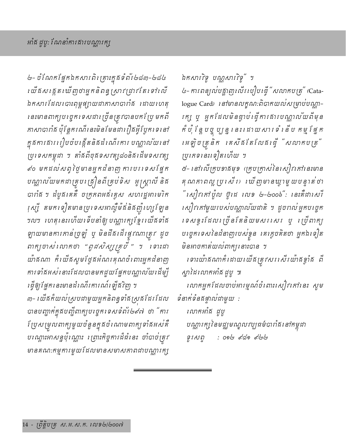৬- ចំណែកផ្នែកឯកសារពិរ គ្រាះក្នុងទំព័រ ៤៨៣-៤៨៤ ប្រជាសង្កេតឃើញថាអ្នកនិពន្ធស្រាវជ្រាវតែទៅលើ ឯកសារដែលបោះពុម្ពផ្សាយជាកាសាបារាំផ ដោយហេតុ នេះមានពាក្យបញ្ចេកទេសជាច្រើនត្រូវបានបកប្រែ មកពី កាសាបារាំង ប៉ុន្តែករណីនេះមិនមែនជារឿងផ្ទីប្លែកទេនៅ ក្នុងការងាររៀបចំបង្កើតនិងដំណើរការ បណ្ណាល័យនៅ ប្រទេសកម្ពុជា ។ តាំងពីចុងទសវត្ស៤០និងដើមទសវត្ស *៩*០ មកដល់សព្វថ្ងៃមានអ្នកជំនាញ ការបរទេសផ្នែក បណ្ណាល័យមកដាគ្រប ត្រឿនពីគ្រប់ទិស អូស្ត្រាលី និគ បារាំផ ។ ដំបូផកេតឺ ចក្រភពអន់គ្លេស សហរដ្ឋអាមេរិក រុស្សី តមក ទៀតមានប្រទេសអាល្វឺម៉ង់និងញ៉ាហ្សែ ឡែន ។ល។ រហតុនេះហើយទើបនាំឲ្យបណ្ណារក្សខ្មែរយើងទាំង ឡាយមានការភាន់ច្រឡំ ឬ មិនដឹងដើរផ្ទុះណាត្រូវ ដូច ពាក្យចាស់លោកថា "*ពូជសិស្សគ្របី* " ។ ទោះជា យ៉ាគណា កំំាយើគស្លមថ្ងៃគងំណរគុណចំពោះអ្នកដំនាញ ការទាំងអស់នោះដែលបានមកជួយផ្នែកបណ្តាលយដើម្បី រឆ្នឺឲ្យផ្នែកនេះមានដំណើរការណ៍ឡើងវិញ ។

៣− । យីឝក៏យល់ស្របជាមួយអ្នកនិពន្ធទាំឝស្រុឝដែរដែល បានបញ្ជាក់ក្នុងបញ្ចីពាក្យបច្ចេកទេសទំព័រ៤៩៧ ថា "ការ បែ្រសម្រុលពាក្យមួយចំនួនក្នុងចំណោមពាក្យទាំងអស់គឺ បណ្តោះអាសន្នប៉ុណ្ណោះ ច្រោះភិច្ចការដ៏ធំនេះ ចាំបាច់ត្រូវ មានគណ:កម្មការមួយដែលមានសមាសភាពជាបណ្តារក្យួ

ឯកសារវិទ្ទុ បណ្ណសារវិទ្ទុ" ។

៤- ការពន្យល់បន្លាញឈើរ បៀបធ្វើ "សលាកបត្រ" (Catalogue Card) เสายารณฐณา:ถิตาสแอง ผยาช่ชญภา ក្រស្រ្ត អ្នកដែលមិនផ្ទាប់ ធ្វើការសារបណ្តាលយពីមុន កំប៉ុ ខ្លែ ចូ ប្បន្ន នេះ ដោយសារទំ នើប កម្មវ័ផ្ទក រអឡិចត្រនិក រគសឹ*ងតែលែងធ្វើ "សលាតបត្រ*" ប្រភេទនេះទៀតហើយ ។

៥- នៅលើក្រុមទាគមុទ (ក្រុមក្រាស់នៃសៀវកៅនេះមាន គុណភាពល្អ ប្រសើរ) ឃើញមានឃ្វាមួយបន្ទាត់ថា " សៀវកៅប៉ូល ច្ចុំដេ លេខ ៤-៤០០៦": នេះគឺជាសេរី សៀវកៅមួយរបស់បណ្ណាល័យជាតិ ។ ដូចពល់អ្នកបច្ចេក ទេសទ្ធរដែលច្រើនតែនិយមសរសេរ ឬ ច្រើពាក្យ បច្ចេកទេសនៃជំនាញរបស់ខ្វន គេក្លេចគិតថា អ្នកឯទៀត មិនអាចកាត់យល់ពាក្យ នោះបាន ។

ទោះយ៉ាគណាក៏ដោយយើគត្រូវសរសើរយ៉ាគខ្វាំគ ពី ស្នាដៃលោកអាំង ដូចូ ៕

លោកអ្នកដែលចាប់អារម្មណ៍ចំពោះសៀវគៅនេះ សូម ទំនាក់ទំនងផ្ទាល់ជាមួយ :

លោកអាំង ដូច្ បណ្ណារក្យនៃមជ្ឈមណ្ឌលវប្បធម៌បារាំធរនៅកម្ពុជា : 0ඉල දෙගුම දේශල ទូរសព្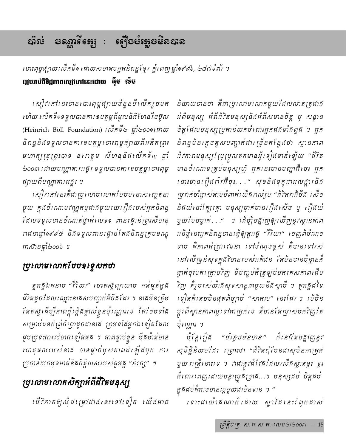#### ಭೂಕ

# របាះពុម្ពផ្សាយលើកទី១ ដោយសមាគមអ្នកនិពន្ឋខ្មែរ ភ្នំពេញ ឆ្នាំ១៩៩៦, ២៨៧ទំព័រ ។ **ប្រេហាប់ពីចិដ្ឋភាពស្សេវភៅនេះដោយ អ៊ុំទ** ស៊ី<mark>ទ</mark>

សៀវកៅនេះបានបោះពុម្ពផ្សាយចំនួនបីលើករួចមក ហើយ លើកទី១ទទួលបានការឧបត្ថម្ភពីមូលនិធិសែនរឹចប៊ូល (Heinrich Böll Foundation) เលิ่กรีย ตำ้ย00จเสาយ និពន្ឋនិគទទួលបានការឧបត្ថម្ភរ បាះពុម្ពផ្សាយពីអតីតព្រះ មហាក្សត្រព្រះបាទ ន $n$ ត្តម សីហនុនិងឈើកទី៣ ឆ្នាំ ២០០៣ ដោយបណ្ណាគារអគ្គរ ទទួលបានការឧបត្ថម្ភសោះពុម្ព ផ្សាយពីបណ្ណាគារអគ្គរ ។

សៀវកៅនេះគឺជាប្រលោមលោកបែបមានាសញ្ចេតនា មួយ ក្នុងចំណោមវណ្ណកម្មជាងមួយរយរឿងរបស់អ្នកនិពន្ធ ដែលទទួលបានចំណាត់ថ្នាក់ លេខ១ ពានក្ខោនស្រះសីហនុ រាជនាឆ្នាំ១៩៩៥ និងទទួលពានរគ្មាន់តែងនិពន្ធុក្រុបខណ្ឌ *หาស៊ានផ្នាំ២*០០៦ ។

# ប្រលោមលោកបែបខទ្ទេសកថា

តួអគ្គឯកនាម "រីរិយា" ចេះតស៊ូព្យាយាម អត់ឆ្មត់ក្នុង ជីវិតដូចដែលឈ្មោះនាគសបញ្ហាក់អ៊ីចឹគដែរ ។ នាគមិនត្រឹម តែតស៊ូ ដើម្បីកាពថ្កុំ ថ្កើតផ្ទាល់ខ្វួនប៉ុណ្ណោះទេ តែថែមទាំង សម្រាប់ជនកំព្រឹកំព្រាដូចជានាគ ព្រមទាំគអ្នកឯ ទៀតដែល ដួបប្រទះការលំបាកទៀតផង ។ កាពខ្លាប់ខ្លួន ម៉ឺងម៉ាត់មាន លេតុផលបេសនាគ បានផ្តាច់បុសភាពដំឡើគបុក ការ ប្រកាន់យកមុខមាត់និងកិត្តិយសរបស់តួអគ្គ "ភិរក្ស" ។

# ប្រលោមលោកសិក្សាអំពីជីវិតមនុស្ស

*្*បើវិភាគឲ្យសុីជក្រុមាំដាងនេះទៅទៀត យើងអាច

និយាយបានថា គឺជាប្រលោមលោកមួយដែលលាតត្រូដាគ អំពីមនុស្ស អំពីជីវិតមនុស្សនិងអំពីសមានចិត្ត បុ សន្តាន ចិត្តដែលមនុស្សប្រកាន់យកចំពោះអ្នកផងទាំងពួង ។ អ្នក និពន្ធមិនក្តេចគូសបញ្ចាក់ជាច្រើនកន្លែងថា ស្ថានភាព ជីវកាពមនុស្ស ប្រែប្រលឥតមានអ្វី ទៀតទាត់ ឡើយ "ជីវិត មានចំណោទគ្រប់មនុស្សហ្ន៎ អ្នកនេះមានបញ្ហាអ៊ីបេះ អ្នក នោះមានរឿងពាំវអឺចុះ. . ." សុខនិងទុក្ខដាអលង្ការនិង ច្រកក់ចាំធ្លាស់តាមបំពាក់ យើងរាល់រូប "ដីវិតវាអ៊ីចឹង សើច និគយំនៅក្បែរគ្នា មនុស្សម្នាក់មានរឿគ៌សេច ឬ រឿគយំ មួយបែបម្នាក់..." ។ ដើម្បីបង្ហាញឲ្យឃើញនូវស្ថានភាព អនិថ្មុំនេះអ្នកនិពន្ធបានធ្វើឲ្យតួអគ្គ "7៊ីយា" ចេញពីចំណុច ទាប គឺភាពកំព្រារេទនា ទៅចំណុចខ្ពស់ គឺបានទៅរស់ នៅលើទ្រនំសុខក្នុងវិមានរបស់អភិជន តែមិនបានប៉ុន្មានកំ ផ្ទាក់ចុះមករ ក្រាមវិញ ទីបញ្ចប់ក៏ ត្រឡប់មករកសភាពដើម វិញ គឺរួមសេយ៉ាគសុខសាន្តជាមួយនឹគស្វាមី ។ តួអគ្គដទៃ ថ្គូរពីស្ថានភាពល្អទៅអាក្រក់ទេ គឺមានតែច្រាសមកវិញតែ ប៉ុណ្ណោះ ។

ซุเลเปลี "*ช่เธธษิธลล" คิเล*าเัลชสูงตู*ลู*ก សុទិដ្ឋិនិយមដែរ ព្រោះថា "ដីវិតពុំមែនជាសុបិនអាក្រក់ មួយ ពត្រីនោះទេ ។ វាជាផ្ទុះដ៏ដែងដែលរល័ងស្ពាតខ្វះ ខ្វះ កំពោរពេញដោយបន្ទាច្រុងច្រាង...។ មនុស្សដប់ ចិត្តដប់ ក្នុងដប់ក៏អាចមានល្អមួយជាមិនខាន ។ "

ទោះដាយ៉ាគណាក៏ដោយ ស្នាដៃនេះត្រែកដាស់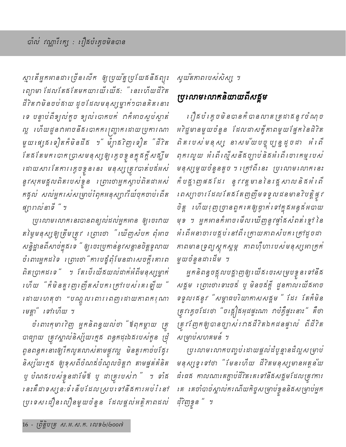ស្មារតីអ្នកអានដារច្រីនរលីក ឲ្យប្រយ័ត្នប្រយែគនឹគព្យះ ព្រៃ្យមា ដែលតែងតែមកយារយឺរយឺង: "រនះហើយដឺរិត ដី វិតវាមិនចប់សាយ ដូចដែលមនុស្សម្នាក់់១បានគិត នោះ ទេ បន្ទាប់ពីខ្យល់តួច ខ្យល់បោកបក់ ។កំអាចស្លប់ស្ងាត់ ល្អ ហើយដួនពអាចនឹងរបាតករេញ្ជាក់ដោយប្រការណា មួយ ផេ្ស្រទៀតក៏មិនដឹង ។" ម៉្យាងវិញ ទៀត " ជីវិត តែងតែមក បោកប្រាសមនុស្សឲ្យ ក្ងេចខ្ទុ<sub>ំ</sub>នក្នុងក្តីសង្ឃឹម ដោយសារតែការរក្ចុចខ្លួននេះ មនុស្សត្រូវបាត់បន័អស់ នូវសុភមគ្គលពិតរបស់ខ្វន ព្រោះថាអ្នកស្លាប់ពិតជាអស់ កគ្គល់ សល់អ្នករស់សម្រាប់ត្រែកអនុស្បារាំយ៍ចុកចាប់ពើត ផ្សារាល់នាទី " ។

ប្រលោមលោកនេះបានពន្យល់ដល់អ្នកអាន ឲ្យបេះពយ តម្លៃមនុស្សឲ្យត្រឹមត្រូវ ព្រោះថា "ឃើញសំបក ពុំអាច សន្និដ្ឋានពីសាច់ក្នុងទេ " ឲ្យចេះប្រកាន់នូវសន្តានចិត្តទូលាយ ចំពោះអ្នកដទៃ រព្រាះថា "ការបន្ធ័ពុំមែនជារសចក្តីគោរព ពិតប្រាកដទេ " ។ តែបើយើងយល់ដាក់អំពីមនុស្សម្នាក់ ហើយ "ក៏មិនគួរញ1ញឹតសំបករ ក្រៅរបស់គេរឡឹយ " រដាយហេតុថា "បណ្តូលពោរពេញដោយកាពក<sub>វុ</sub>ណា *មេត្តា" ទៅ*ហើយ ។

ចំពោះកុមារ7ិញ អ្នកនិពន្ធយល់ថា "ឪពុកម្តាយ គ្រ បាជ្យាយ ត្រូវស្គាល់និស្ស័យក្មេង ពន្ធកដុះឯងរបស់កូន ជ្រុំ ពូនពន្ធក នោះឲ្យកែលូតលាស់តាមផ្លូវល្អ មិនគួរកាច់បង្កែរ និស្ស័យក្មេង ឲ្យខុសពីចំណង់ចំណូលចិត្ត។ តាមផ្នត់់គំនិត ឬ បំណងរបស់ខ្លួនដាម៉ែ<sup>ង្វ</sup> ឬ ដាគ្រុះបស់វា <sup>"</sup> ។ ទាំង នេះគឺជាទស្សនៈទំនើបដែលស្របទៅនឹងការអប់រំនៅ ប្រទេសដឿនលឿនមួយចំនួន ដែលផ្តល់អត្ថិភាពដល់ ស្ទួយតភាពរបស់សិស្ស ។

# ប្រលោមលោកនិយាយពីសត្តម

្រឿងបំំ ក្លេចមិនបានកំំ បានលាត ត្រដាងនូវថំណុច អវិដ្ឋមានមួយចំនួន ដែលជាសត្តិភាពមួយផ្នែកនៃជីវិត ពិតរបស់មនុស្ស នាសម័យបច្ចុប្បន្នដូចជា អំពើ ពុកឈ្ងួយ អំពើឈ្មើសនឹងច្បាប់និងអំពើបោរកម្មរបស់ មនុស្សមួយចំនួនតូច ។ ក្រៅពី នេះ ប្រលោមលោក នេះ កំបន្លាញផងដែរ នូវវត្តមាននៃរដ្ឋសាលនិងអំពើ ពេស្យាចារ ដែលតែងព័តញញឹមទទួលដនមានវិបត្តិផ្ទុវ ចិត្ត ហើយរុញច្រានពួកគេឲ្យជ្វាក់ទៅក្នុងអន្ទង់អបាយ មុខ ។ អ្នកអានកំអាច មើល ឃើញនូវផ្ទាំងសំពត់ ខ្មៅ នៃ អំពើអនាចារបត្តប់នៅពីរ ក្រាយកាពសំបករ ក្រាំដូចជា កាពមានទ្រព្យស្តុកស្តម្ភ កាពហ៊ឺហារបស់មនុស្សអាត្រក់ មួយចំនួនជាដើម ។

អ្នកនិពន្ធចង្អុលបង្ហាញឲ្យ យើង ចេះសម្របខ្វុន ទៅនឹង សគ្គម ព្រោះថាពោះចត់ ឬ មិនចគ័ត្តិ ដួនកាលយើគអាច ទទួលរដនូវ "សម្ពាធបរិយាកាសសគ្គម " ដែរ តែកំមិន ត្រូវក្រេចដែរថា "ចង្កឿនអុជផ្ទះណា វាបំភ្វឺផ្ទះនោះ" គឺថា ត្រព័ញកឲ្យបានច្បាស់រពឥដីវិតឯកជនផ្ទាល់ ពីដីវិត សម្រាប់សហគមន៍ ។

ប្រហោមលោកបញ្ចប់ដោយផ្តល់ដំបូន្មានដំល្អសម្រាប់ មនុស្សទូទៅថា "មែនហើយ ដឹរិតមនុស្សមានអត្ថន័យ ជំរជឥ កាលណារគក្លាប់ជីវិតរគទៅនឹឥសគ្គមដែលត្រុវការ *េ*គ គេចាំបាច់ស្គាល់ករណីយកិច្ចសម្រាប់ខ្លួននិងសម្រាប់អ្នក ដុំវិញខ្លួន " ។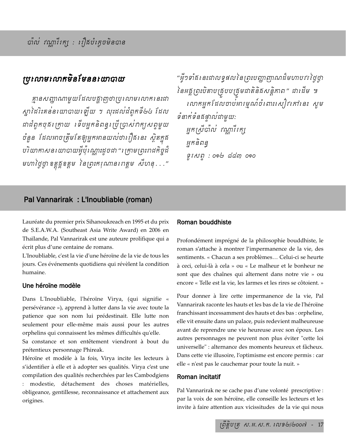## ប្រលោមលោកមិនមែននយោបាយ

គ្មានសញ្ញាណាមួយដែលបង្កាញថាប្រលោមលោកនេះជា ស្មាដៃរិះគន់នយោបាយឡើយ ។ លុះដល់ដំពូកទី២៤ ដែល ដាដំពូកចុតក្រោយ ទើបអ្នកនិពន្ធស្រីប្រាស់វាក្យសព្ទមួយ ចំនួន ដែលអាចត្រឹមតែឲ្យអ្នកអានយល់ថារឿងនេះ ស្ថិតក្នុង ថវិយាកាសន យោបាយអ្វីប៉ុណ្ណោះដូចជា " ក្រោមព្រះរាជកិច្ចដឹ មហាថ្ងៃថ្ងា ឧត្តុគ្គីឧត្តម នៃព្រះករុណានរពត្តម សំហនុ . . ."

"ផ្ទុំ១ទាំង នេះដាលទ្ធផលនៃព្រះបញ្ញាញាណដ៏មហាបវ ថ្ងៃថ្វា នៃអគ្គប្រះបិតាបត្របបត្រមជាតិនិគសន្តិភាព" ជាដើម ៕ លោកអ្នកដែលចាប់អារម្មណ៍ចំពោះសៀវកៅនេះ សូម ទំនាក់ទំនងផ្ទាល់ជាមួយ: អ្នកស្រីបាល់ វណ្ណារីរក្ស អកនិពន្  $91 \, \kappa$ n: 096  $\alpha$ an 090

## Pal Vannarirak : L'Inoubliable (roman)

Lauréate du premier prix Sihanoukreach en 1995 et du prix de S.E.A.W.A. (Southeast Asia Write Award) en 2006 en Thaïlande, Pal Vannarirak est une auteure prolifique qui a écrit plus d'une centaine de romans.

L'Inoubliable, c'est la vie d'une héroïne de la vie de tous les jours. Ces événements quotidiens qui révèlent la condition humaine.

## Une héroïne modèle

Dans L'Inoubliable, l'héroïne Virya, (qui signifie « persévérance »), apprend à lutter dans la vie avec toute la patience que son nom lui prédestinait. Elle lutte non seulement pour elle-même mais aussi pour les autres orphelins qui connaissent les mêmes difficultés qu'elle.

Sa constance et son entêtement viendront à bout du prétentieux personnage Phireak.

Héroïne et modèle à la fois, Virya incite les lecteurs à s'identifier à elle et à adopter ses qualités. Virya c'est une compilation des qualités recherchées par les Cambodgiens : modestie, détachement des choses matérielles, obligeance, gentillesse, reconnaissance et attachement aux origines.

## Roman bouddhiste

Profondément imprégné de la philosophie bouddhiste, le roman s'attache à montrer l'impermanence de la vie, des sentiments. « Chacun a ses problèmes... Celui-ci se heurte à ceci, celui-là à cela » ou « Le malheur et le bonheur ne sont que des chaînes qui alternent dans notre vie » ou encore « Telle est la vie, les larmes et les rires se côtoient. »

Pour donner à lire cette impermanence de la vie, Pal Vannarirak raconte les hauts et les bas de la vie de l'héroïne franchissant incessamment des hauts et des bas : orpheline, elle vit ensuite dans un palace, puis redevient malheureuse avant de reprendre une vie heureuse avec son époux. Les autres personnages ne peuvent non plus éviter "cette loi universelle" : alternance des moments heureux et fâcheux. Dans cette vie illusoire, l'optimisme est encore permis : car elle « n'est pas le cauchemar pour toute la nuit. »

## Roman incitatif

Pal Vannarirak ne se cache pas d'une volonté prescriptive : par la voix de son héroïne, elle conseille les lecteurs et les invite à faire attention aux vicissitudes de la vie qui nous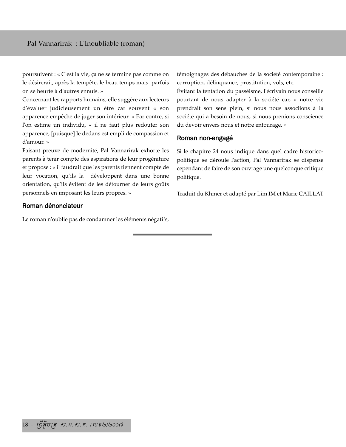poursuivent : « C'est la vie, ça ne se termine pas comme on le désirerait, après la tempête, le beau temps mais parfois on se heurte à d'autres ennuis. »

Concernant les rapports humains, elle suggère aux lecteurs d'évaluer judicieusement un être car souvent « son apparence empêche de juger son intérieur. » Par contre, si l'on estime un individu, « il ne faut plus redouter son apparence, [puisque] le dedans est empli de compassion et d'amour. »

Faisant preuve de modernité, Pal Vannarirak exhorte les parents à tenir compte des aspirations de leur progéniture et propose : « il faudrait que les parents tiennent compte de leur vocation, qu'ils la développent dans une bonne orientation, qu'ils évitent de les détourner de leurs goûts personnels en imposant les leurs propres. »

### Roman dénonciateur

Le roman n'oublie pas de condamner les éléments négatifs,

témoignages des débauches de la société contemporaine : corruption, délinquance, prostitution, vols, etc.

Évitant la tentation du passéisme, l'écrivain nous conseille pourtant de nous adapter à la société car, « notre vie prendrait son sens plein, si nous nous associions à la société qui a besoin de nous, si nous prenions conscience du devoir envers nous et notre entourage. »

#### Roman non-engagé

Si le chapitre 24 nous indique dans quel cadre historicopolitique se déroule l'action, Pal Vannarirak se dispense cependant de faire de son ouvrage une quelconque critique politique.

Traduit du Khmer et adapté par Lim IM et Marie CAILLAT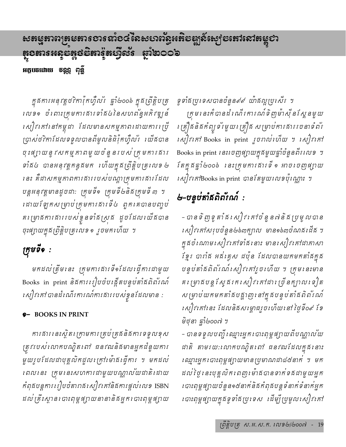# ఙႜႜၐၓၟႜႜဢၐ<del>႞</del>ႜဨၖႜၮႜႜၮႜၩၜၣႜႜၹၟၛၟၛၟႜၜၟႜၜၟၣၮၟႜၜၟႝၣႜၜၟႜႜၯၟႜႜႜၛၟႜႜႜၛၟႜႜႜၮၟႜၮၣၣၣၮၣၣ អក្ថបចដោយ ទន្លន្អ ពុន្ឆិ

ក្នុងការអនុវត្តថវិកាវ៉ុកហ្វឺល័រ ឆ្នាំ២០០៦ ក្នុងព្រឹត្តិបត្រ លេខ១ ចំពោះក្រុមការផារទាំង៤នៃសហព័ន្ធអភិវឌ្ឍន៍ សៀវកៅនៅកម្ពុជា ដែលមានសកម្មភាពដោយការប្រើ ប្រាស់ថវិកាដែលទទួលបានពីមូលនិធិវ៉ុកហ្វឺល័រ រយ៉ីងបាន ចុះផ្សាយនូវសកម្មកាពមួយចំនួនរបស់ ក្រមការគារ ទាំង៤ បានអនុវត្តកន្ធងមក ហើយក្នុងព្រឹត្តិបត្រលេខ២ នេះ គឺជាសកម្មកាពការផាររបស់បណ្តាក្រមការផារដែល បន្តអនុវត្តមានដូចជា: ក្រុមទី១ ក្រុមទី២និងក្រុមទី៣ ។ ដោយឡែកសម្រាប់ក្រុមការផារទី៤ ពួកគេបានបញ្ចប់ គម្រោងការងាររបស់ខ្វួនទាំងស្រុង ដូចដែលយើងបាន ចុះផ្សាយក្នុងត្រីត្តិបត្រ*លេ*ខ *រូចមកហើយ* ។

# ក្រុមទី១ :

មកដល់ត្រឹមនេះ ក្រុមការសារទី១ដែលធ្វើការដាមួយ Books in print និងការរៀបចំបង្កើតបន្ទប់តាំងពិព័រណ៍ សៀវកៅ បានដំណើរការណ៍ការផាររបស់ខ្លួនដែលមាន :

## 9- BOOKS IN PRINT

ការដាររនះស្ថិតក្រោមការគ្រប់គ្រងនិងការទទួលខុស ត្រុវរបស់លោកបណ្ឌិតពៅ ធនវឍនិងមានអ្នកដំនួយការ មួយរូបដែលជាបុគ្គលិកដួលក្រៅម៉ោងធ្វើការ ។ មកដល់ ពេលនេះ ក្រុមនេះសហការជាមួយបណ្ណាល័យជាតិដោយ កំពុងបន្តការរៀបចំតារាងសៀវកៅនិងការផ្តល់លេខ ISBN ដល់គ្រឹះស្ថានរបាះពុម្ពផ្សាយនានានិងអ្នករបាះពុម្ពផ្សាយ ទូទាំដប្រទេសបានចំនួន៩៩ យ៉ាដល្អប្រសើរ ។

ក្រុមនេះក៏បានដំណើរការណ៍ទិញម៉ាស៊ីនស្ពែនមួយ r គ្រឿងនិងកំព្យូ ទ័រមួយr គ្រឿង សម្រាប់ការ*ងាររចនាទំព័រ* เសៀវเสา Books in print រួចกល់ហើយ ฯ เសៀវเสา Books in print *នេះចេញផ្សាយក្នុងមួយផ្នាំចំនួនពីរ* លេខ *។* វ័តក្នុងឆ្នាំ២០០៦ នេះត្រុមការងារទី ១ អាចចេញផ្យាយ សៀវកៅBooks in print បានតែមួយលេខប៉ុណ្ណោះ ។

# &-បន្ទប់តាំងពិព*័ណ៍* :

– បានទិញទូតាំគសេ $j$ ពកៅចំនួន៧និគប្រមូលបាន សៀវកៅសប្រចំនួន២៦៣ក្បាល មាន១៦៣ចំណងដើង ។ ក្នុងចំណោមសៀវគៅទាំងនោះ មានសៀវគៅជាកាសា ខ្មែរ បារាំង អនាំគ្លេស ដប៉ុន ដែលបានយកមកតាំងក្នុង បន្ទប់តាំផតិតរំណ៍សៀវកៅរួចហើយ ។ ក្រុមនេះមាន គ៖ ម្រាងបន្ត ស្វែងរក៖ សៀវ កៅដារ ច្រើនក្បាល ទៀត សម្រាប់យកមកតាំគបគ្គាញ នៅក្នុងបន្ទប់តាំគតិតរណ៍ សៀវកៅនេះ ដែលនិងសម្ពោធរួចហើយនៅ ថ្ងៃទី០៩ ខែ មិថុនា ឆ្នាំ២០០៧ ។

– បានទទួលបញ្ចី ឈ្មោះអ្នក បោះពុម្ពផ្សាយពីបណ្ណាលយ ដាតិ តាមរយ:លោកបណ្ឌិតពៅ ធនវឍដែលក្នុងនោះ ឈ្មោះអ្នករបាះពុម្ពផ្សាយមានប្រមាណជា៨៥នាក់ ។ មក ដល់ថ្ងៃ នេះបុគ្គលិក ពេញ ម៉ោងបានទាក់ទងដាមួយអ្នក កោះពុម្ពផ្សាយចំនួន១៥នាក់និងកំពុងបន្តទំនាក់ទំនាក់អ្នក ដោះពុម្ពផ្សាយក្នុងទូទាំងប្រទេស ដើម្បីប្រមូលសៀវដៅ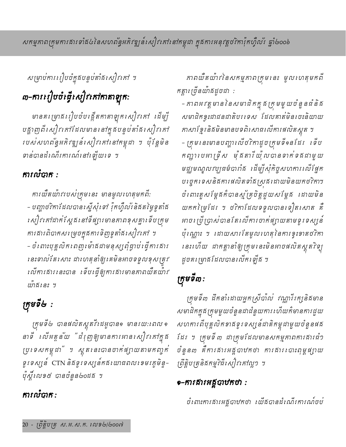សម្រាប់ការរៀបចំក្នុងបន្ទប់តាំងសៀវកៅ ។

# m-การเป๋ชชํะหุืะសฺใระกาทาลาดูกะ

មានគរ ម្រាជរៀបចំបង្កើតកាតាឡុករសៀវកៅ ដើម្បី បផ្លាញពី សៀវ គៅដែលមាន នៅក្នុងបន្ទប់តាំង សៀវ គៅ របស់សហពន្ធិអភិវឌ្ឍន៍សៀវគៅនៅកម្ពុជា ។ ប៉ុន្តែមិន ទាន់បានដំណើរការណ៍នៅឡើយទេ ។

# ការលំបាក :

ការយឺតយ៉ាវរបស់ក្រុមនេះ មានមូលហេតុមកពី: - បញ្ហាថវិកាដែលបានស្នើសុំទៅ វ៉ុកហ្វឺល័រនិគតម្លៃទូតាំគ សៀវកៅដាក់ស្តែធនៅទីផ្សារមានភាពខុសគ្នាទើបត្រម ការផារពិបាកសម្រេចក្នុងការទិញទូតាំងសៀវកៅ ។ – ចំពោះបុគ្គលិកពេញពេំងជាមនុស្សពុំផ្លាប់ផ្ទើការផារ នេះទាល់តែសោះ ដាលោតុនាំឲ្យគេមិនអាចទទួលខុសត្រូវ លើការ*ងារនេះបាន ទើបធ្វើឲ្យការងារមានភាពយឺតយ៉ាវ* យ៉ាធិរនះ ។

# ក្រុមទី២ :

ក្រុមទី៤ បានផលិតស្ពួតវីដេអូបាន១ មានរយ:ដោល១ នាទី លើអត្តន័យ "ដំរុញឲ្យមានការអានសៀវកៅក្នុង ប្រទេសកម្ពុជា ។ ស្ពតនេះបានចាក់ផ្យាយតាមកញ្ចក់ ទូរទស្សន៍ CTN និងទូរទស្សន៍កងយោធពលរេទមរក្លមិន្ទ-ប៉ុស្តិ៍លេខ៥ បានចំនួន៤០ដង ។

# ការលំបាក :

ភាពយឺតយ៉ាវ នៃសកម្មភាពក្រមនេះ មូលលេតុមកពី កត្តារ ច្រឺនយ៉ាងដូចជា :

– កាពអវត្តមាននៃសមាជិកក្នុងក្រុមមួយចំនួនជំនិង សមាជិកខ្ទះជាជនជាតិបរទេស ដែលគាត់មិនចេះនិយាយ កាសាខ្មែរនិធមិនមានបទពិសោធលើការផលិតស្គូត ។ – ក្រុមនេះមានបញ្ហាឈើថវិកាដូចក្រុមទី១នដែរ ទើប កញ្ហា បេអា ទ្រីស មុនីតារីយ៉ូលបានទាក់ទងដាមួយ មជ្ឈមណ្ឌលវប្បធម៌បារាំគ ដើម្បីសុំកិច្ចសហការ លើផ្នែក បច្ចេកទេសនិងការផលិតទាំងស្រងដរោយមិនយកថវិកា។ ចំពោះតួសម្តែងកំបានស្ម័គ្រចិត្តជួយសម្តែង ដោយមិន យកកម្រៃដែរ ។ ថវិកាដែលទទួលបានទៀតសោត គឺ អាចប្រើប្រាស់បានតែលើការចាក់ផ្សាយតាមទូរទស្សន៍ ប៉ុណ្ណោះ ។ ដោយសារតែមូលហេតុនៃការខ្ទះខាតថវិកា នេះហើយ ដាកត្តានាំឲ្យក្រុមនេះមិនអាចផលិតស្ពុត7ិទ្យុ ដូចគក្រុមាគដែលបានលើកឡើគ ។

# ក្រុមទី៣:

ក្រុមទី៣ ដឹកនាំដោយអ្នកស្រីបាល់ វណ្ណារីរក្សនិងមាន សមាជិកក្នុងក្រុមមួយចំនួនដាដំនួយការ ហើយកំមានការជួយ សហការពីបុគ្គលិកខាងទូរទស្សន៍ដាតិកម្ពុជាមួយចំនួនផង ដែរ ។ ត្រមទី៣ ដាក្រុមដែលមានសកម្មភាពការផារជំៗ ចំនួន៣ គឺការសារអគ្គបាឋកថា ការសារលោះពុម្ពផ្សាយ ព្រឹត្តិបត្រុនិងកម្មវិធីសៀវគៅល្អ១ ។

# •–ការគារអគ្គបាឋកថា :

ចំពោះការផារអគ្គបាឋកថា យើគបានដំណើរការណ៍ចប់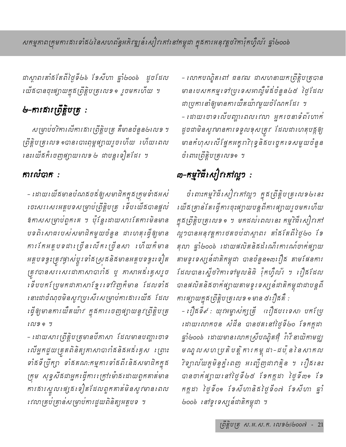ជាស្ថាពរតាំ*ធ* តែពីថ្ងៃទី៤៦ ទែសីហា ឆ្នាំ៤oo៦ ដូចដែល *បើងបានចុះផ្សាយក្នុងព្រឹត្តិបត្រលេខ* ១ រួចមកហើយ ។

# ৬–ការគារព្រឹត្តិបត្រ :

សម្រាប់ថវិការលីការគារព្រឹត្តិបត្រ គឺមានចំនួន៤លេខ ។ ព្រឹត្តិបត្រលេខ ១បានរបាះពុម្ពផ្សាយរូចហើយ ហើយពេល នេះយើងក៏ចេញផ្សាយលេខ ៤ ជាបន្តទៀតដែរ ។

# ការលំបាក :

– ដោយ យើងមានបំណងចង់ឲ្យសមាជិកក្នុងក្រុមទាំងអស់ ទេះសរសេរអត្តបទសម្រាប់ព្រឹត្តិបត្រ ទើបយើងបានផ្តល់ ឱកាសសម្រាប់ពួកគេ ។ ប៉ុន្តែដោយសារតែការមិនមាន បទពិសោធរបស់សមាជិកមួយចំនួន ដាលោតុធ្វើឲ្យមាន ការកែអត្តបទដារច្រីនរលីតរច្រីនសា រហ័យកំមាន អត្តបទខ្វះត្រះផ្ទាស់ប្តូរទាំងស្រុងនិងមានអត្តបទខ្វះទៀត ត្រូវបានសរសេរជាគាសាបារាំគ ឬ គាសាអគ័រគ្វសរួច ទើបបកស្រែមកដាកាសាខ្មែរទៅវិញក៏មាន ដែលទាំង នោះដាចំណុចមិនសូវប្រសើរសម្រាប់ការផារឈើផ ដែល *ធ្វើឲ្យមានការយឺតយ៉ាវ ក្នុងការ* រេចញផ្សាយនូវព្រឹត្តិបត្រ 1 N 2 9 9

- ដោយសារព្រឹត្តិបត្រមានបីកាសា ដែលមានបញ្ហាចោទ លើអ្នកជួយត្រួតពិនិត្យកាសាបារាំឥនិគអគ័រគ្លូស ព្រោះ ទាំងទីប្រឹក្យា ទាំងគណ:កម្មការទាំងពីរនិងសមាជិកក្នុង ក្រុម សុទ្ធសឹងជាអ្នកធ្វើការក្រៅម៉ោងដោយពួកគាត់មាន ការគារស្នួលផ្សេធ1ទៀតដែលពួកគាត់់មិនសូវមានពេល *ពេ*លាគ្រប់គ្រាន់សម្រាប់ការជួយពិនិត្យអត្ថបទ ។

- លោកបណ្ឌិតពៅ ធនវឍ ជាសហនាយកព្រឹត្តិបត្របាន មានបេសកកម្មទៅប្រទេសអាល្លឺម៉ង់ចំនួន៤៥ ថ្ងៃដែល ដាប្រការនាំឲ្យមានការយឺតយ៉ាវមួយចំណែកដែរ ។ - ដោយចោទឈើបញ្ហាពេលពេល អ្នករចនាទំព័រហាក់ ដូចជាមិនសូវមានការទទួលខុសត្រូវ ដែលជាហេតុបត្តឲ្យ មានកំហុសលើផ្នែកអត្តរាវិទ្រុនិគបច្ចេកទេសមួយចំនួន ចំពោះព្រឹត្តិបត្រុលេខ១ ។

# ๗<del>−</del>กยฺุริหีเស]๎รเกาญฺว :

ចំពោះកម្មវិធីសៀវកៅល្អ១ ក្នុងព្រឹត្តិបត្រលេខ២នេះ បេជីឥគ្រាន់តែធ្វើការចុះផ្សាយបន្តពីការផ្សាយរួចមកហើយ ក្នុងព្រឹត្តិបត្រលេខ១ ។ មកដល់ពេលនេះ កម្មវិធីសៀវកៅ ល្អ១បានអនុវត្តការថតចប់ជាស្ថាពរ តាំងតែពីថ្ងៃ៤០ ទែ តុលា ឆ្នាំ២០០៦ ដោយផលិតនិងដំណើរការណ៍ចាក់ផ្សាយ តាមទូរទស្សន៍ជាតិកម្ពុជា បានចំនួន១៣|រឿង តាមផែនការ ដែលបានស្នើថវិកាទៅមូលនិធិ វ៉ុកហ្វឺល័រ ។ រឿងដែល បានផលិតនិងថាក់ផ្សាយតាមទូរទស្សន៍ជាតិកម្ពុជាជាបន្តពី ការផ្សាយក្នុងព្រឹត្តិបត្រលេខ ១ មាន ៥រឿងគឺ :

- រឿងទី៩ : យុវអម្ចាស់ក្សត្រី រឿងបរទេស) បកប្រែ ដោយលោកចន សំដីន បានថតនៅថ្ងៃទី៤០ ទែកក្កដា ផ្ទាំ២០០៦ ដោយមានលោកស្រីបណ្ឌិតអ៊ុំ ពីវី នាយិកាមជ្ឈ មណ្ឌលសហប្រតិបត្តិការកម្ពុជា-ជប៉ុននៃសាកល វិទ្យាល័យភូមិន្ទភ្នំពេញ អញ្ចើញដាវាគ្មិន ។ រឿងនេះ បានចាត់ផ្សាយ នៅថ្ងៃទី៤៥ ខែកក្កដា ថ្ងៃទី៣១ ខែ កក្កដា ថ្ងៃទី០១ ខែសីហានិគីថ្ងៃទី០៧ ខែសីហា ឆ្នាំ ២០០៦ នៅទូរទស្សន៍ជាតិកម្ពុជា ។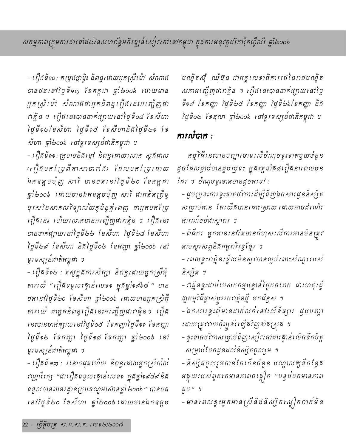- ព្យឺឝទី១០: កម្រឝផ្កាម្វិះ និពន្ធដោយអ្នកស្រីម៉ៅ សំណាគ បានថត នៅថ្ងៃទី១៣ ខែកក្កដា ឆ្នាំ២០០៦ ដោយមាន អ្នកស្រី ម៉ៅ សំណាងជាអ្នកនិពន្ធ រឿង នេះអរញ្ចីញុជា *កត្មិន ។ រឿងនេះបានចាត់ផ្សាយនៅថ្ងៃទី០៨ ខែសីហា* โชูรีอ&เ๋อญังก โชูรีอ& เ๋อญังกลิสโชูรี๒อ เ๋อ សីហា ឆ្នាំ២០០៦ នៅទូរទស្សន៍ជាតិកម្ពុជា ។

- ព្យឺឝទី១១: ក្រហមនិគរខ្មៅ និពន្ធដោយលោក ស្ពូជ័ដាល (ព្រឹ្ធបកព្រៃព័ភាសាបារាំគ) ដែលបកព្រៃដោយ ឯកឧត្តមមុញ សារី បានថត នៅថ្ងៃទី២០ ខែកក្កដា ធ្នាំ២០០៦ ដោយមានឯកឧត្តមមុំញ សារី ជាអតីតព្រឹទ្ធ បុរសនៃសាកលវិទ្យាល័យកូមិន្ទភ្នំពេញ ជាអ្នកបកស្រែ ព្រឿននេះ ហើយលោកបានអញ្ចើញដាវាគ្មិន ។ ព្រើននេះ បានចាក់ផ្សាយនៅថ្ងៃទី២២ ខែសីហា ថ្ងៃទី២៨ ខែសីហា โชูธี๒๙ ไขผับก ธิสโชูธี๐៤ ไขกញ្ញា ฐาํ๒๐๐๖ เฮ ទូរទស្សន៍ជាតិកម្ពុជា ។

- ពឿងទី១៤ : តស៊ូក្នុងការសិក្សា និពន្ធដោយអ្នកស្រីផុំ តាវរយ៉ "រឿងទទួលរង្វាន់លេខ១ ក្នុងឆ្នាំ១៩៦៥ " បាន ថតនៅថ្ងៃទី២០ ទែសីហា ឆ្នាំ២០០៦ ដោយមានអ្នកស្រីអុំ តាវ យ៉េ ជាអ្នកនិពន្ធពឿង នេះអញ្ចើញជាវាគ្មិន។ ពឿង នេះបានចាក់ផ្សាយនៅថ្ងៃទី០៥ ខែកញ្ញាថ្ងៃទី๑๑ ខែកញ្ញា ថ្ងៃទី១៤ ខែកញ្ញា ថ្ងៃទី១៨ ខែកញ្ញា ឆ្នាំ៤០០៦ នៅ ទូរទស្សន៍ជាតិកម្ពុជា ។

– រឿងទី ១៣ : រ នោចផុតហើយ និពន្ធដោយអ្នកស្រីបាល វណ្ណារីរក្ស "ជារឿងទទួលរង្វាន់លេខ១ ក្នុងឆ្នាំ១៩៨៩ និង ទទួលបានពានរដ្ធាន់ក្រប១ណ្ឌអាស៊ានឆ្នាំ ២០០៦ " បានថត នៅថ្ងៃទី៤០ ខែសីហា ឆ្នាំ៤០០៦ ដោយមានឯកឧត្តម បណ្ឌិតស៊ឹ ឈុំចុំន ដាអគ្គលេខាធិការរតវនៃរាដបណ្ឌិត សភាអញ្ជើញជាវាគ្មិន ។ រឿងនេះបានចាក់ផ្សាយនៅថ្ងៃ รือส ไอกญา ไฮูรียช ไอกญา ไฮูรียอไอกญา ธิส ថ្ងៃទី០៤ ខែតុលា ឆ្នាំ២០០៦ នៅទូរទស្សន៍ជាតិកម្ពុជា ។

# ការលំបាក :

កម្ម7ិធី នេះមានបញ្ហា ចោទ លើចំណុចខ្វះខាតមួយចំនួន ដូចដែលផ្ទាប់បានជួបប្រទះ ក្នុងវគ្គទាំង៨ព្យឺងនាពេលមុន ដែរ ។ ចំណុចទ្ទះទាតមានដូចតទៅ :

- ដួបប្រទះការខ្វះខាតថវិការដីម្បីទិញឯកសារដូននិស្សិត សម្រាប់អាន តែឈើផបានដោះស្រាយ ដោយអាចដំណើរ ការណ៍ចប់ដាស្តាពរ ។

- ពិធីករ អ្នកអាននៅតែមានកំហុសលើការអានមិនត្រូវ តាមស្កូរសព្ទនិងអត្តរាវិរុទ្ធខ្មែរ ។

– ពេលខ្វះពគ្គិនធ្វើយមិនសូវបានល្អចំពោះសំណួររបស់ និស្សិត ។

– កត្និនខ្វះដាប់់បេសកកម្មបន្ទាន់ថ្ងៃថតពេក ដាហេតុធ្វើ ឲ្យកម្មវិធីផ្ទាស់ប្តូររកវាគ្មិនថ្មី មកដំនួស ។

– ឯកសារខ្វះពុំមានដាក់លក់នៅលើទីផ្សារ ជួបបញ្ហា ដោយត្រុវវាយកុំព្យូទវ៌ ឡើងវិញទាំងស្រុង ។

– ទូះទាតថវិកាសម្រាប់ទិញសៀវកៅជាគ្រោនលើកទឹកចិត្ត សម្រាប់បែកដូនដល់និស្សិតចូលរួម ។

- និស្សិតចូលរួមកាន់តែកើនចំនួន បណ្តាលឲ្យទឹកខ្វែង អគ្គុយរបស់ពួកគេមានភាពចង្អៀត "បន្ទប់ថតមានភាព តួច " ។

– មានពេលខ្វះអ្នកអានស្រីនិងនិស្សិតស្លៀកពាក់មិន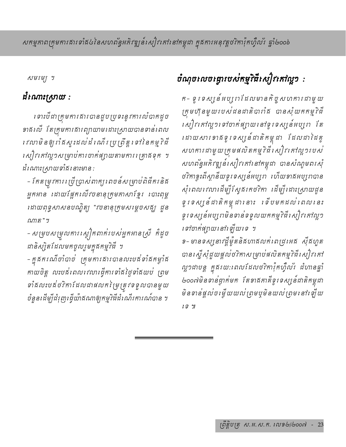# សកម្មភាពក្រុមការឥារទាំង៤នៃសហព័ន្ធអភិវឌ្ឍន៍សៀវកៅនៅកម្ពុជា ក្នុងការអនុវត្តថវិកាវ៉ុកហ្វឺល័រ ផ្ទាំ២០០៦

សមរម្យ ។

# ដំណោះស្រាយ :

ទោះបីដាត្រមការគារបានដួបប្រទះនូវការលំបាកដូច ទាគឈើ តែក្រុមការគារព្យាយាមដោះស្រាយបានទាន់ពេល *ៅលាមិនឲ្យរាំងស្ទះដល់់ដំណើរ* ប្រត្រឹត្តទៅនៃកម្មវិធី សៀវកៅលួ១សម្រាប់ការចាក់ផ្សាយតាមការរគ្រាងទុក ។ ដំណោះស្រាយទាំង នោះមាន :

– កែតម្រកការ ប្រើប្រាស់ពាក្យ ពេចន៍សម្រាប់ពិជីករនិង អ្នកអាន ដោយផ្អែកលើវចនានុក្រុមកាសាខ្មែរ បោះពុម្ព ដោយពុទ្ធសាសនបណ្ឌិត្យ "វចនានុក្រុមសម្តេចសង្ឃ ដួន ណាត"។

- សម្របសម្រួលការស្ងៀកពាក់របស់អ្នកអានស្រី កំំដូច ជានិស្សិតដែលមកចូលរួមក្នុងកម្មវិធី ។

- ក្នុងករណីចាំបាច់ ក្រុមការងារបានលះបន័ទាំងកម្វាំង កាយចិត្ត លះបន់ពេលពេលធ្វើការទាំងថ្ងៃទាំងយប់ ព្រម ទាំងលះបង់ថវិកាដែលដាផលកម្រៃត្រូវទទួលបានមួយ ចំនួនដើម្បីដំរុញដើ្ចយ៉ាគណាឲ្យកម្មវិធីដំណើរការណ៍បាន ។

# ចំណុចលេចធ្លោរបស់កម្មវិធីសៀវគៅល្អ១ :

ក- ទូ ទេស្សន៍អប្បុរាដែលមានកិច្ចសហការដាមួយ ក្រុមហ៊ុនមួយរបស់ជនជាតិបារាំង បានសុំយកកម្មវិធី សៀវកៅល្អ១ទៅចាក់ផ្សាយតៅទូរទស្សន៍អប្បុរា តែ ដោយសារទាគនូរទស្សន៍ជាតិកម្ពុជា ដែលជាដៃគូ សហការដាមួយក្រុមផលិតកម្មវិធីសៀវគៅល្អ១របស់ សហព័ន្ធអភិវឌ្ឍន៍សៀវកៅនៅកម្ពុជា បានសំណូមពរសុំ ថវិកាខ្ទះពីស្ថានីយទូរទស្សន៍អប្បុរា ហើយទាគីអប្បុរាបាន សុំពេលពេលាដើម្បីស្ទែធរកថវិកា ដើម្បីដោះស្រាយដូន ទូ ទេស្សន៍ដាតិកម្ពុជានោះ ចើបមកដល់ពេលនេះ ទូរទស្សន៍អប្បុរាមិនទាន់ទទួលយកកម្មវិធីសៀវកៅល្អៗ ទៅចាក់ផ្សាយនៅឡើយទេ ។ ១- មានទស្សនាវដ្ដីម៉ូតនិគហាគលក់ ពេជ្រអេគ *ស៊ី*គហូត បានស្នើសុំដួយផ្តល់ថវិកាសម្រាប់ផលិតកម្មវិធីសៀវគៅ ល្អ១ដាបន្ត ក្នុងរយ:ពេលដែលថវិកាវ៉ុកហ្វឺល័រ ដំហានឆ្នាំ ២០០៧មិនទាន់ថ្ងាក់មក តែខាងកាត់ទូរទស្សន៍ជាតិកម្ពុជា

មិនទាន់ផ្តល់ចម្លើយយល់ព្រមប្**មិនយល់ព្រម**នៅរ ឡីយ

 $19.91$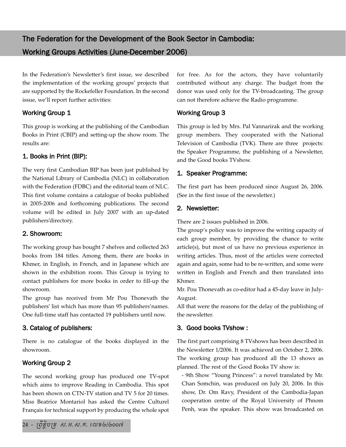In the Federation's Newsletter's first issue, we described the implementation of the working groups' projects that are supported by the Rockefeller Foundation. In the second issue, we'll report further activities:

## Working Group 1

This group is working at the publishing of the Cambodian Books in Print (CBIP) and setting-up the show room. The results are:

## 1. Books in Print (BIP):

The very first Cambodian BIP has been just published by the National Library of Cambodia (NLC) in collaboration with the Federation (FDBC) and the editorial team of NLC. This first volume contains a catalogue of books published in 2005-2006 and forthcoming publications. The second volume will be edited in July 2007 with an up-dated publishers'directory.

## 2. Showroom:

The working group has bought 7 shelves and collected 263 books from 184 titles. Among them, there are books in Khmer, in English, in French, and in Japanese which are shown in the exhibition room. This Group is trying to contact publishers for more books in order to fill-up the showroom.

The group has received from Mr Pou Thonevath the publishers' list which has more than 95 publishers'names. One full-time staff has contacted 19 publishers until now.

## 3. Catalog of publishers:

There is no catalogue of the books displayed in the showroom.

## Working Group 2

The second working group has produced one TV-spot which aims to improve Reading in Cambodia. This spot has been shown on CTN-TV station and TV 5 for 20 times. Miss Beatrice Montariol has asked the Centre Culturel Français for technical support by producing the whole spot for free. As for the actors, they have voluntarily contributed without any charge. The budget from the donor was used only for the TV-broadcasting. The group can not therefore achieve the Radio programme.

## Working Group 3

This group is led by Mrs. Pal Vannarirak and the working group members. They cooperated with the National Television of Cambodia (TVK). There are three projects: the Speaker Programme, the publishing of a Newsletter, and the Good books TVshow.

## 1. Speaker Programme:

The first part has been produced since August 26, 2006. (See in the first issue of the newsletter.)

## 2. Newsletter:

There are 2 issues published in 2006.

The group's policy was to improve the writing capacity of each group member, by providing the chance to write article(s), but most of us have no previous experience in writing articles. Thus, most of the articles were corrected again and again, some had to be re-written, and some were written in English and French and then translated into Khmer.

Mr. Pou Thonevath as co-editor had a 45-day leave in July-August.

All that were the reasons for the delay of the publishing of the newsletter.

## 3. Good books TVshow :

The first part comprising 8 TVshows has been described in the Newsletter 1/2006. It was achieved on October 2, 2006. The working group has produced all the 13 shows as planned. The rest of the Good Books TV show is:

- 9th Show "Young Princess": a novel translated by Mr. Chan Somchin, was produced on July 20, 2006. In this show, Dr. Om Ravy, President of the Cambodia-Japan cooperation centre of the Royal University of Phnom Penh, was the speaker. This show was broadcasted on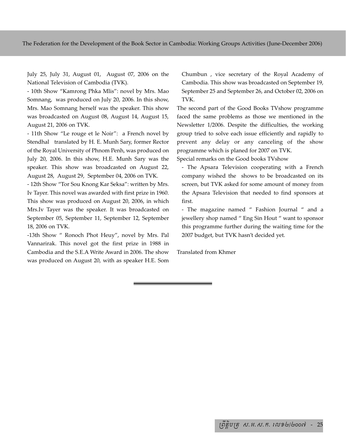The Federation for the Development of the Book Sector in Cambodia: Working Groups Activities (June-December 2006)

July 25, July 31, August 01, August 07, 2006 on the National Television of Cambodia (TVK).

- 10th Show "Kamrong Phka Mlis": novel by Mrs. Mao Somnang, was produced on July 20, 2006. In this show, Mrs. Mao Somnang herself was the speaker. This show was broadcasted on August 08, August 14, August 15, August 21, 2006 on TVK.

- 11th Show "Le rouge et le Noir": a French novel by Stendhal translated by H. E. Munh Sary, former Rector of the Royal University of Phnom Penh, was produced on July 20, 2006. In this show, H.E. Munh Sary was the speaker. This show was broadcasted on August 22, August 28, August 29, September 04, 2006 on TVK.

- 12th Show "Tor Sou Knong Kar Seksa": written by Mrs. Iv Tayer. This novel was awarded with first prize in 1960. This show was produced on August 20, 2006, in which Mrs.Iv Tayer was the speaker. It was broadcasted on September 05, September 11, September 12, September 18, 2006 on TVK.

-13th Show " Ronoch Phot Heuy", novel by Mrs. Pal Vannarirak. This novel got the first prize in 1988 in Cambodia and the S.E.A Write Award in 2006. The show was produced on August 20, with as speaker H.E. Som

Chumbun , vice secretary of the Royal Academy of Cambodia. This show was broadcasted on September 19, September 25 and September 26, and October 02, 2006 on TVK.

The second part of the Good Books TVshow programme faced the same problems as those we mentioned in the Newsletter 1/2006. Despite the difficulties, the working group tried to solve each issue efficiently and rapidly to prevent any delay or any canceling of the show programme which is planed for 2007 on TVK.

Special remarks on the Good books TVshow

- The Apsara Television cooperating with a French company wished the shows to be broadcasted on its screen, but TVK asked for some amount of money from the Apsara Television that needed to find sponsors at first.

- The magazine named " Fashion Journal " and a jewellery shop named " Eng Sin Hout " want to sponsor this programme further during the waiting time for the 2007 budget, but TVK hasn't decided yet.

Translated from Khmer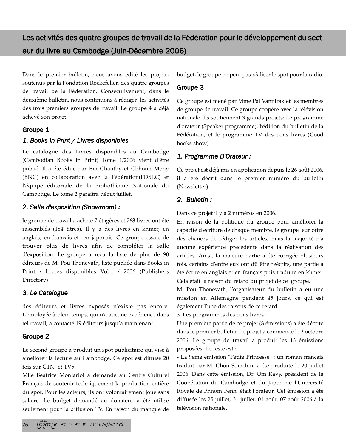Dans le premier bulletin, nous avons édité les projets, soutenus par la Fondation Rockefeller, des quatre groupes de travail de la Fédération. Consécutivement, dans le deuxième bulletin, nous continuons à rédiger les activités des trois premiers groupes de travail. Le groupe 4 a déjà achevé son projet.

## Groupe 1

## *1. Books in Print / Livres disponibles*

Le catalogue des Livres disponibles au Cambodge (Cambodian Books in Print) Tome 1/2006 vient d'être publié. Il a été édité par Em Chanthy et Chhoun Mony (BNC) en collaboration avec la Fédération(FDSLC) et l'équipe éditoriale de la Bibliothèque Nationale du Cambodge. Le tome 2 paraitra début juillet.

## *2. Salle d'exposition (Showroom) :*

le groupe de travail a acheté 7 étagères et 263 livres ont été rassemblés (184 titres). Il y a des livres en khmer, en anglais, en français et en japonais. Ce groupe essaie de trouver plus de livres afin de compléter la salle d'exposition. Le groupe a reçu la liste de plus de 90 éditeurs de M. Pou Thonevath, liste publiée dans Books in Print / Livres disponibles Vol.1 / 2006 (Publishers Directory)

## *3. Le Catalogue*

des éditeurs et livres exposés n'existe pas encore. L'employée à plein temps, qui n'a aucune expérience dans tel travail, a contacté 19 éditeurs jusqu'à maintenant.

## Groupe 2

Le second groupe a produit un spot publicitaire qui vise à améliorer la lecture au Cambodge. Ce spot est diffusé 20 fois sur CTN et TV5.

Mlle Beatrice Montariol a demandé au Centre Culturel Français de soutenir techniquement la production entière du spot. Pour les acteurs, ils ont volontairement joué sans salaire. Le budget demandé au donateur a été utilisé seulement pour la diffusion TV. En raison du manque de budget, le groupe ne peut pas réaliser le spot pour la radio.

## Groupe 3

Ce groupe est mené par Mme Pal Vannirak et les membres de groupe de travail. Ce groupe coopère avec la télévision nationale. Ils soutiennent 3 grands projets: Le programme d'orateur (Speaker programme), l'édition du bulletin de la Fédération, et le programme TV des bons livres (Good books show).

## *1. Programme D'Orateur :*

Ce projet est déjà mis en application depuis le 26 août 2006, il a été décrit dans le premier numéro du bulletin (Newsletter).

## *2. Bulletin :*

Dans ce projet il y a 2 numéros en 2006.

En raison de la politique du groupe pour améliorer la capacité d'écriture de chaque membre, le groupe leur offre des chances de rédiger les articles, mais la majorité n'a aucune expérience précédente dans la réalisation des articles. Ainsi, la majeure partie a été corrigée plusieurs fois, certains d'entre eux ont dû être réécrits, une partie a été écrite en anglais et en français puis traduite en khmer. Cela était la raison du retard du projet de ce groupe.

M. Pou Thonevath, l'organisateur du bulletin a eu une mission en Allemagne pendant 45 jours, ce qui est également l'une des raisons de ce retard.

3. Les programmes des bons livres :

Une première partie de ce projet (8 émissions) a été décrite dans le premier bulletin. Le projet a commencé le 2 octobre 2006. Le groupe de travail a produit les 13 émissions proposées. Le reste est :

- La 9ème émission "Petite Princesse" : un roman français traduit par M. Chon Somchin, a été produite le 20 juillet 2006. Dans cette émission, Dr. Om Ravy, président de la Coopération du Cambodge et du Japon de l'Université Royale de Phnom Penh, était l'orateur. Cet émission a été diffusée les 25 juillet, 31 juillet, 01 août, 07 août 2006 à la télévision nationale.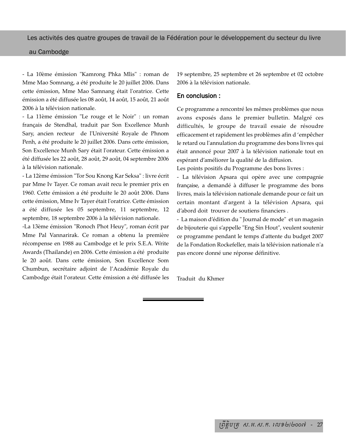#### au Cambodge

- La 10ème émission "Kamrong Phka Mlis" : roman de Mme Mao Somnang, a été produite le 20 juillet 2006. Dans cette émission, Mme Mao Samnang était l'oratrice. Cette émission a été diffusée les 08 août, 14 août, 15 août, 21 août 2006 à la télévision nationale.

- La 11ème émission "Le rouge et le Noir" : un roman français de Stendhal, traduit par Son Excellence Munh Sary, ancien recteur de l'Université Royale de Phnom Penh, a été produite le 20 juillet 2006. Dans cette émission, Son Excellence Munh Sary était l'orateur. Cette émission a été diffusée les 22 août, 28 août, 29 août, 04 septembre 2006 à la télévision nationale.

- La 12ème émission "Tor Sou Knong Kar Seksa" : livre écrit par Mme Iv Tayer. Ce roman avait recu le premier prix en 1960. Cette émission a été produite le 20 août 2006. Dans cette émission, Mme Iv Tayer était l'oratrice. Cette émission a été diffusée les 05 septembre, 11 septembre, 12 septembre, 18 septembre 2006 à la télévision nationale.

-La 13ème émission "Ronoch Phot Heuy", roman écrit par Mme Pal Vannarirak. Ce roman a obtenu la première récompense en 1988 au Cambodge et le prix S.E.A. Write Awards (Thailande) en 2006. Cette émission a été produite le 20 août. Dans cette émission, Son Excellence Som Chumbun, secrétaire adjoint de l'Académie Royale du Cambodge était l'orateur. Cette émission a été diffusée les 19 septembre, 25 septembre et 26 septembre et 02 octobre 2006 à la télévision nationale.

#### En conclusion :

Ce programme a rencontré les mêmes problèmes que nous avons exposés dans le premier bulletin. Malgré ces difficultés, le groupe de travail essaie de résoudre efficacement et rapidement les problèmes afin d 'empêcher le retard ou l'annulation du programme des bons livres qui était annoncé pour 2007 à la télévision nationale tout en espérant d'améliorer la qualité de la diffusion.

Les points positifs du Programme des bons livres :

- La télévision Apsara qui opère avec une compagnie française, a demandé à diffuser le programme des bons livres, mais la télévision nationale demande pour ce fait un certain montant d'argent à la télévision Apsara, qui d'abord doit trouver de soutiens financiers .

- La maison d'édition du " Journal de mode" et un magasin de bijouterie qui s'appelle "Eng Sin Hout", veulent soutenir ce programme pendant le temps d'attente du budget 2007 de la Fondation Rockefeller, mais la télévision nationale n'a pas encore donné une réponse définitive.

Traduit du Khmer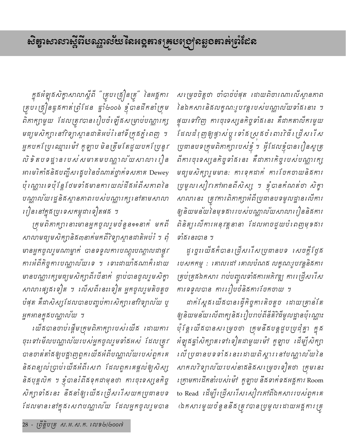ក្នុងអំឡុងសិក្ខាសាលាស្តីពី "គ្រូបគ្រឿនគ្រូ" នៃអង្គការ គ្រុប ត្រៀនធ្ងកកាត់ព្រំដែន ធ្នាំ២០០៦ ខ្ញុំបានដឹកនាំក្រុម ពិភាក្សាមួយ ដែលត្រូវបានរៀបចំឡើងសម្រាប់បណ្ណារក្ស មធ្យមសិក្សា នៅវិទ្យាស្ថានជាតិអប់រំ នៅទី ត្រុងភ្នំ ពេញ ។ អ្នកបកស្រែឈ្មោះទៅ កូឡាប មិនត្រឹមតែជួយបកស្រែនូវ លិ ទិ តបទដ្ឋានរបស់សមាគមបណ្ណាល័យសាលារវៀន អារមរិកាំផនិផបញ្ជីសង្ខេបនៃចំណាត់ថ្នាក់ទសកាគ Dewey *ប៉ុណ្ណោះទេប៉ុន្តែថែមទាំងមានការយល់ដីងអំពីសកាពនៃ* បណ្ណាលយែរដ្ឋនិងស្ថានភាពរបស់បណ្ណារក្សរនៅតាមសាលា រៀននៅក្នុងប្រទេសកម្ពុជាទៀតផង ។

ក្រុមពិភាក្សា នោះមានអ្នកចូលរួមចំនួន๑๑នាក់ មកពី សាលាមធ្យមសិក្សានិង៣នាក់មកពីវិទ្យាស្ថានជាតិអប់រំ ។ ពុំ មានអ្នកចូលរួមណាម្នាក់ បានទទួលការបណ្តុះបណ្តាលដាផ្វវ ការអំពីកិច្ចការបណ្ណាល័យទេ ។ ទោះដាយាំងណាកំំាដាយ មានបណ្ណារក្សមធ្យមសិក្សាពីរបីនាក់ ធ្លាប់បានចូលរួមសិក្ខា សាលាផ្សេងទៀត ។ លើសពីនេះទៀត អ្នកចូលរួមតិចតួច បំផុត គឺដាសិស្សដែលបានបញ្ចប់ការសិក្សានៅវិទ្យាល័យ ឬ អ្នកអានក្នុងបណ្ណាល័យ ។

យើងបានចាប់ផ្តើមក្រុមពិភាក្សារបស់យើង ដោយការ ចុះទៅមើលបណ្ណាលយែរបស់អ្នកចូលរួមទាំងអស់ ដែលត្រូវ បានចាត់តាំងឲ្យបន្លាញពួករយ័ងអំពីបណ្ណាលយែរបស់ពួករគ និងពន្យល់ប្រាប់យើងអំពីសេវា ដែលពួកគេផ្តល់ឲ្យសិស្ស និងបុគ្គលិក ។ ខ្ញុំបានរំពឹងទុកជាមុនថា ការចុះទស្សនកិច្ច សិត្បាទាំងនេះ នឹងនាំឲ្យយើងជ្រើសរើសយកប្រជានបទ ដែលមាននៅក្នុងសេវាបណ្ណាល័យ ដែលអ្នកចូលរួមបាន

សម្រេចចិត្តថា ចាំបាច់បំផុត ដោយពិចារណាលើស្ថានភាព នៃឯកសារនិងលក្ខណៈរូបវន្តរបស់បណ្តាលយទាំងនោះ ។ ផ្ទុយទៅវិញ ការចុះទស្សនកិច្ចទាំងនេះ គឺជាកតាលីករមួយ ដែលដំរុញឲ្យផ្ទាស់ប្តូរទាំងស្រុងចំពោះវិធីដ្រើសដើស ប្រជានបទក្រុមពិភាក្សារបស់ខ្ញុំ ។ ផ្ទីដែលខ្ញុំបានរៀនសូត្រ ពីការចុះទស្សនកិច្ចទាំងនេះ គឺជាការកិច្ចរបស់បណ្ណារក្ស មធ្យមសិក្សារួមមាន: ការទុកដាក់ ការបែកចាយនិងការ ប្រមូលសៀវកៅអានពីសិស្ស ។ ខ្ញុំបានកំណត់ថា សិក្ខា សាលានេះ ត្រូវការពិភាក្សាអំពីប្រជានបទមូលដ្ឋានលើការ ឲ្យនិយមន័យនៃមុខផាររបស់បណ្ណាល័យសាលារឿននិផការ ពិនិត្យ លើការអនុវត្តនានា ដែលអាចជួយបំពេញមុខសារ ទាំងនេះបាន ។

ដូរថ្នះយើងក៏បានត្រើសរើសប្រជានបទ សេចក្តីថ្ងៃង បេសកកម្ម : គោលដៅ គោលបំណង លក្ខណៈរូបវន្តនិងការ គ្រប់គ្រងឯកសារ ពប់បញ្ចូលទាំងការអភិវឌ្ឍ ការ ជ្រើសរើស ការទទួលបាន ការរៀបចំនិងការចែកចាយ ។

ដាក់ស្តែងយើងបានធ្វើកិច្ចការតិចតួច ដោយគ្រាន់តែ ឲ្យនិយមន័យលើពាក្យនិងរៀបរាប់ពីនីតិវិធីមូលដ្ឋានប៉ុណ្ណោះ ប៉ុន្តែ យើងបានស ម្រេចថា ក្រុមនឹងបន្តដួបប្រជុំគ្នា ក្នុង អំឡុងឆ្នាំសិក្សាត ទៅទៀតជាមួយ ម៉ៅ កូឡាប ដើម្បីសិក្សា េលី ប្រធានបទទាំង នេះ ដោយពិស្តារ នៅបណ្ណាល័យ នៃ សាកលវិទ្យាល័យរបស់នាគនិគសម្រេចទៀតថា ក្រុមនេះ ក្រោមការដឹកនាំរបស់ម៉ៅ កូឡាប នឹងទាក់ទងអង្គការ Room to Read เน็ซฺก็เผื่องเรื่องเญ่ใงสาตินสองกายอยู่ตูสาล (ឯកសារមួយចំនួននឹងត្រូវបានប្រមូលដោយអង្គការត្រូ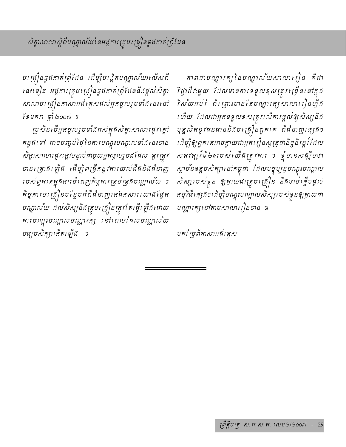បត្រៀនធ្វឥកាត់ព្រំដែន ដើម្បីបង្កើតបណ្ណាល័យរលើសពី នេះទៀត អគ្គការគ្រូបត្រៀនធ្វតកាត់ព្រំដែននឹងផ្តល់សិក្ខា សាលាបស្រ្តឿនកាសាអង់ គ្លេសដល់អ្នកចូលរួមទាំងនេះនៅ ไขยกก ฐาํ ๒๐๐๗ ฯ

ប្រសិនបើអ្នកចូលរួមទាំងអស់់ក្នុងសិក្ខាសាលារដូវក្តៅ កន្ទងទៅ អាចបញ្ចប់ថ្ងៃនៃការបណ្តុះបណ្តាលទាំងនេះបាន សិត្ខាសាលារដូវក្តៅបន្ទាប់ជាមួយអ្នកចូលរួមដដែល គួរត្រូវ បានក្រោងឡើង ដើម្បីពង្រីកនូវការយល់ដឹងនិងដំនាញ របស់ពួក គេក្នុងការបំពេញកិច្ចការ គ្រប់គ្រងបណ្ណាល័យ ។ កិច្ចការបង្រៀនបន្ថែមអំពីដំនាញរកឯកសារ យោធ័ផ្នែក បណ្ណាល័យ ដល់សិស្សនិងគ្រូប ត្រៀនត្រូវតែធ្វើឡើងដោយ ការបណ្តុះបណ្តាលបណ្តារក្ស នៅពេលដែលបណ្តាលយ មធ្យមសិក្សាកើត ឡើង ។

គាពដាបណ្ណារក្សនៃបណ្ណាល័យសាលារឿន គឺជា *រិដ្ឋាជីវៈមួយ ដែលមានការទទួលខុសត្រូវប្រើននៅ*ក្នុង 7ិស័យអប់រំ ពីរ ព្រាះមាន តែបណ្ណារក្សសាលារៀនហ្នឹង ហើយ ដែលជាអ្នកទទួលខុសត្រូវលើការផ្តល់ឲ្យសិស្សនិង បុគ្គលិកនូវធនធាននិគបស្រុំន្រពួកគេ ពីដំនាញ ផ្សេគ១ ដើម្បីឲ្យពួកគេអាចក្លាយជាអ្នករៀនសូត្រជានិច្ចនិរន្តរំដែល សត $i$ ត្យ ទែំ២១របស់យើងត្រូវការ ។ ខ្ញុំមានសង្ឃឹមថា ស្ថាបន័ខត្តមសិក្សានៅកម្ពុជា ដែលបច្ចុប្បន្នបណ្តុះបណ្តាល សិស្សរបស់ខ្លួន ឲ្យក្លាយជាគ្រូប គ្រឿន នឹងចាប់ ផ្តើមផ្តល់ កម្មវិធីផេ្ស ន១ ដើម្បីបណ្តុះបណ្តាលសិស្សរបស់ខ្វួនឲ្យក្វាយដា បណ្ណារក្សរនៅតាមសាលារៀនបាន ៕

បកព្រៃពីភាសាអង់គ្លេស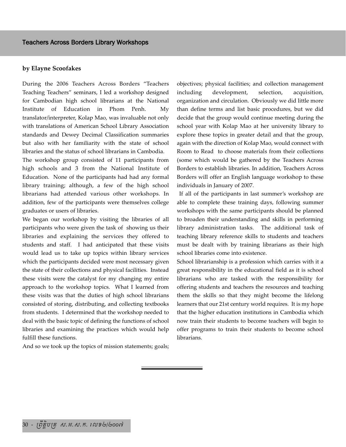#### **by Elayne Scoofakes**

During the 2006 Teachers Across Borders "Teachers Teaching Teachers" seminars, I led a workshop designed for Cambodian high school librarians at the National Institute of Education in Phom Penh. My translator/interpreter, Kolap Mao, was invaluable not only with translations of American School Library Association standards and Dewey Decimal Classification summaries but also with her familiarity with the state of school libraries and the status of school librarians in Cambodia.

The workshop group consisted of 11 participants from high schools and 3 from the National Institute of Education. None of the participants had had any formal library training; although, a few of the high school librarians had attended various other workshops. In addition, few of the participants were themselves college graduates or users of libraries.

We began our workshop by visiting the libraries of all participants who were given the task of showing us their libraries and explaining the services they offered to students and staff. I had anticipated that these visits would lead us to take up topics within library services which the participants decided were most necessary given the state of their collections and physical facilities. Instead these visits were the catalyst for my changing my entire approach to the workshop topics. What I learned from these visits was that the duties of high school librarians consisted of storing, distributing, and collecting textbooks from students. I determined that the workshop needed to deal with the basic topic of defining the functions of school libraries and examining the practices which would help fulfill these functions.

And so we took up the topics of mission statements; goals;

objectives; physical facilities; and collection management including development, selection, acquisition, organization and circulation. Obviously we did little more than define terms and list basic procedures, but we did decide that the group would continue meeting during the school year with Kolap Mao at her university library to explore these topics in greater detail and that the group, again with the direction of Kolap Mao, would connect with Room to Read to choose materials from their collections (some which would be gathered by the Teachers Across Borders to establish libraries. In addition, Teachers Across Borders will offer an English language workshop to these individuals in January of 2007.

If all of the participants in last summer's workshop are able to complete these training days, following summer workshops with the same participants should be planned to broaden their understanding and skills in performing library administration tasks. The additional task of teaching library reference skills to students and teachers must be dealt with by training librarians as their high school libraries come into existence.

School librarianship is a profession which carries with it a great responsibility in the educational field as it is school librarians who are tasked with the responsibility for offering students and teachers the resources and teaching them the skills so that they might become the lifelong learners that our 21st century world requires. It is my hope that the higher education institutions in Cambodia which now train their students to become teachers will begin to offer programs to train their students to become school librarians.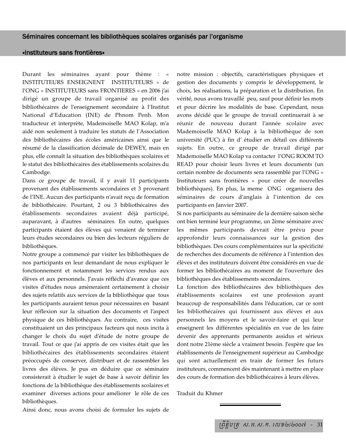#### «Instituteurs sans frontières»

Durant les séminaires ayant pour thème : « INSTITUTEURS ENSEIGNENT INSTITUTEURS » de l'ONG « INSTITUTEURS sans FRONTIERES » en 2006 j'ai dirigé un groupe de travail organisé au profit des bibliothécaires de l'enseignement secondaire à l'Institut National d'Education (INE) de Phnom Penh. Mon traducteur et interprète, Mademoiselle MAO Kolap, m'a aidé non seulement à traduire les statuts de l'Association des bibliothécaires des écoles américaines ainsi que le résumé de la classification décimale de DEWEY, mais en plus, elle connaît la situation des bibliothèques scolaires et le statut des bibliothécaires des établissements scolaires du Cambodge.

Dans ce groupe de travail, il y avait 11 participants provenant des établissements secondaires et 3 provenant de l'INE. Aucun des participants n'avait reçu de formation de bibliothécaire. Pourtant, 2 ou 3 bibliothécaires des établissements secondaires avaient déjà participé, auparavant, à d'autres séminaires. En outre, quelques participants étaient des élèves qui venaient de terminer leurs études secondaires ou bien des lecteurs réguliers de bibliothèques.

Notre groupe a commencé par visiter les bibliothèques de nos participants en leur demandant de nous expliquer le fonctionnement et notamment les services rendus aux élèves et aux personnels. J'avais réfléchi d'avance que ces visites d'études nous amèneraient certainement à choisir des sujets relatifs aux services de la bibliothèque que tous les participants auraient tenus pour nécessaires en basant leur réflexion sur la situation des documents et l'aspect physique de ces bibliothèques. Au contraire, ces visites constituaient un des principaux facteurs qui nous incita à changer le choix du sujet d'étude de notre groupe de travail. Tout ce que j'ai appris de ces visites était que les bibliothécaires des établissements secondaires étaient préoccupés de conserver, distribuer et de rassembler les livres des élèves. Je pus en déduire que ce séminaire consisterait à étudier le sujet de base à savoir définir les fonctions de la bibliothèque des établissements scolaires et examiner diverses actions pour améliorer le rôle de ces bibliothèques.

Ainsi donc, nous avons choisi de formuler les sujets de

notre mission : objectifs, caractéristiques physiques et gestion des documents y compris le développement, le choix, les réalisations, la préparation et la distribution. En vérité, nous avons travaillé peu, sauf pour définir les mots et pour décrire les modalités de base. Cependant, nous avons décidé que le groupe de travail continuerait à se réunir de nouveau durant l'année scolaire avec Mademoiselle MAO Kolap à la bibliothèque de son université (PUC) à fin d' étudier en détail ces différents sujets. En outre, ce groupe de travail dirigé par Mademoiselle MAO Kolap va contacter l'ONG ROOM TO READ pour choisir leurs livres et leurs documents (un certain nombre de documents sera rassemblé par l'ONG « Instituteurs sans frontières » pour créer de nouvelles bibliothèques). En plus, la meme ONG organisera des séminaires de cours d'anglais à l'intention de ces participants en Janvier 2007.

Si nos participants au séminaire de la dernière saison sèche ont bien terminé leur programme, un 2ème séminaire avec les mêmes participants devrait être prévu pour approfondir leurs connaissances sur la gestion des bibliothèques. Des cours complémentaires sur la spécificité de recherches des documents de référence à l'intention des élèves et des instituteurs doivent être considérés en vue de former les bibliothécaires au moment de l'ouverture des bibliothèques des établissements secondaires.

La fonction des bibliothécaires des bibliothèques des établissements scolaires est une profession ayant beaucoup de responsabilités dans l'éducation, car ce sont les bibliothécaires qui fournissent aux élèves et aux personnels les moyens et le savoir-faire et qui leur enseignent les différentes spécialités en vue de les faire devenir des apprenants permanents assidus et sérieux dont notre 21ème siècle a vraiment besoin. J'espère que les établissements de l'enseignement supérieur au Cambodge qui sont actuellement en train de former les futurs instituteurs, commencent dès maintenant à mettre en place des cours de formation des bibliothécaires à leurs élèves.

Traduit du Khmer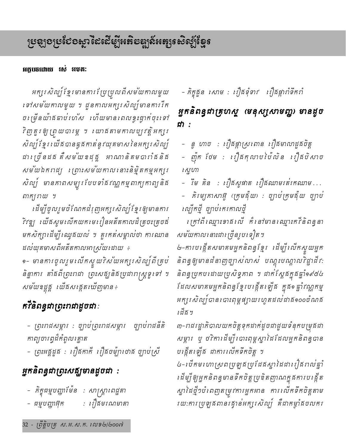## អក្គបចដោយ រស់ អមត:

អក្សរ សិល្ប៍ ខ្មែរ មានការ ប្រែប្រុលពីសម័យកាលមួយ ទៅសម័យកាលមួយ ។ ដួនកាលអក្សរសិល្ប៍មានការរីក ច ម្រើនយ៉ាគតាប់រហ័ស យើយមានពេលខ្វះផ្ទាក់ចុះទៅ វិញគួរឲ្យ ព្រួយបារម្ភ ។ រយាងតាមកាលប្បវត្តិអក្សរ សិល្ប៍ ខ្មែរ យើងបានធ្ងួងកាត់នូវយុគមាសនៃអក្សរ សិល្ប៍ ដារ ប្រ៊នដគ គឺសម័យខដុគ្គ អាណានិគមបារាំគនិគ សម័យឯកពដ្យ ព្រោះសម័យកាលនោះនិម្មិតកម្មអក្សរ សិល្ប៍ មានភាពសម្បូរបែបទាំងវណ្ណកម្មពាក្យកាព្យនិង ពាក្យប្រយ**្**ម

ដើម្បីចូលរួមចំណែកដំរុញអក្សរសិល្ប៍ខ្មែរឲ្យមានការ 7ិវឌ្ឍ យើងសូម លើកយក មេ រៀនអតីតកាលដ៏ ត្រូចះត្រូចង់ មកសិក្សាដើម្បីឈ្វេងយល់ ។ គួរកត់សម្គាល់ថា ការឈាន ដល់យុគមាសពីអតីតកាលអាស្រ័យ ដាយ ÷

๑– មានការចូលរួមឈើកស្ទួយវិស័យអក្សរសិល្ប៍ពីគ្រប់ និន្នាការ តាំងពីព្រះរាជា ព្រះសង្ឃនិងប្រជារាស្ត្រទូរទៅ ។ សម័យឧដ្ដត្ត យើងសង្កេតឃើញមាន÷

# *ក*វិនិពន្ធជាព្រះរាជាដូចជា :

- ព្រះរាជសម្ភារ : ច្បាប់ព្រះរាជសម្ភារ ច្បាប់រាជនីតិ កាព្យចារព្ធដ៏កំពូលគ្នោត

– ព្រះអគ្គដួគ : ព្យឺគកាតី ព្យឺគចម៉្យារថាគ ច្បាប់ស្រី

# អ្នកនិពន្ធជាព្រះសត្បូមានដូចជា :

- ភិក្ខុជម្មបញ្ហាម៉ែន : សាស្ត្រាពេជ្ជតា
- : ព្រឹងមរណមាតា – ជម្មបញ្ញាអ៊ុក

– ភិក្ខុឆ្លួន សោម : រឿនទុំទាវ រឿនផ្ការាំទឹករាំ

# អ្នកនិពន្ធជាត្រហស្ត (មនុស្សសាមញ្ជ) មានដូច ជា :

– នូ ហាច : ព្យឺឝផ្កាស្រពោន ព្យឺឝមាលាដួឝចិត្ត

– ញ៉ុក ថែម : ព្យឺផកុលាប់ប៉ៃលិន ព្យឺផបិសាច ស្នួហា

– រឹម គិន : រឿគសូផាត រឿគឈាមរត់រកឈាម...

គិរម្យគាសាអ៊ូ (ក្រុមជុំយ) : ច្បាប់ក្រុមជុំយ ច្បាប់ ាល្បឹកថ្មី *ច្បាប់តេរតាលថ្មី* 

ក្រៅពីឈ្មោះទាគលើ កំនៅមានឈ្មោះកកីនិពន្ធនា សម័យកាលនោះជាច្រើនរូបទៀត។

៤-ការបង្កើតសមាគមអ្នកនិពន្ធខ្មែរ ដើម្បីលើកស្ទួយអ្នក និពន្ធឲ្យមានដំនាញច្បាស់លាស់ បណ្តុះបណ្តាលវិដ្ឋាដីវ: និពន្ធប្រកបដោយប្រសិទ្ធភាព ។ ជាក់ស្តែងក្នុងឆ្នាំ១៩៥៤ ដែលសមាគមអ្នកនិពន្ធខ្មែរបង្កើត ឡើង ក្នុង១ ឆ្នាំវណ្ណកម្ម អក្សរ សិល្ប៍ បាន បោះពុម្ពផ្សាយរហូតដល់ដាធ១០០ចំណង *់ជី*ធិ ។

៣–រាជរដ្ឋាភិបាលយកចិត្តទុកដាក់ដូចជាជួយទំនុកបម្រុងជា សម្ភារ ប្ ថវិកាដើម្បីរបាះពុម្ពស្នាដៃដែលអ្នកនិពន្ធបាន បង្កើតឡើង ជាការលើកទឹកចិត្ត ។

៤-របីតមហោស្រពប្រឡូងប្រជែងស្នាដៃដាររឿងពល់ឆ្នាំ ដើម្បីឲ្យអ្នកនិពន្ធមានទឹកចិត្តប្រឌិតញាណក្នុងការបង្កើត ស្នាដៃថ្មី១បំពេញតម្រុវការអ្នកអាន ការលើកទឹកចិត្តតាម រយ:ការប្រឡូងពានរង្វាន់អក្សរសិល្ប៍ គឺជាកម្ងាំងចលករ

32 - ព្រឹត្តិបត្រ ស.អ.ស.ក. លេខ២/២០០៧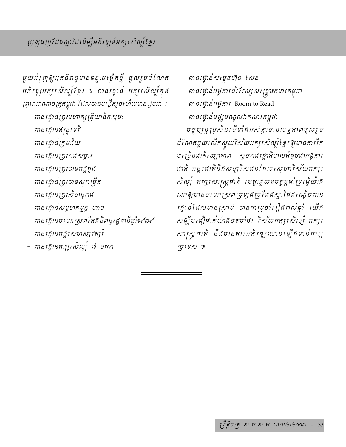មួយដំរុញឲ្យអ្នកនិពន្ធមានធន្ទ:បង្កើតថ្មី ចូលរួមចំណែក អភិវឌ្ឍអក្សរសិល្ប៍ខ្មែរ ។ ពានរគ្វាន់ អក្សរសិល្ប៍ក្នុង ព្រះរាជាណាចក្រកម្ពុជា ដែលបានបង្កើតរួចហើយមានដួចជា ÷

- ពានរដ្ធាន់ព្រះមហាក្សត្រិយានីកុសុម:
- ពានរគ្វាន់ឥន្ទ្រទេវី
- ពានរង្វាន់ក្រុមដុំយ
- ពានរង្វាន់ព្រះរាជសម្ភារ
- ពានរង្វាន់ព្រះបាទអគ្គីដួង
- ពានរដ្ធាន់ព្រះបាទសុរាម្រឹត
- ពានរង្វាន់ព្រះសីហនុពជ
- ពានរង្វាន់សមូហកម្មនូ ហាច
- ពានរដ្ធានមហោស្រពតែធនិពន្ធរដ្ឋជានីឆ្នាំ១៩៨៩
- ពានរដ្ធានអគ្គរសហស្បវត្សរ៍
- ពានរដ្ធានអក្សរសិល្ប៍ ៧ មករា
- ពានរដ្ធាន់សម្តេចហ៊ុន សែន
- ពានរដ្ធានអគ្គការន័រដែស្សសង្គ្រោះកុមារកម្ពុជា
- ពានរដ្ធានអង្គការ Room to Read
- ពានរង្វាន់មជ្ឈមណ្ឌលឯកសារកម្ពុជា

បច្ចុប្បន្ន ប្រសិន បើទាំងអស់គ្នាមានលទ្ធភាពចូលរួម ចំណែកជួយលើកស្ទួយវិស័យអក្សរសិល្ប៍ខ្មែរឲ្យមានការរឹត ច៖ ទ្រីនជាភិ យ្យាភាព សូមពជរដ្ឋាភិបាលកំដូចជាអគ្គការ ដាតិ-អន្តរដាតិនិងសប្បុរិសដនដែលស្នេហាវិស័យអក្សរ សិល្ប៍ អក្សរសាស្ត្រជាតិ មេត្តាជួយឧបត្តម្ភគាំទ្រដ្វើយ៉ាង ណាឲ្យមានម ហោស្រពប្រឡូងប្រជែងស្នាដៃដ ណ្ដើមពាន រគ្ទាន់ដែលមានស្រាប់ បានដាប្រចាំរឿគរាល់ឆ្នាំ រយ័គ សត្បិម ជឿដាក់យ៉ាគមុតមាំថា 7ស័យអក្សរសិល្ប៍-អក្សរ សាស្ត្រដាតិ នឹងមានការអភិវឌ្ឍឈាន ឡើងទាន់អារ្យ ស្រទេស ៕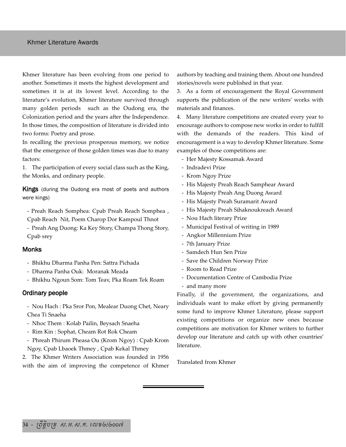Khmer literature has been evolving from one period to another. Sometimes it meets the highest development and sometimes it is at its lowest level. According to the literature's evolution, Khmer literature survived through many golden periods such as the Oudong era, the Colonization period and the years after the Independence. In those times, the composition of literature is divided into two forms: Poetry and prose.

In recalling the previous prosperous memory, we notice that the emergence of those golden times was due to many factors:

1. The participation of every social class such as the King, the Monks, and ordinary people.

**Kings** (during the Oudong era most of poets and authors were kings)

- Preah Reach Somphea: Cpab Preah Reach Somphea , Cpab Reach Nit, Poem Charop Dor Kampoul Thnot

- Preah Ang Duong: Ka Key Story, Champa Thong Story, Cpab srey

#### **Monks**

- Bhikhu Dharma Panha Pen: Sattra Pichada
- Dharma Panha Ouk: Moranak Meada
- Bhikhu Ngoun Som: Tom Teav, Pka Roam Tek Roam

#### Ordinary people

- Nou Hach : Pka Sror Pon, Mealear Duong Chet, Neary Chea Ti Snaeha
- Nhoc Them : Kolab Pailin, Beysach Snaeha
- Rim Kin : Sophat, Cheam Rot Rok Cheam
- Phreah Phirum Pheasa Ou (Krom Ngoy) : Cpab Krom Ngoy, Cpab Lbaoek Thmey , Cpab Kekal Thmey

2. The Khmer Writers Association was founded in 1956 with the aim of improving the competence of Khmer authors by teaching and training them. About one hundred stories/novels were published in that year.

3. As a form of encouragement the Royal Government supports the publication of the new writers' works with materials and finances.

4. Many literature competitions are created every year to encourage authors to compose new works in order to fulfill with the demands of the readers. This kind of encouragement is a way to develop Khmer literature. Some examples of those competitions are:

- Her Majesty Kossamak Award
- Indradevi Prize
- Krom Ngoy Prize
- His Majesty Preah Reach Samphear Award
- His Majesty Preah Ang Duong Award
- His Majesty Preah Suramarit Award
- His Majesty Preah Sihaknoukreach Award
- Nou Hach literary Prize
- Municipal Festival of writing in 1989
- Angkor Millennium Prize
- 7th January Prize
- Samdech Hun Sen Prize
- Save the Children Norway Prize
- Room to Read Prize
- Documentation Centre of Cambodia Prize
- and many more

Finally, if the government, the organizations, and individuals want to make effort by giving permanently some fund to improve Khmer Literature, please support existing competitions or organize new ones because competitions are motivation for Khmer writers to further develop our literature and catch up with other countries' literature.

Translated from Khmer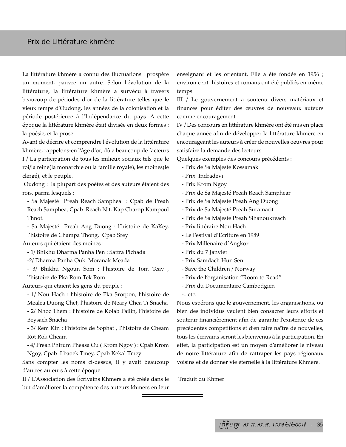## Prix de Littérature khmère

La littérature khmère a connu des fluctuations : prospère un moment, pauvre un autre. Selon l'évolution de la littérature, la littérature khmère a survécu à travers beaucoup de périodes d'or de la littérature telles que le vieux temps d'Oudong, les années de la colonisation et la période postérieure à l'Indépendance du pays. A cette époque la littérature khmère était divisée en deux formes : la poésie, et la prose.

Avant de décrire et comprendre l'évolution de la littérature khmère, rappelons-en l'âge d'or, dû a beaucoup de facteurs I / La participation de tous les milieux sociaux tels que le roi/la reine(la monarchie ou la famille royale), les moines(le clergé), et le peuple.

Oudong : la plupart des poètes et des auteurs étaient des rois, parmi lesquels :

- Sa Majesté Preah Reach Samphea : Cpab de Preah Reach Samphea, Cpab Reach Nit, Kap Charop Kampoul Thnot.

- Sa Majesté Preah Ang Duong : l'histoire de KaKey, l'histoire de Champa Thong, Cpab Srey

Auteurs qui étaient des moines :

- 1/ Bhikhu Dharma Panha Pen : Sattra Pichada

-2/ Dharma Panha Ouk: Moranak Meada

- 3/ Bhikhu Ngoun Som : l'histoire de Tom Teav , l'histoire de Pka Rom Tek Rom

Auteurs qui etaient les gens du peuple :

- 1/ Nou Hach : l'histoire de Pka Srorpon, l'histoire de Mealea Duong Chet, l'histoire de Neary Chea Ti Snaeha

- 2/ Nhoc Them : l'histoire de Kolab Pailin, l'histoire de Beysach Snaeha

- 3/ Rem Kin : l'histoire de Sophat , l'histoire de Cheam Rot Rok Cheam

- 4/ Preah Phirum Pheasa Ou ( Krom Ngoy ) : Cpab Krom Ngoy, Cpab Lbaoek Tmey, Cpab Kekal Tmey

Sans compter les noms ci-dessus, il y avait beaucoup d'autres auteurs à cette époque.

II / L'Association des Écrivains Khmers a été créée dans le but d'améliorer la compétence des auteurs khmers en leur enseignant et les orientant. Elle a été fondée en 1956 ; environ cent histoires et romans ont été publiés en même temps.

III / Le gouvernement a soutenu divers matériaux et finances pour éditer des œuvres de nouveaux auteurs comme encouragement.

IV / Des concours en littérature khmère ont été mis en place chaque année afin de développer la littérature khmère en encourageant les auteurs à créer de nouvelles oeuvres pour satisfaire la demande des lecteurs.

Quelques exemples des concours précédents :

- Prix de Sa Majesté Kossamak
- Prix Indradevi
- Prix Krom Ngoy
- Prix de Sa Majesté Preah Reach Samphear
- Prix de Sa Majesté Preah Ang Duong
- Prix de Sa Majesté Preah Suramarit
- Prix de Sa Majesté Preah Sihanoukreach
- Prix littéraire Nou Hach
- Le Festival d'Ecriture en 1989
- Prix Millenaire d'Angkor
- Prix du 7 Janvier
- Prix Samdach Hun Sen
- Save the Children / Norway
- Prix de l'organisation "Room to Read"
- Prix du Documentaire Cambodgien
- -...etc.

Nous espérons que le gouvernement, les organisations, ou bien des individus veulent bien consacrer leurs efforts et soutenir financièrement afin de garantir l'existence de ces précédentes compétitions et d'en faire naître de nouvelles, tous les écrivains seront les bienvenus à la participation. En effet, la participation est un moyen d'améliorer le niveau de notre littérature afin de rattraper les pays régionaux voisins et de donner vie éternelle à la littérature Khmère.

Traduit du Khmer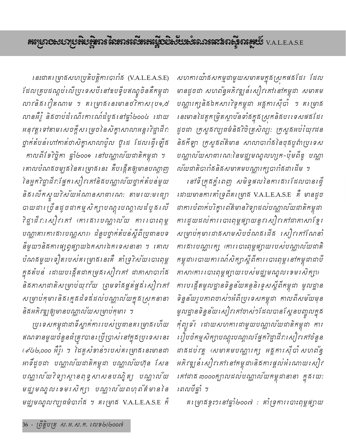សហការយ៉ាគសកម្មជាមួយសមាគមក្នុងស្រុកផងដែរ ដែល មានដូចជា សហព័ន្ធអភិវឌ្ឍន៍សៀវកៅនៅកម្ពុជា សមាគម បណ្ណារក្សនិងឯកសារវិទូកម្ពុជា អគ្គការស៊ីបា ។ គ1ម្រាង នេះមានដៃគូកម្រិតស្តាបនទាំងក្នុងស្រកនិងបរទេសផងដែរ ដូចជា ក្រសួតវប្បធម៌និគីវិចិត្រសិល្បៈ ក្រសួគអប់រំយុវជន និងកីឡា ក្រសួងព័ត៌មាន សាលាបារាំងនៃចុងប្លូព៌ាប្រទេស បណ្ណាលយសាធារណ:នៃមជ្ឈមណ្ឌលហ្សក−ប៉ុមពីឌូ បណ្ណា ល័យជាតិបារាំឆនិឆសមាគមបណ្ណារក្សបារាំឆដាដើម ។

នៅទីក្រុងភ្នំពេញ សមិទ្ធផលនៃការផារដែលបានធ្វើ ដោយមានការគាំទ្រពីគម្រោង V.A.L.E.A.S.E គឺ មានដូច ដាការបំពាក់បរិក្ខារព័ត៌មានវិទ្យាដល់បណ្ណាលយដាតិកម្ពុជា ការដួយដល់ការរបាះពុម្ពផ្សាយនូវសៀវគៅជាកាសាខ្មែរ សម្រាប់កុមារជាឥសាមសិបចំណឥ ដើត សៀវ កៅណែនាំ ការផារបណ្ណារក្ស (ការរបាះពុម្ពផ្សាយរបស់បណ្ណាល័យដាតិ កម្ពុជា)របាយការណ៍សិក្សាស្តីពីការ បោះពុម្ព នៅកម្ពុជាជាបី កាសាកោរ បោះពុម្ពផ្សាយរបស់មជ្ឈមណ្ឌល ខេមរ សិក្សា) ការបង្កើតមូលដ្ឋានទិន្នន័យគន្ថនិទ្ទេសស្តីពីកម្ពុជា មូលដ្ឋាន ទិន្នន័យរូបភាពចាស់១អំពីប្រទេសកម្ពុជា កាលពីសម័យមុន មូលដ្ឋានទិន្នន័យសៀវកៅចាស់១ដែលបានស្ពែនបញ្ចូលក្នុង តុំព្យូទ័រ ដោយសហការដាមួយបណ្ណាល័យដាតិកម្ពុជា ការ រៀបចំកម្មសិក្សាបណ្តុះបណ្តាលផ្នែក7ិជ្ជាជីវ:សៀវគៅចំនួន ដាគដប់វគ្គ (សមាគមបណ្ណារក្ស អគ្គការស៊ីបាំ សហព័ន្ធ អភិវឌ្ឍន៍សៀវគៅនៅកម្ពុជា)និងការផ្តល់អំណោយសៀវ *កៅជា*ង ៣០០០ក្បាលដល់បណ្ណាលយកម្ពុជានានា ក្នុងរយ: *ពេល*បីឆ្នាំ ។

គ៖ ម្រាងខ្ទះ១៖នៅឆ្នាំ២០០៧ : គាំទ្រការ៖ បាះពុម្ពផ្សាយ

នេះជាគ៖ ម្រាគសហប្រតិបត្តិការបារាំគ (V.A.L.E.A.S.E) ដែលគ្របដណ្តប់លើប្រទេសបីនៅឧបទ្វីបឥណ្ឌូចិនគឺកម្ពុជា លាវនិង វៀតណាម ។ គ1ម្រាង នេះមានថវិកាសរុប១,៥ លានគឺរ៉ូ និងចាប់ដំណើរការណ៍ដំបូងនៅឆ្នាំ២០០៤ ដោយ អនុវត្តទៅតាមសេចក្តីសម្រេចនៃសិក្ខាសាលាអន្តរវិជ្ជាជីវ: ថ្នាក់តំបន់ហៅកាត់ថាសិក្ខាសាលាប៉ូល ថ្ងំដេ ដែលធ្វើឡើង កាលពីខែ7ិច្ឆិកា ផ្ទាំ២០០១ នៅបណ្ណាល័យដាតិកម្ពុជា ។ គោលបំណងចម្បងនៃគ1ម្រាងនេះ គឺបង្កើតឲ្យមានបណ្តាញ នៃអ្នក7ិដ្ឋាជីវ:ផ្នែកសៀវគៅនិគមណ្ណាល័យថ្នាក់តំបន់មួយ និង លើកស្ទួយវិស័យអំណានសាធារណ: តាមរយ:មធ្យោ បាយដារ ច្រឺនដូចដាកម្មសិក្សាបណ្តុះបណ្តាលដំបូង លើ វិដ្ឋាជីវ:សៀវកៅ (ការសរបណ្តាល័យ ការបោះពុម្ព បណ្ណាគារការគារបណ្ណសារ) ជំនួបថ្នាក់តំបន់ស្តីពីប្រជានបទ នីមួយ១និងការផ្សព្វផ្សាយឯកសារឯកទេសនានា ។ គោល ឋំណងមួយទៀតរបស់គម្រោងនេះគឺ គាំទ្រ?ស័យបោះពុម្ព ក្នុងតំបន់ ដោយបង្កើតជាកម្រងសៀវកៅ ជាកាសាបារាំង និងកាសាជាតិសម្រាប់យុវវ័យ ព្រមទាំងផ្គត់ផ្គង់សៀវកៅ សម្រាប់កុមារនិងក្មេងជំទងដែលបណ្ណាលយក្នុងស្រុកនានា និងអភិវឌ្ឍឲ្យមានបណ្ណាល័យសម្រាប់កុមារ ។

ប្រទេសកម្ពុជាជាទីស្នាក់ការរបស់ប្រជានគរ ម្រាង ហើយ ឥណទានមួយចំនួនធំត្រូវបាន*ប្រើប្រាស់នៅក្នុងប្រទេសនេះ* (๙៤២,๐๐๐ ឝរ៉ូ) ។ ដៃគូសំខាន់១របស់គម្រោងនេះមានជា អាទិ៍ដូចជា បណ្ណាល័យដាតិកម្ពុជា បណ្ណាល័យហ៊ុន សែន បណ្ណាល័យកិទ្យាស្ដានពុទ្ធ សាសនបណ្ឌិត្យ បណ្ណាល័យ មដ្ឋមណ្ឌល ខេមរសិក្សា បណ្ណាល័យពហុព័ត៌មាននៃ មជ្ឈមណ្ឌលវប្បធម៌បារាំគ ។ គ1ម្រាគ V.A.L.E.A.S.E កំ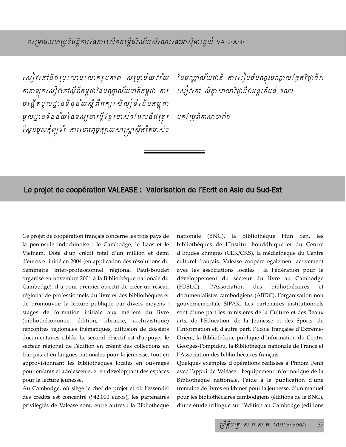r សៀវ កៅនិគ្គប្រលាម លោករបកាព សម្រាប់យុវវ័យ នៃបណាល័យដាតិ ការរៀបចំបណះបណាលផែកវិដាដីវ: កាតាឡុកសៀវកៅស្តីពីកម្ពុជានៃបណ្ណាល័យជាតិកម្ពុជា ការ beg;ItmUldæanTinñn&ysIþBIGkßrsil,\_TMenIbkm<úCa mUldæanTinñn&yénTsßnavdIþExμrcas´@EdlnwgRtÚv bkERbBIPasaáraMg .<br>ស្ពែនចូលកុំព្យូទ័រ ការ បោះពុម្ពផ្សាយសាស្ត្រាស្ទឹករឹតចាស់១

rសៀវកៅ សិក្ខាសាលាវិជ្ជាជីវ:អន្តរតំបន់ ។ល។

## Le projet de coopération VALEASE : Valorisation de l'Ecrit en Asie du Sud-Est

Ce projet de coopération français concerne les trois pays de la péninsule indochinoise : le Cambodge, le Laos et le Vietnam. Doté d'un crédit total d'un million et demi d'euros et initié en 2004 (en application des résolutions du Séminaire inter-professionnel régional Paul-Boudet organisé en novembre 2001 à la Bibliothèque nationale du Cambodge), il a pour premier objectif de créer un réseau régional de professionnels du livre et des bibliothèques et de promouvoir la lecture publique par divers moyens : stages de formation initiale aux métiers du livre (bibliothéconomie, édition, librairie, archivistique) rencontres régionales thématiques, diffusion de dossiers documentaires ciblés. Le second objectif est d'appuyer le secteur régional de l'édition en créant des collections en français et en langues nationales pour la jeunesse, tout en approvisionnant les bibliothèques locales en ouvrages pour enfants et adolescents, et en développant des espaces pour la lecture jeunesse.

Au Cambodge, où siège le chef de projet et où l'essentiel des crédits est concentré (942.000 euros), les partenaires privilégiés de Valéase sont, entre autres : la Bibliothèque nationale (BNC), la Bibliothèque Hun Sen, les bibliothèques de l'Institut bouddhique et du Centre d'Etudes khmères (CEK/CKS), la médiathèque du Centre culturel français. Valéase coopère également activement avec les associations locales : la Fédération pour le développement du secteur du livre au Cambodge (FDSLC), l'Association des bibliothécaires et documentalistes cambodgiens (ABDC), l'organisation non gouvernementale SIPAR. Les partenaires institutionnels sont d'une part les ministères de la Culture et des Beaux arts, de l'Education, de la Jeunesse et des Sports, de l'Information et, d'autre part, l'Ecole française d'Extrême-Orient, la Bibliothèque publique d'information du Centre Georges-Pompidou, la Bibliothèque nationale de France et l'Association des bibliothécaires français.

Quelques exemples d'opérations réalisées à Phnom Penh avec l'appui de Valéase : l'équipement informatique de la Bibliothèque nationale, l'aide à la publication d'une trentaine de livres en khmer pour la jeunesse, d'un manuel pour les bibliothécaires cambodgiens (éditions de la BNC), d'une étude trilingue sur l'édition au Cambodge (éditions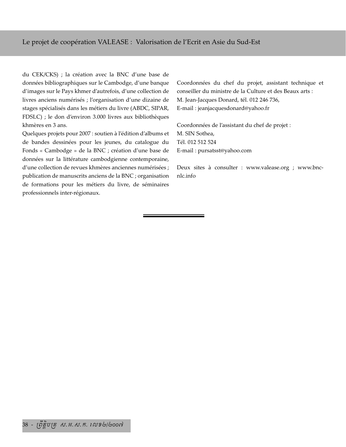du CEK/CKS) ; la création avec la BNC d'une base de données bibliographiques sur le Cambodge, d'une banque d'images sur le Pays khmer d'autrefois, d'une collection de livres anciens numérisés ; l'organisation d'une dizaine de stages spécialisés dans les métiers du livre (ABDC, SIPAR, FDSLC) ; le don d'environ 3.000 livres aux bibliothèques khmères en 3 ans.

Quelques projets pour 2007 : soutien à l'édition d'albums et de bandes dessinées pour les jeunes, du catalogue du Fonds « Cambodge » de la BNC ; création d'une base de données sur la littérature cambodgienne contemporaine, d'une collection de revues khmères anciennes numérisées ; publication de manuscrits anciens de la BNC ; organisation de formations pour les métiers du livre, de séminaires professionnels inter-régionaux.

Coordonnées du chef du projet, assistant technique et conseiller du ministre de la Culture et des Beaux arts : M. Jean-Jacques Donard, tél. 012 246 736, E-mail : jeanjacquesdonard@yahoo.fr

Coordonnées de l'assistant du chef de projet : M. SIN Sothea, Tél. 012 512 524 E-mail : pursatsst@yahoo.com

Deux sites à consulter : www.valease.org ; www.bncnlc.info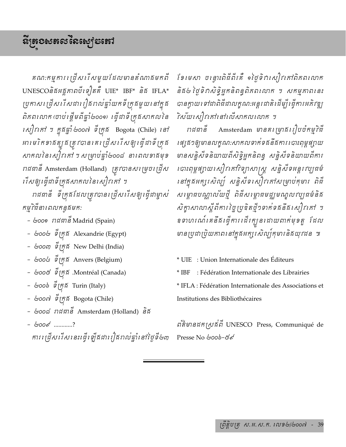គណ:កម្មការ ជ្រើសរើសមួយដែលមានតំណាគមកពី  $UNESCO$ និគអគ្គភាពបីទៀតគឺ UIE\* IBF\* និគ IFLA\* ប្រកាសត្រើសរើសជារឿផរាល់ឆ្នាំយកទីក្រូងមួយនៅក្នុង ពិភពលោក ចោប់ ផ្តើមពីផ្ទាំ២០០១) ធ្វើជាទី ក្រងសាកល នៃ  $i$ សៀវកៅ ៗ ក្នុងឆ្នាំ  $\phi$ oo៧ ទីក្រង Bogota (Chile) នៅ អាមេរិកខាងត្បូងត្រូវបានគេប្រើសរើសឲ្យធ្វើដាទីក្រុង  $\delta$ กลงโรเ $\kappa$ ปุ๋รเลงี่ ฯ  $\kappa$ ម្រាប់ផ្នាំ២០០៨ នាពេលទាងមុខ រាដជានី Amsterdam (Holland) ត្រូវបានសម្រេចប្រើស កើសឲ្យធ្វើជាទីក្រគសាកលនៃសៀវកៅ ។

រាជធានី ទីក្រុងដែលត្រូវបានប្រើសរើសឲ្យរដ្ទីជាម្ចាស់ កម្មវិធីនាពេលកន្ធងមក:

- ๒๐๐๑ กสตารี Madrid (Spain)
- GooG Strandrie (Egypt)
- $\&$ oo $\omega$   $\stackrel{\sim}{g}$ ក្រ $\stackrel{\sim}{g}$  New Delhi (India)
- *๒๐๐*៤ ទឹក្រគី Anvers (Belgium)
- හෙරේ ඉ්*රු*ඩි .Montréal (Canada)
- $\&$ 00 $\&$   $\sum_{i=1}^{\infty}$   $\int_{0}^{\infty}$   $\int_{0}^{\infty}$  Turin (Italy)
- *๒๐๐๗* ទឹក្រភ Bogota (Chile)
- ๒๐๐๘ กสตาธิ Amsterdam (Holland) ริธ
- 6000 ............? ការប្រើសរើសនេះធ្វើឡើងជារឿងរាល់ឆ្នាំនៅថ្ងៃទី២៣

ខែមេសា ចន្ទោះពិធីពីរគឺ ១ថ្ងៃទិវាសៀវកៅពិភពលោក .<br>និគ៤ ថ្ងៃទិពសិទ្ធិអ្នកនិពន្ធពិភពលោក ។ សកម្មភាពនេះ បានក្លាយទៅជាពិធីជាលក្ខណ:អន្តរជាតិដើម្បីធ្វើការអភិវឌ្ឍ ້າស័យសៀវកៅនៅលើសាកលលោក ។

 $m$ ជធានី Amsterdam មានគរម្រាងរៀបចំកម្មវិធី កេរ្តែៗឲ្យមានលក្ខណ:សាកលទាក់ទងនឹងការ បោះពុម្ពផ្សាយ មានសន្និសីទនិយាយពីសិទ្ធិអ្នកនិពន្ធ សន្និសីទនិយាយពីការ កោះពុម្ពផ្សាយសៀវកៅវិទ្យាសាស្ត្រ សន្និសីទអន្តរវប្បធម៌ នៅក្នុងអក្សរសិល្ប៍ សន្និសីទសៀវនៅសម្រាប់កុមារ ពិជី សម្ពោធបណ្ណាល័យថ្មី ពិធីសម្ពោធមជ្ឈមណ្ឌលវប្បធម៌និគ សិក្ខាសាលាស្តីពីការ ច្នៃប្រឌិតថ្មី១ទាក់ទងនឹងសៀវកៅ ។ ខទាហរណ៍ គេនឹង ធ្វើការ ដើរក្បួន ដោយពាក់មុខតួ ៎ដែល មានប្រជាប្រិយភាពនៅក្នុងអក្សរសិល្ប៍កុមារនិងយុវជន ៕

\* UIE : Union Internationale des Éditeurs \* IBF : Fédération Internationale des Librairies \* IFLA : Fédération Internationale des Associations et Institutions des Bibliothécaires

 $\mathcal{B}$ ส์ยารสก $\mathcal{B}\mathcal{B}$ มี UNESCO Press, Communiqué de Presse No &000-&s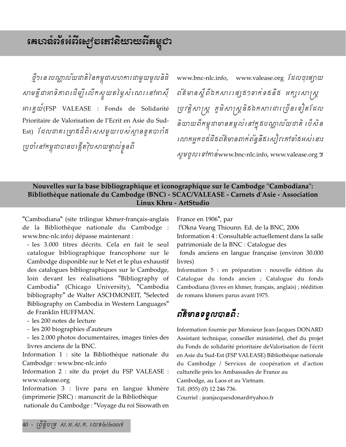ថ្មី១៖នះបណ្ណាល័យជាតិនៃកម្ពុជាសហការជាមួយមូលនិធិ សាមគ្គីជាអាទិកាពដើម្បីឈើកស្ទួយតម្លៃសំណេរនៅអាស៊ី អារគ្នយ៍(FSP VALEASE : Fonds de Solidarité Prioritaire de Valorisation de l'Ecrit en Asie du Sud-Est) ដែលជាគម្រោងដ៏ពិសេសមួយរបស់ស្ថានទូតបារាំង ប្រចាំនៅកម្ពុជាបានបង្កើតវ៉ិបសាយផ្ទាល់ខ្លួនពី

www.bnc-nlc.info, www.valease.org ដែលចុះផ្សាយ ព័ត៌មានស្តីពីឯកសារ ផ្សេង១ទាក់ទងនឹង អក្សរសារុស្ត ប្រវត្តិសាស្ត្រ ភូមិសាស្ត្រនិងឯកសារជាច្រើនទៀតដែល និយាយពីកម្ពុជាមានតម្កល់ នៅក្នុងបណ្ណាលយជាតិ បើសិន លោកអ្នកចន័ដីធព័ត៌មានពាក់ព័ន្ធនីធរ សៀវ គៅទាំធអស់នោះ งยุตญาติที่สิ่งwww.bnc-nlc.info, www.valease.org ๚

## Nouvelles sur la base bibliographique et iconographique sur le Cambodge "Cambodiana": Bibliothèque nationale du Cambodge (BNC) - SCAC/VALEASE - Carnets d'Asie - Association Linux Khru - ArtStudio

"Cambodiana" (site trilingue khmer-français-anglais de la Bibliothèque nationale du Cambodge : www.bnc-nlc.info) dépasse maintenant :

- les 3.000 titres décrits. Cela en fait le seul catalogue bibliographique francophone sur le Cambodge disponible sur le Net et le plus exhaustif des catalogues bibliographiques sur le Cambodge, loin devant les réalisations "Bibliography of Cambodia" (Chicago University), "Cambodia bibliography" de Walter ASCHMONEIT, "Selected Bibliography on Cambodia in Western Languages" de Franklin HUFFMAN.

- les 200 notes de lecture

- les 200 biographies d'auteurs

- les 2.000 photos documentaires, images tirées des livres anciens de la BNC.

Information 1 : site la Bibliothèque nationale du Cambodge: www.bnc-nlc.info

Information 2 : site du projet du FSP VALEASE : www.valease.org

Information 3 : livre paru en langue khmère (imprimerie JSRC) : manuscrit de la Bibliothèque nationale du Cambodge : "Voyage du roi Sisowath en France en 1906", par

l'Okna Veang Thiounn. Ed. de la BNC, 2006 Information 4 : Consultable actuellement dans la salle patrimoniale de la BNC : Catalogue des

fonds anciens en langue française (environ 30.000 livres)

Information 5 : en préparation : nouvelle édition du Catalogue du fonds ancien ; Catalogue du fonds Cambodiana (livres en khmer, français, anglais) ; réédition de romans khmers parus avant 1975.

# ព័ត៌មានទទួលបានពី:

Information fournie par Monsieur Jean-Jacques DONARD Assistant technique, conseiller ministériel, chef du projet du Fonds de solidarité prioritaire deValorisation de l'écrit en Asie du Sud-Est (FSP VALEASE) Bibliothèque nationale du Cambodge / Services de coopération et d'action culturelle près les Ambassades de France au

Cambodge, au Laos et au Vietnam.

Tél. (855) (0) 12 246 736.

Courriel : jeanjacquesdonard@yahoo.fr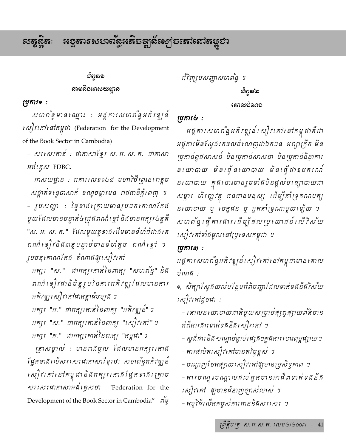#### **អ**ខ្ពតារសបាលន្ទិអតិ**ទ**ឌ្ឍស៍ស្បូទតៅសៅតម្លូបា  $\mathbf{c}$ းအွဲလ်ဆုံး:

## ວັຕຸສອ ສາຍຂີ້ວະກະເຫະຊາຂ

## ប្រុការទ:

សហព័ន្ធមានឈ្មោះ : អគ្គការសហព័ន្ធអភិវឌ្ឃន៍ *សៀវ គៅ នៅកម្ពុជា* (Federation for the Development of the Book Sector in Cambodia)

- សរសេរតាត់ : ជាគាសាខ្មែរ ស. អ. ស. ត. ជាគាសា អន័រគ្លូស FDBC.

– អាសយដ្ឋាន : អគារ1ល១១៤៨ មហាវិថីព្រះនរពត្តម សគ្កាត់ទន្ទេបាសាក់ ខណ្ឌចម្ការមន រាជធានីភ្នំពេញ ។ – រូបសញ្ហា : ផ្ទៃ១ាធិរក្រាយមានរូបចតុកោណកែង មួយដែលមានបន្ទាត់៤ជ្រុងពណ៌ខ្មៅ និងមានអក្សរ៤តួគឺ "ស. អ. ស. ក." ដែលមួយតួទាធដើមមានទំហំជំជាធរគ ពណ៌ ខៀវនិង៣តួបន្ទាប់មានទំហំតូច ពណ៌ ខ្មៅ ។ ្អូបចតុកោណកែគ តំណាគឲ្យសៀវកៅ

អក្សរ "ស." ជាអក្សរកាត់នៃពាក្យ "សហព័ន្ធ" និង ពណ៌ ខឿវដានិមិត្តរូបនៃការអភិវឌ្ឍដែលមានការ អភិវឌ្ឍសៀវកៅជាកត្តាឆំចម្បុង ។

អក្សរ "អ." ជាអក្សរកាត់នៃពាក្យ "អភិវឌ្ឍន៍" ។ អក្សរ "ស." ជាអក្សរកាត់នៃពាក្យ "សៀវភៅ" ៗ អក្សរ "ក." ជាអក្សរកាត់នៃពាក្យ "កម្ពុជា" ។

- ត្រាសម្គាល់ : មានពងមូល ដែលមានអក្សរកោង ផ្នែកខាងលើសរសេរជាគាសាខ្មែរថា សហព័ន្ធអភិវឌ្ឍន៍ សៀវ នៅ នៅកម្ពុជា និងអក្សរ គោងផ្នែកខាង ត្រោម Development of the Book Sector in Cambodia" ng ដុំវិញរូបសញ្ញាសហព័ន្ធ ។

## වශුඝ්ත

## ប្រការ២:

អគ្គការសហព័ន្ធអភិវឌ្ឍន៍ សៀវ កៅ នៅកម្ពុជាគឺជា អគ្គការមិនស្វែគរកផលចំណេញដាឯកជន អព្យាក្រឹត មិន ប្រកាន់ពូជសាសន៍ មិនប្រកាន់សាសនា មិនប្រកាន់និន្នាការ នយោបាយ មិនធ្វើនយោបាយ មិនធ្វើដាឧបករណ៍ ន យោបាយ ក្នុង នោះមានរួមទាំងមិនផ្តល់ម េធ្យាបាយជា សម្ភារ ហិរញ្ហវត្ថុ ជនជានមនុស្ស ដើម្បីគាំទ្រុគណបក្ស នយោបាយ ឬ បេក្ខជន ឬ អ្នកគាំទ្រណាមួយឡើយ ។ សហពន្ធ ធ្វើការគាររដើម្បីផលប្រយោជន៍ លើវិស័យ សៀវគៅទាំងមូលនៅប្រទេសកម្ពុជា ។

## ស្រុការ៣:

អគ្គការសហព័ន្ធអភិវឌ្ឍន៍សៀវគៅនៅកម្ពុជាមានគោល បំណង :

๑, សិក្បាស្វែងយល់បន្ថែមអំពីបញ្ហាដែលទាក់ទងនឹងវិស័យ សៀវគៅដូចជា :

– គោលន យោបាយដាតិមួយសម្រាប់ផ្សព្វផ្សាយព័ត៌មាន *ផំ*ពឺការគារទាក់ទគនឹគសៀវកៅ ។

– ស្តូផងារនិងសណ្តាប់ផ្ទាប់ផ្សេង១ក្នុងការ បោះពុម្ពផ្សាយ។ - ការផលិតសៀវកៅមានតម្លៃខ្ពស់ ។

- បណ្តាញចែកផ្សាយសៀវកៅឲ្យមានប្រសិទ្ធភាព ។ – ការបណ្តុះបណ្តាលដល់អ្នកមានអាជីពទាក់ទងនឹង សៀវកៅ ឲ្យមានជំនាញច្បាស់លាស់ ។ - កម្មវិធីលើកកម្ពស់ការអាននិគសរសេរ ។

ព្រឹត្តិបត្រុ ស.អ.ស.ក. សេខ៤/៤០០៧ - 41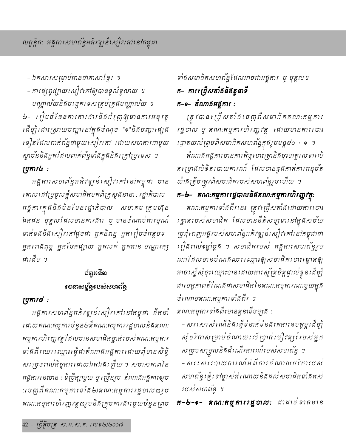- ឯកសារសម្រាប់អានជាភាសាខ្មែរ ។

– ការផ្សព្វផ្សាយសៀវកៅឲ្យបានទូលំទូលាយ ។

– បណ្ណាល័យនិងបញ្ចេកទេសគ្រប់គ្រងបណ្ណាល័យ ។ ២- រៀបចំផែនការការគារនិគជំរុញឲ្យមានការអនុវត្ត ≀ដីម្បី≀ដាះស្រាយបញ្ហា≀ន1់ត្នធបំណុច "๑"និ*ធបញ្ហា≀ផ្ស*ុង ទៀតដែលពាក់ព័ន្ធជាមួយសៀវកៅ ដោយសហការជាមួយ ស្តាបននិងអ្នកដែលពាក់ពន្ធទាំងក្នុងនិងក្រៅប្រទេស ។ numils:

អគ្គការសហព័ន្ធអភិវឌ្ឍន៍ សៀវគៅនៅកម្ពុជា មាន គោលដៅប្រមូលផ្តុំសមាជិកមកពីក្រសួងនានា : រដ្ឋាភិបាល អគ្គការក្នុងនិងមិនមែនរដ្ឋាភិបាល សមាគម ក្រុមហ៊ុន ឯកជន បុគ្គលដែលមានការគារ ឬ មានចំណាប់អារម្មណ៍ ទាក់ទងនឹងសៀវកៅដូចជា អ្នកនិពន្ធ អ្នករៀបចំអត្តបទ អ្នករពឥពុម្ព អ្នកចែកផ្យាយ អ្នកលក់ អ្នកអាន បណ្ណារក្ស ដាដើម ។

## បំព្វួតនី៣ *ร* ธลาะชุติรูร ยะว่ะชอดจัด

## ស្រុការ៥:

អគ្គការសហព័ន្ធអភិវឌ្ឍន៍សៀវកៅនៅកម្ពុជា ដឹកនាំ ដោយគណ:កម្មការចំនួន៤គឺគណ:កម្មការរដ្ឋបាលនិងគណ: កម្មការហិរញ្ជវត្តដែលមានសមាជិកម្នាក់របស់គណ:កម្មការ ទាំងពីរឈរ ឈ្មោះ ធ្វើដាតំណាងអង្គការ ដោយពុំមានសិទ្ធិ សម្រេចពល់កិច្ចការដោយឯកឯផឡើយ ។ សមាសភាពនៃ អគ្គការ នេះមាន : ទីប្រឹក្សាមួយ ឬ ច្រើនរូប តំណាគអគ្គការ១រូប (បេញពីគណ:កម្មការទាំង២)គណ:កម្មការរដ្ឋបាល៣រូប គណ:កម្មការហិរញ្ហវត្ថុ៣រូបនិងក្រុមការផារមួយចំនួនព្រម

# ទាំងសមាជិកសហព័ន្ធដែលអាចជាអគ្គការ ប្ បុគ្គល។ ក- ការត្រើសតាំងនិងតួនាទី ក−๑− តំណាងអង្គការ :

ត្រូវបាន ដ្រើសតាំង ចេញពីសមាជិកគណ:កម្មការ រដ្ឋបាល ឬ គណ:កម្មការហិរញ្ហវត្ថុ ដោយមានការរបាះ *្រផ្នាតយល់ព្រមពីសមាជិកសហព័ន្ធក្នុងរូបមន្ត៥*០ + ๑ ។

តំណាងអង្គការមានភារកិច្ចបោះត្រានិងចុះហត្តលេខារលី គរ ម្រាងលិទិតរបាយការណ៍ ដែលបានធ្ងួងកាត់ការអនុមត យ៉ាគត្រឹមត្រុវពីសមាជិករបស់សហព័ន្ធរួចហើយ ។

# ក−៤− គណ:កម្មការរដ្ឋបាលនិគគណ:កម្មការហិរញ្ញវត្ត:

គណ:កម្មការទាំងពីរនេះ ត្រូវប្រើសតាំងដោយការបោះ គ្នោតរបស់សមាជិក ដែលមាននីតិសម្បទានៅក្នុងសម័យ ប្រជុំពេញអគ្គរបស់សហពន្ធែអភិវឌ្ឍន៍សៀវកៅនៅកម្ពុជាជា រៀតពល់១ឆ្នាំម្តូត ។ សមាជិករបស់ អគ្គការសហព័ន្ធរូប ណាដែលមានបំណងឈរឈ្មោះឲ្យសមាជិករបាះរដ្ឋាតឲ្យ អាចស្នើសុំចុះឈ្មោះបានដោយការស្ន័គ្រចិត្តផ្ទាល់ខ្វួនដើម្បី ដារបត្ធុភាពតំណែងដាសមាជិកនៃគណ:កម្មុការណាមួយក្នុង ចំណោមគណ:កម្មការទាំងពីរ ។

គណ:កម្មការទាំងពីរមានតួនាទីចម្បូង :

– សរ សេរសំណើនិគង្គើទំនាក់ទំនគរកការឧបត្ថម្ភដើម្បី សុំថវិតាសម្រាប់ចំណាយឈើប្រាត់ បៀវត្សរ៍ បេស់អ្នក សម្របសម្រុលនិងដំណើរការណ៍របស់សហព័ន្ធ ។ – សរ សេរ របាយការណ៍អំពីការចំណាយថវិការបស់ សហព័ន្ធផ្ញើ ទៅម្ចាស់់អំ ណោយនិងដល់សមាជិកទាំងអស់ របស់សហព័ន្ធ ។

**ក-៤-๑- គណ:កម្មការរដ្ឋបាល:** ជាដាច់ខាតមាន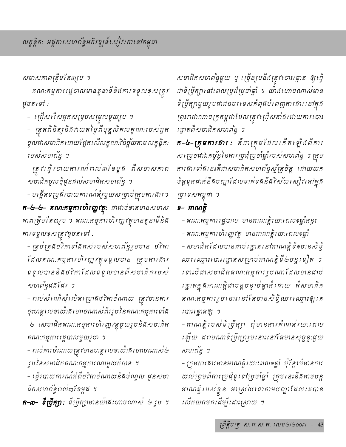សមាសភាពត្រឹមតែ៣រូប ។

គណ:កម្មការរដ្ឋបាលមានតួនាទីនិងការទទួលខុសត្រូវ ដូចតទៅ:

- ត្រើសរើសអ្នកសម្របសម្រុលមួយរូប ។

– ត្រួតពិនិត្យនិងពយតម្លៃពីបុគ្គលិកលត្ខណ:របស់អ្នក ចូលជាសមាជិក ដោយផ្អែក លើលក្ខណៈ?ិនិច្ច័យតាម លក្ខន្តិកៈ របស់សហព័ន្ធ ។

- ត្រូវ ធ្វើ បោយការណ៍រាល់៣ខែម្តង ពីសមាសភាព សមាជិកចូលថ្មីដូនដល់សមាជិកសហព័ន្ធ ។

– បង្កើតទម្រង់របាយការណ៍គំរូមួយសម្រាប់ក្រុមការសារ ។ **ក-៤-៤- គណ:កម្មការហិរញ្ញវត្ត្**: ជាដាច់ទាតមានសមាស កាពត្រឹមតែ៣រូប ។ គណ:កម្មការហិរញ្ហវត្ថុមានតួនាទីនិង ការទទួលខុសត្រូវដូចតទៅ :

- គ្រប់គ្រងថវិកាទាំងអស់របស់សហព័ន្ធរួមមាន ថវិកា ដែលគណ:កម្មការហិរញ្ហវត្ថុទទួលបាន ក្រុមការគារ ទទួលបាននិគថវិកាដែលទទួលបានពីសមាជិករបស់ សហព័ន្ធផងដែរ ។

- កល់សំណើសុំឈើគម្រោងថវិកាចំណាយ ត្រូវមានការ ចុះហត្តលេខាយ៉ាគហោចណាស់ពីររូបនៃគណ:កម្មការទាំគ

២ (សមាជិកគណ:កម្មការហិរញ្ញវត្តមួយរូបនិងសមាជិក គណ:កម្មការរដ្ឋបាលមួយរូប) ។

– ពល់ការចំណាយត្រូវមានហត្ថលេខាយ៉ាគហោចណាស់២ ្សបនៃសមាជិកគណ:កម្មការណាមួយក៏បាន ។

– ធ្វើរបាយការណ៍អំពីថវិកាចំណាយនិងចំណូល ដូនសមា ជិតសហព័ន្ធពល់៣ខែម្តង ។

**ក-៣- ទឺប្រឹក្យា:** ទឺប្រឹក្យាមានយ៉ាងហោចណាស<sup>់</sup> *៤ រូប* ។

សមាជិកសហព័ន្ធមួយ ឬ ច្រើនរូបនឹងត្រូវបោះគ្នោត ឲ្យធ្វើ ដាទីប្រឹក្សានៅពេលប្រជុំប្រចាំឆ្នាំ ។ យ៉ាគលោចណាស់មាន ទី ប្រឹក្សាមួយរូបជាជនបរទេសកំពុងបំពេញការសារនៅក្នុង ព្រះរាជាណាចក្រកម្ពុជាដែលត្រូវ ជ្រើសតាំង ដោយការ បោះ ្រឆ្នាតពីសមាជិកសហព័ន្ធ ។

**ក-៤-ក្រុមការគារ:** គឺជាក្រុមដែលគើត ឡើងពីការ សម្រេចជាឯកច្ច័ន្ទនៃការប្រជុំប្រចាំឆ្នាំរបស់សហព័ន្ធ ។ ក្រុម ការផារទាំងនេះគឺជាសមាជិកសហពន្ធស្ម័គ្រចិត្ត ដោយយក ចិត្តទុកដាក់នឹងបញ្ហាដែលទាក់ទងនឹង7ិស័យសៀវ កៅក្នុង ប្រទេសកម្ពុជា ។

## ១- អាណត្តិ

– គណ:កម្មការរដ្ឋបាល មានអាណត្តិរយ:ពេល១ឆ្នាំកន្ទះ – គណ:កម្មការហិរញ្ញវត្ថុ មានអាណត្តិរយ:រពលទឆ្នាំ – សមាជិកដែលបានដាប់ ធ្នោត នៅអាណត្តិទី១មានសិទ្ធិ ឈរ ឈ្មោះ បោះ ធ្នោតសម្រាប់អាណត្តិទី៤បន្តទៀត ។ ទោះបីដាសមាជិកគណ:កម្មការរូបណាដែលបានដាប់ គណ:កម្មការរូបនោះនៅតែមានសិទ្ធិឈរឈ្មោះឲ្យគេ របាះរដ្ឋាតឲ្យ ។

– អាណត្តិ បេស ទី ប្រឹក្សា ពុំ មានការកំណត់រយ: ពេល ឡើយ ដពបណាទីប្រឹក្សារូបនោះនៅតែមានសុច្ចន្ទ:ជួយ សហព័ន្ធ ។

- ក្រុមការផារមានអាណត្តិរយ:ពេល១ឆ្នាំ ប៉ុន្តែបើមានការ យល់ព្រមពីការ ប្រជុំទូរ ទៅប្រចាំឆ្នាំ ក្រុម នេះនឹងអាចបន្ត អាណត្តិរបស់ខ្លួន អាស្រ័យទៅតាមបញ្ហាដែលគេបាន សើតយកមកដើម្បីដោះស្រាយ ។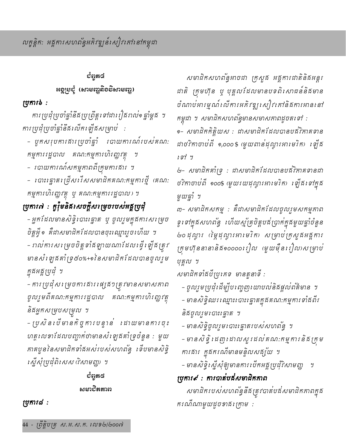# ಶಿಥಚಾ ៖ខ្ពៅមខ្ញុំ (សាមញ្ចូសិខទិសាមញ្ចូ)

## ប្រការ៦:

ការ ប្រជុំប្រចាំឆ្នាំនឹង ប្រព្រឹត្តទៅដារៀងរាល់១ ឆ្នាំម្តូង ។ ការ ប្រជុំប្រចាំឆ្នាំនឹងលើកា ឡឹងសម្រាប់ :

- មួតសរុបការគារប្រចាំឆ្នាំ របាយការណ៍របស់គណ: កម្មការរដ្ឋបាល គណ:កម្មការហិរញ្ញវត្ថុ ។
- របាយការណ៍សកម្មភាពពីក្រុមការផារ ។
- ពោះធ្វោតច្រើសរើសសមាជិកគណ:កម្មការថ្មី (គណ: កម្មការហិរញ្ញវត្ថុ ឬ គណ:កម្មការរដ្ឋបាល) ។

# ប្រការ៧ : តួរ៉ឺមនិងសេចក្តីសម្រេចរបស់អគ្គប្រជុំ

– អ្នកដែលមានសិទ្ធិរបាះធ្នោត ប្ភុ ចូលរួមក្នុងការសម្រេច ចិត្តអ៊ី១ គឺជាសមាជិកដែលបានចុះឈ្មោះរូចហើយ ។ – ពល់ការសម្រេចចិត្តទាំងឡាយណាដែលធ្វើឡើងត្រូវ មានសំ ឡេងគាំ ទ្រ៥០%+១ នៃសមាជិកដែលបានចូលរួម <u>ក្នុ</u>ងអគ្គប្រជុំ ។

- ការ ប្រជុំសម្រេចការងារ ផ្សេង១ត្រូវមានសមាសភាព ចូលរួមពីគណ:កម្មការរដ្ឋបាល គណ:កម្មការហិរញ្ហវត្ថុ និងអ្នកសម្របសម្រុល ។

– ប្រសិនប្រឹមានកិច្ចការបន្ទាន់ ដោយមានការចុះ ហត្ថលេខាដែលបញ្ជាក់ថាមានសំឡេងគាំទ្រចំនួន : មួយ កាគបួននៃសមាជិកទាំងអស់របស់សហពន្ធ័ ទើបមានសិទ្ធិ *ស្នើសុំប្រជុំពិសេស (វិសាមញ្ញ)* ។

# ರೆಥ಼ಾಡ ະຄະນຽນຂອນ

ប្រការ៨:

សមាជិកសហព័ន្ធអាចជា ក្រសួង អគ្គការជាតិនិងអន្តរ ដាតិ ក្រុមហ៊ុន ឬ បុគ្គលដែលមានបទពិសោធន៍និងមាន ចំណាប់អារម្មណ៍លើការអភិវឌ្ឍសៀវគៅនិងការអាននៅ កម្ពុជា ។ សមាជិកសហព័ន្ធមានសមាសភាពដូចតទៅ :

๑- សមាជិកកិត្តិយស : ជាសមាជិកដែលបានបង់វិកាគទាន ដាថវិកាចាប់ពី ๑,๐๐๐ \$ (មួយពាន់ដុល្លារអារមរិក) ខ្សើន  $1577$ 

២- សមាជិកគាំទ្រ : ជាសមាជិកដែលបានបង់វិភាគទានជា ថវិកាចាប់ពី ๑๐๐\$ (មួយរយដុល្លារអារមរិក) ឡើង ទៅក្នុង មួយឆ្នាំ ។

៣- សមាជិកសកម្ម : គឺជាសមាជិកដែលចូលរួមសកម្មភាព ទូរ ទាក្នុងសហពន្ធ រ ហឺយស្ម័គ្រចិត្តបង់ប្រាក់ក្នុងមួយផ្ទាំចំនួន ២០ដុល្លារ (ផ្ទៃដុល្លារអារមរិត) សម្រាប់ក្រសួងអង្គការ ក្រុមហ៊ុននានានិគី១០០០០៖រៀល (មួយម៉ឺន៖រៀល)សម្រាប់ បុគ្គល ។

សមាជិកទាំងបីប្រភេទ មានតួនាទី :

– ចូលរួមប្រជុំដើម្បីបណ្តេញយោបល់និងផ្តល់ព័ត៌មាន ។ – មានសិទ្ធិឈរ ឈ្មោះរ បាះរ ឆ្នាតក្នុងគណ:កម្មការ ទាំងពីរ និងចូលរួមបោះគ្នោត ។

– មានសិទ្ធិចូលរួមបោះគ្នោតរបស់សហព័ន្ធ ។ – មានសិទ្ធិ ដេញដោលសួរដល់គណ:កម្មការនិងក្រម ការគារ ក្នុងករណីមានមន្ទិលសគ្ស័យ ។

– មានសិទ្ធិស្នើសុំឲ្យមានការបើកអគ្គប្រជុំវិសាមញ្ញ ។

ប្រការ៩ : ការបាត់បដឹសមាជិកភាព

សមាជិករបស់សហពន្ធ័នឹងត្រូវបាត់បង់សមាជិកភាពក្នុង ករណីណាមួយដូចខាងក្រោម :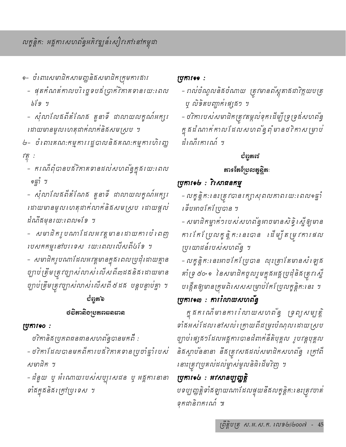- ๑− ចំំពោះសមាជិកសាមញ្ហនិងសមាជិកក្រុមការផារ
	- ផុតកំណត់កាលបរិច្ឆេទបន័ប្រាក់វិកាគទានរយ:ពេល  $b19.4$
	- សុំលាលែនពីតំណែន តួនាទី ជាលាយលក្ខណ៍អក្សរ ដោយមានមូលហេតុដាក់លាក់និងសមស្រប ។
- ២- ចំពោះគណ:កម្មការរដ្ឋបាលនិងគណ:កម្មការហិរញ្ហ  $\mathcal{F}^{\mathcal{E}}_{\mathcal{D}}$ :
	- ករណីពុំបានបដ់វិកាគទានដល់សហពន្ធ័ក្នុងរយ:ពេល ๑ฐาํ ฯ
	- សុំលាលែងពីតំណែង តួនាទី ដាលាយលត្ខណ៍អក្សរ ដោយមានមូលហេតុជាក់លាក់និងសមស្រប ដោយផ្តល់ ដំណឹងមុនរយ:ពេល១ខែ ។
	- សមាជិតរូបណាដែលអវត្តមានដោយការបំពេញ របសកកម្មនៅបរទេស រយ:ពេលលើសពី៤ទែ ។

– សមាជិករូបណាដែលអវត្តមានក្នុងពេលប្រជុំដោយគ្មាន ច្បាប់ត្រឹមត្រុះច្បាស់លាស់ លើសពី៣ដងនិង ដោយមាន ច្បាប់ត្រឹមត្រុវច្បាស់លាស់លើសពី ៥ ដ*ង បន្តបន្ទាប់គ្នា ។* 

# ບູຝີ່ຍັນ **ชธิตาลิย<sub>ุโ</sub>ยสตะ**ละสาล

## ប្រការจo:

ថវិកានិគមប្រភពជនជានសហព័ន្ធបានមកពី : - ថវិកាដែលបានមកពីការបដ់វិកាគទានប្រចាំឆ្នាំរបស់ *សមាជិត* ។

- ដំនួយ ឬ អំណោយរបស់សប្បុរសជន ឬ អគ្គការនានា ទាំងក្នុងនិងក្រៅប្រទេស ។

## ស្រុការទទ:

– កល់ចំណូលនិងចំណាយ ត្រូវមានព័ស្តុតាងដាវិក្កយបត្រ *ឬ លិទិតបញ្ឆាត់ផេ* ្រឆ*ា* 

- ថវិការបស់សមាជិកត្រុវតម្កល់ទុកដើម្បីច្រទ្រង់សហព័ន្ធ ក្នុងដំណាក់កាលដែលសហព័ន្ធពុំមានថវិកាសម្រាប់ นำเพิ่งการณ์ ฯ

## ບໍ່ຕຸກທ

## តារទតែពុំមុលត្នន្តិតៈ

## ប្រការទ&: វិសោធនកម្ម

– លក្ខន្តិក:នេះត្រូវបានរក្សាសុពលភាពរយ:ដេលទត្នាំ ទើបអាចកែស្រែ្មបាន ។

– សមាជិកម្នាក់១របស់សហពន្ធអាចមានសិទ្ធិ ស្នើឲ្យមាន ការ កែប្រែលក្ខន្តិកៈ នេះបាន ដើម្បីតម្រុកោរផល ប្រយោជន៍របស់សហព័ន្ធ ។

- លក្ខន្តិក:នេះអាចកែបែ្របាន លុះត្រាតែមានសំឡេន គាំទ្រ ៥០+១ នៃសមាជិកចូលរួមក្នុងអគ្គប្រជុំនិងត្រូវស្នើ បង្កើតឲ្យមានក្រុមពិសេសសម្រាប់កែប្រែលក្ខន្តិកៈនេះ ។

# ប្រការจ៣ : ការរំលាយសហព័ន្ធ

ក្នុងករណីមានការរំលាយសហព័ន្ធ ទ្រព្យសម្បត្តិ ទាំងអស់ដែលនៅសល់់ ក្រោយពីដម្រុះបំណុលដោយស្រប ច្បាប់ ផ្សេង១ដែលអង្គការបានដំពាក់នីតិបុគ្គល រូបវន្តបុគ្គល និដស្តាបននានា នឹដត្រូវសដដល់សមាជិកសហព័ន្ធ ក្រៅពី នោះត្រូវប្រគល់ដល់ម្ចាស់មូលនិធិដើមវិញ ។

## ប្រការจ $c$  : អវសានប្បញ្ញត្តិ

បទប្បញ្ញត្តិទាំងឡាយណាដែលផ្ទុយនឹងលក្ខន្តិក:នេះត្រូវចាត់ ទុកជានិពករណ៍ ៕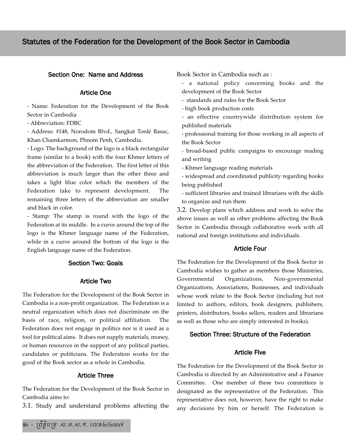## Section One: Name and Address

#### Article One

- Name: Federation for the Development of the Book Sector in Cambodia

- Abbreviation: FDBC

- Address: #148, Norodom Blvd., Sangkat Tonlé Basac, Khan Chamkarmon, Phnom Penh, Cambodia.

- Logo: The background of the logo is a black rectangular frame (similar to a book) with the four Khmer letters of the abbreviation of the Federation. The first letter of this abbreviation is much larger than the other three and takes a light blue color which the members of the Federation take to represent development. The remaining three letters of the abbreviation are smaller and black in color.

- Stamp: The stamp is round with the logo of the Federation at its middle. In a curve around the top of the logo is the Khmer language name of the Federation, while in a curve around the bottom of the logo is the English language name of the Federation.

#### Section Two: Goals

#### Article Two

The Federation for the Development of the Book Sector in Cambodia is a non-profit organization. The Federation is a neutral organization which does not discriminate on the basis of race, religion, or political affiliation. The Federation does not engage in politics nor is it used as a tool for political aims. It does not supply materials, money, or human resources in the support of any political parties, candidates or politicians. The Federation works for the good of the Book sector as a whole in Cambodia.

#### Article Three

The Federation for the Development of the Book Sector in Cambodia aims to:

3.1. Study and understand problems affecting the

Book Sector in Cambodia such as :

- a national policy concerning books and the development of the Book Sector
- standards and rules for the Book Sector
- high book production costs
- an effective countrywide distribution system for published materials
- professional training for those working in all aspects of the Book Sector
- broad-based public campaigns to encourage reading and writing
- Khmer language reading materials

- widespread and coordinated publicity regarding books being published

- sufficient libraries and trained librarians with the skills to organize and run them

3.2. Develop plans which address and work to solve the above issues as well as other problems affecting the Book Sector in Cambodia through collaborative work with all national and foreign institutions and individuals.

#### Article Four

The Federation for the Development of the Book Sector in Cambodia wishes to gather as members those Ministries, Governmental Organizations, Non-governmental Organizations, Associations, Businesses, and individuals whose work relate to the Book Sector (including but not limited to authors, editors, book designers, publishers, printers, distributors, books sellers, readers and librarians as well as those who are simply interested in books).

#### Section Three: Structure of the Federation

#### Article Five

The Federation for the Development of the Book Sector in Cambodia is directed by an Administrative and a Finance Committee. One member of these two committees is designated as the representative of the Federation. This representative does not, however, have the right to make any decisions by him or herself. The Federation is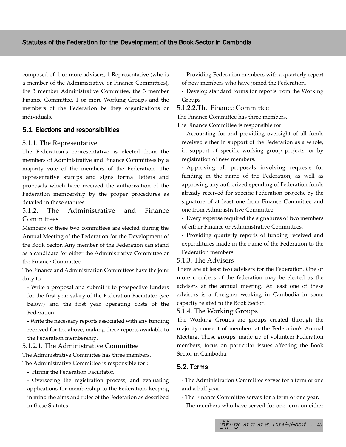composed of: 1 or more advisers, 1 Representative (who is a member of the Administrative or Finance Committees), the 3 member Administrative Committee, the 3 member Finance Committee, 1 or more Working Groups and the members of the Federation be they organizations or individuals.

## 5.1. Elections and responsibilities

### 5.1.1. The Representative

The Federation's representative is elected from the members of Administrative and Finance Committees by a majority vote of the members of the Federation. The representative stamps and signs formal letters and proposals which have received the authorization of the Federation membership by the proper procedures as detailed in these statutes.

## 5.1.2. The Administrative and Finance **Committees**

Members of these two committees are elected during the Annual Meeting of the Federation for the Development of the Book Sector. Any member of the Federation can stand as a candidate for either the Administrative Committee or the Finance Committee.

The Finance and Administration Committees have the joint duty to :

- Write a proposal and submit it to prospective funders for the first year salary of the Federation Facilitator (see below) and the first year operating costs of the Federation.

- Write the necessary reports associated with any funding received for the above, making these reports available to the Federation membership.

## 5.1.2.1. The Administrative Committee

The Administrative Committee has three members.

The Administrative Committee is responsible for :

## - Hiring the Federation Facilitator.

- Overseeing the registration process, and evaluating applications for membership to the Federation, keeping in mind the aims and rules of the Federation as described in these Statutes.

- Providing Federation members with a quarterly report of new members who have joined the Federation.
- Develop standard forms for reports from the Working Groups

### 5.1.2.2.The Finance Committee

The Finance Committee has three members.

The Finance Committee is responsible for:

- Accounting for and providing oversight of all funds received either in support of the Federation as a whole, in support of specific working group projects, or by registration of new members.
- Approving all proposals involving requests for funding in the name of the Federation, as well as approving any authorized spending of Federation funds already received for specific Federation projects, by the signature of at least one from Finance Committee and one from Administrative Committee.
- Every expense required the signatures of two members of either Finance or Administrative Committees.

- Providing quarterly reports of funding received and expenditures made in the name of the Federation to the Federation members.

#### 5.1.3. The Advisers

There are at least two advisers for the Federation. One or more members of the federation may be elected as the advisers at the annual meeting. At least one of these advisors is a foreigner working in Cambodia in some capacity related to the Book Sector.

## 5.1.4. The Working Groups

The Working Groups are groups created through the majority consent of members at the Federation's Annual Meeting. These groups, made up of volunteer Federation members, focus on particular issues affecting the Book Sector in Cambodia.

## 5.2. Terms

- The Administration Committee serves for a term of one and a half year.

- The Finance Committee serves for a term of one year.
- The members who have served for one term on either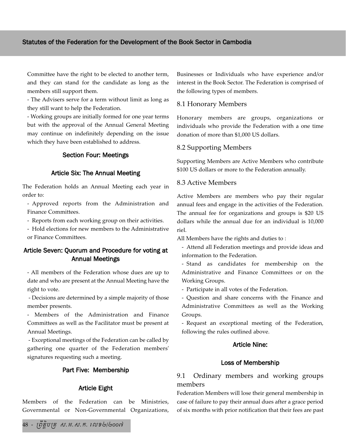Committee have the right to be elected to another term, and they can stand for the candidate as long as the members still support them.

- The Advisers serve for a term without limit as long as they still want to help the Federation.

- Working groups are initially formed for one year terms but with the approval of the Annual General Meeting may continue on indefinitely depending on the issue which they have been established to address.

## Section Four: Meetings

#### Article Six: The Annual Meeting

The Federation holds an Annual Meeting each year in order to:

- Approved reports from the Administration and Finance Committees.

- Reports from each working group on their activities.

- Hold elections for new members to the Administrative or Finance Committees.

## Article Seven: Quorum and Procedure for voting at Annual Meetings

- All members of the Federation whose dues are up to date and who are present at the Annual Meeting have the right to vote.

- Decisions are determined by a simple majority of those member presents.

- Members of the Administration and Finance Committees as well as the Facilitator must be present at Annual Meetings.

- Exceptional meetings of the Federation can be called by gathering one quarter of the Federation members' signatures requesting such a meeting.

## Part Five: Membership

#### Article Eight

Members of the Federation can be Ministries, Governmental or Non-Governmental Organizations, Businesses or Individuals who have experience and/or interest in the Book Sector. The Federation is comprised of the following types of members.

#### 8.1 Honorary Members

Honorary members are groups, organizations or individuals who provide the Federation with a one time donation of more than \$1,000 US dollars.

#### 8.2 Supporting Members

Supporting Members are Active Members who contribute \$100 US dollars or more to the Federation annually.

### 8.3 Active Members

Active Members are members who pay their regular annual fees and engage in the activities of the Federation. The annual fee for organizations and groups is \$20 US dollars while the annual due for an individual is 10,000 riel.

All Members have the rights and duties to :

- Attend all Federation meetings and provide ideas and information to the Federation.

- Stand as candidates for membership on the Administrative and Finance Committees or on the Working Groups.

- Participate in all votes of the Federation.

- Question and share concerns with the Finance and Administrative Committees as well as the Working Groups.

- Request an exceptional meeting of the Federation, following the rules outlined above.

### Article Nine:

#### Loss of Membership

## 9.1 Ordinary members and working groups members

Federation Members will lose their general membership in case of failure to pay their annual dues after a grace period of six months with prior notification that their fees are past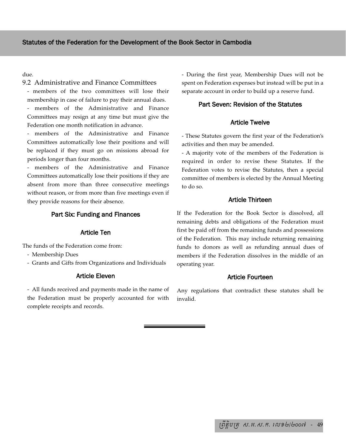### due.

#### 9.2 Administrative and Finance Committees

- members of the two committees will lose their membership in case of failure to pay their annual dues.

members of the Administrative and Finance Committees may resign at any time but must give the Federation one month notification in advance.

- members of the Administrative and Finance Committees automatically lose their positions and will be replaced if they must go on missions abroad for periods longer than four months.

- members of the Administrative and Finance Committees automatically lose their positions if they are absent from more than three consecutive meetings without reason, or from more than five meetings even if they provide reasons for their absence.

### Part Six: Funding and Finances

#### Article Ten

The funds of the Federation come from:

- Membership Dues
- Grants and Gifts from Organizations and Individuals

#### Article Eleven

- All funds received and payments made in the name of the Federation must be properly accounted for with complete receipts and records.

- During the first year, Membership Dues will not be spent on Federation expenses but instead will be put in a separate account in order to build up a reserve fund.

#### Part Seven: Revision of the Statutes

## Article Twelve

- These Statutes govern the first year of the Federation's activities and then may be amended.

- A majority vote of the members of the Federation is required in order to revise these Statutes. If the Federation votes to revise the Statutes, then a special committee of members is elected by the Annual Meeting to do so.

#### Article Thirteen

If the Federation for the Book Sector is dissolved, all remaining debts and obligations of the Federation must first be paid off from the remaining funds and possessions of the Federation. This may include returning remaining funds to donors as well as refunding annual dues of members if the Federation dissolves in the middle of an operating year.

### Article Fourteen

Any regulations that contradict these statutes shall be invalid.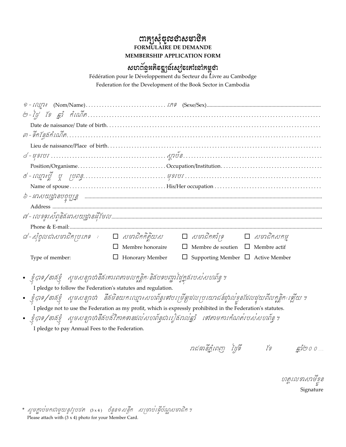# ကားငွန်းစီးရေး မေးအမွှေ့<br>CORMULAIKE DE DEMANDE MEMBERSHIP APPLICATION FORM

## &ยาตัฐหลิธฐ<sub>ูโ</sub>ฉ์ณ<sub>ี่</sub>ระสะเมิลหะอำ

Fédération pour le Développement du Secteur du Livre au Cambodge Federation for the Development of the Book Sector in Cambodia

|                                                                                                                                                                                                                                                                                                                                                                                                                                                                                     | $\label{eq:position} Position/Organisme. \dots. \dots. \dots. \dots. \dots. \cdot Occupation/Institution. \dots. \dots. \dots. \dots. \dots. \dots. \dots.$ |                                               |  |  |  |  |
|-------------------------------------------------------------------------------------------------------------------------------------------------------------------------------------------------------------------------------------------------------------------------------------------------------------------------------------------------------------------------------------------------------------------------------------------------------------------------------------|-------------------------------------------------------------------------------------------------------------------------------------------------------------|-----------------------------------------------|--|--|--|--|
|                                                                                                                                                                                                                                                                                                                                                                                                                                                                                     |                                                                                                                                                             |                                               |  |  |  |  |
|                                                                                                                                                                                                                                                                                                                                                                                                                                                                                     |                                                                                                                                                             |                                               |  |  |  |  |
|                                                                                                                                                                                                                                                                                                                                                                                                                                                                                     |                                                                                                                                                             |                                               |  |  |  |  |
|                                                                                                                                                                                                                                                                                                                                                                                                                                                                                     |                                                                                                                                                             |                                               |  |  |  |  |
|                                                                                                                                                                                                                                                                                                                                                                                                                                                                                     |                                                                                                                                                             |                                               |  |  |  |  |
|                                                                                                                                                                                                                                                                                                                                                                                                                                                                                     |                                                                                                                                                             |                                               |  |  |  |  |
| $\vec{\omega}$ -សុំចូលជាសមាជិកប្រភេទ : $\Box$ សមាជិកកិត្តិយស $\Box$ សមាជិកគាំទ្រ $\Box$ សមាជិកសកម្ម                                                                                                                                                                                                                                                                                                                                                                                 |                                                                                                                                                             |                                               |  |  |  |  |
|                                                                                                                                                                                                                                                                                                                                                                                                                                                                                     | Membre honoraire                                                                                                                                            | $\Box$ Membre de soutien $\Box$ Membre actif  |  |  |  |  |
| Type of member:                                                                                                                                                                                                                                                                                                                                                                                                                                                                     | Honorary Member                                                                                                                                             | $\Box$ Supporting Member $\Box$ Active Member |  |  |  |  |
| • ខ្ញុំបាទ/នាឆ៍ខ្ញុំ   សូមសន្យាថានឹងគោរពតាមលត្តនិកៈ និងបទបញ្ញាផ្ទៃក្នុងរបស់សហព័ន្ធ ។<br>I pledge to follow the Federation's statutes and regulation.<br>• ខ្ញុំបាទ/នាងខ្ញុំ សូមសន្យាថា នឹងមិនយកឈ្មោះសហព័ន្ធទៅបម្រើឲ្យដលប្រយោជន៍ផ្ទាល់ខ្លួនដែលដួយពីលក្ខន្តិកៈឡើយ។<br>I pledge not to use the Federation as my profit, which is expressly prohibited in the Federation's statutes.<br>• ខ្ញុំបាទ/នាឆទ្វំ  សូមសន្យាថានឹងបង់វិភាគខានដល់សហព័ន្ធជារៀងរាល់ឆ្នាំ  ទៅតាមការកំណត់របស់សហព័ន្ធ។ |                                                                                                                                                             |                                               |  |  |  |  |
| I pledge to pay Annual Fees to the Federation.                                                                                                                                                                                                                                                                                                                                                                                                                                      |                                                                                                                                                             |                                               |  |  |  |  |

ហត្ថលេខាសាម័ខ្ល Signature

\* សូមក្លាប់មកជាមួយនូវរូបថគ (3x4) ចំនួន១សន្ទឹក សម្រាប់ធ្វើប័ណ្ណសមាជិក។ Please attach with  $(3 \times 4)$  photo for your Member Card.